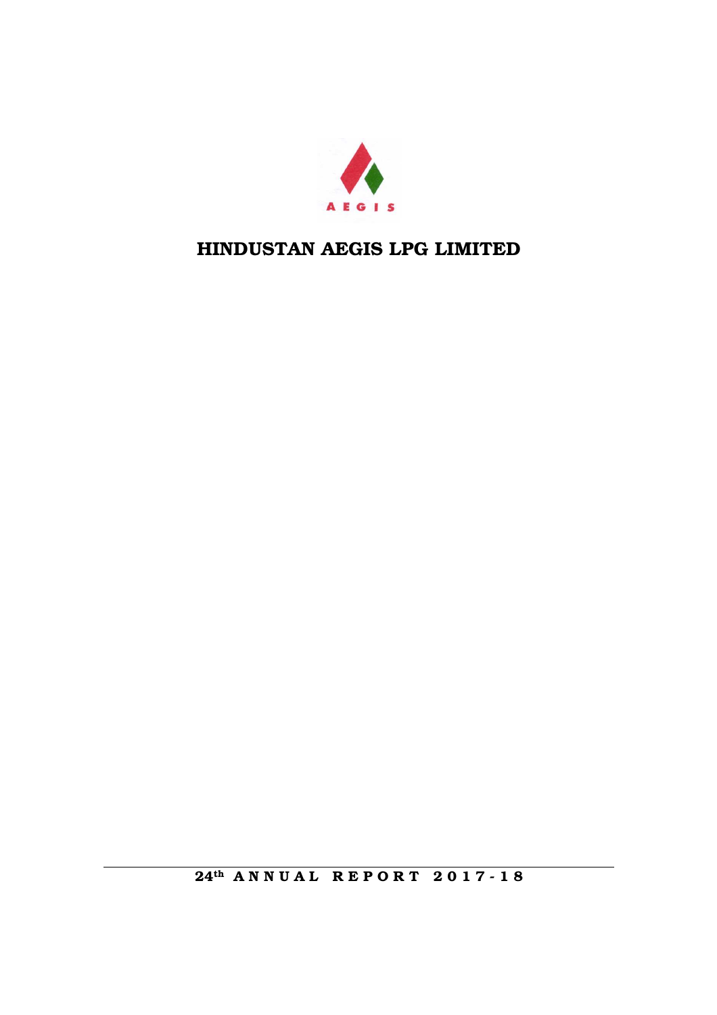

24<sup>th</sup> ANNUAL REPORT 2017-18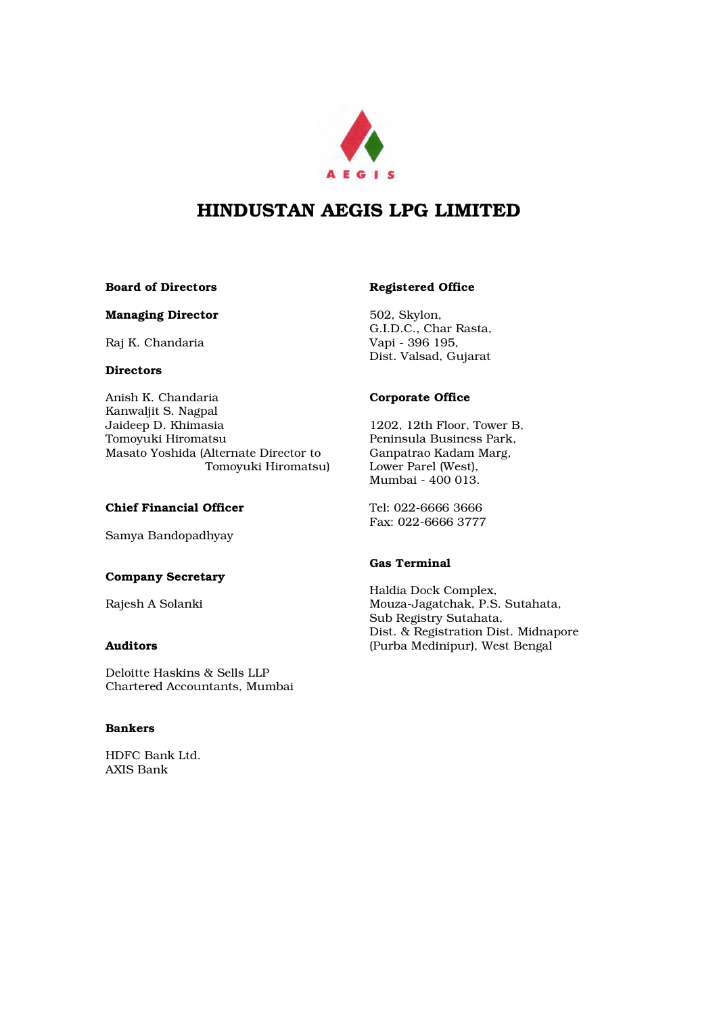

## Board of Directors

## Managing Director

Raj K. Chandaria

## **Directors**

Anish K. Chandaria Kanwaljit S. Nagpal Jaideep D. Khimasia Tomoyuki Hiromatsu Masato Yoshida (Alternate Director to Tomoyuki Hiromatsu)

## Chief Financial Officer

Samya Bandopadhyay

## Company Secretary

Rajesh A Solanki

## Auditors

Deloitte Haskins & Sells LLP Chartered Accountants, Mumbai

## Bankers

HDFC Bank Ltd. AXIS Bank

## Registered Office

502, Skylon, G.I.D.C., Char Rasta, Vapi - 396 195, Dist. Valsad, Gujarat

## Corporate Office

1202, 12th Floor, Tower B, Peninsula Business Park, Ganpatrao Kadam Marg, Lower Parel (West), Mumbai - 400 013.

Tel: 022-6666 3666 Fax: 022-6666 3777

## Gas Terminal

Haldia Dock Complex, Mouza-Jagatchak, P.S. Sutahata, Sub Registry Sutahata, Dist. & Registration Dist. Midnapore (Purba Medinipur), West Bengal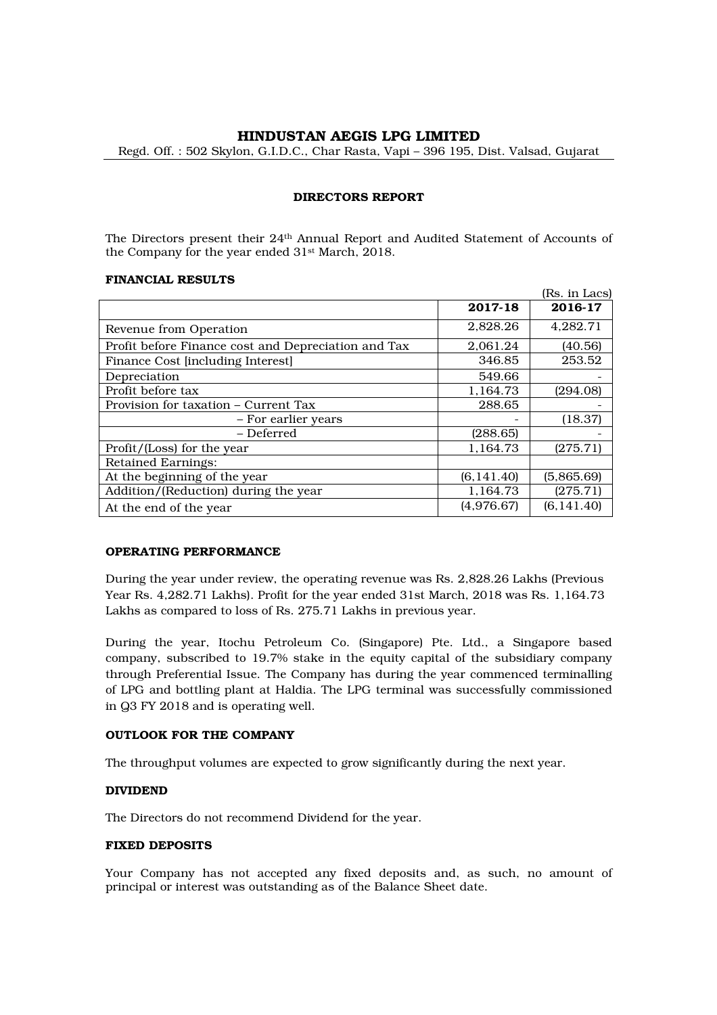Regd. Off. : 502 Skylon, G.I.D.C., Char Rasta, Vapi – 396 195, Dist. Valsad, Gujarat

## DIRECTORS REPORT

The Directors present their 24th Annual Report and Audited Statement of Accounts of the Company for the year ended 31st March, 2018.

## FINANCIAL RESULTS

|                                                     |             | (Rs. in Lacs) |
|-----------------------------------------------------|-------------|---------------|
|                                                     | 2017-18     | 2016-17       |
| Revenue from Operation                              | 2,828.26    | 4,282.71      |
| Profit before Finance cost and Depreciation and Tax | 2,061.24    | (40.56)       |
| Finance Cost [including Interest]                   | 346.85      | 253.52        |
| Depreciation                                        | 549.66      |               |
| Profit before tax                                   | 1,164.73    | (294.08)      |
| Provision for taxation – Current Tax                | 288.65      |               |
| - For earlier years                                 |             | (18.37)       |
| - Deferred                                          | (288.65)    |               |
| Profit/(Loss) for the year                          | 1,164.73    | (275.71)      |
| <b>Retained Earnings:</b>                           |             |               |
| At the beginning of the year                        | (6, 141.40) | (5,865.69)    |
| Addition/(Reduction) during the year                | 1,164.73    | (275.71)      |
| At the end of the year                              | (4,976.67)  | (6, 141.40)   |

## OPERATING PERFORMANCE

During the year under review, the operating revenue was Rs. 2,828.26 Lakhs (Previous Year Rs. 4,282.71 Lakhs). Profit for the year ended 31st March, 2018 was Rs. 1,164.73 Lakhs as compared to loss of Rs. 275.71 Lakhs in previous year.

During the year, Itochu Petroleum Co. (Singapore) Pte. Ltd., a Singapore based company, subscribed to 19.7% stake in the equity capital of the subsidiary company through Preferential Issue. The Company has during the year commenced terminalling of LPG and bottling plant at Haldia. The LPG terminal was successfully commissioned in Q3 FY 2018 and is operating well.

## OUTLOOK FOR THE COMPANY

The throughput volumes are expected to grow significantly during the next year.

## DIVIDEND

The Directors do not recommend Dividend for the year.

## FIXED DEPOSITS

Your Company has not accepted any fixed deposits and, as such, no amount of principal or interest was outstanding as of the Balance Sheet date.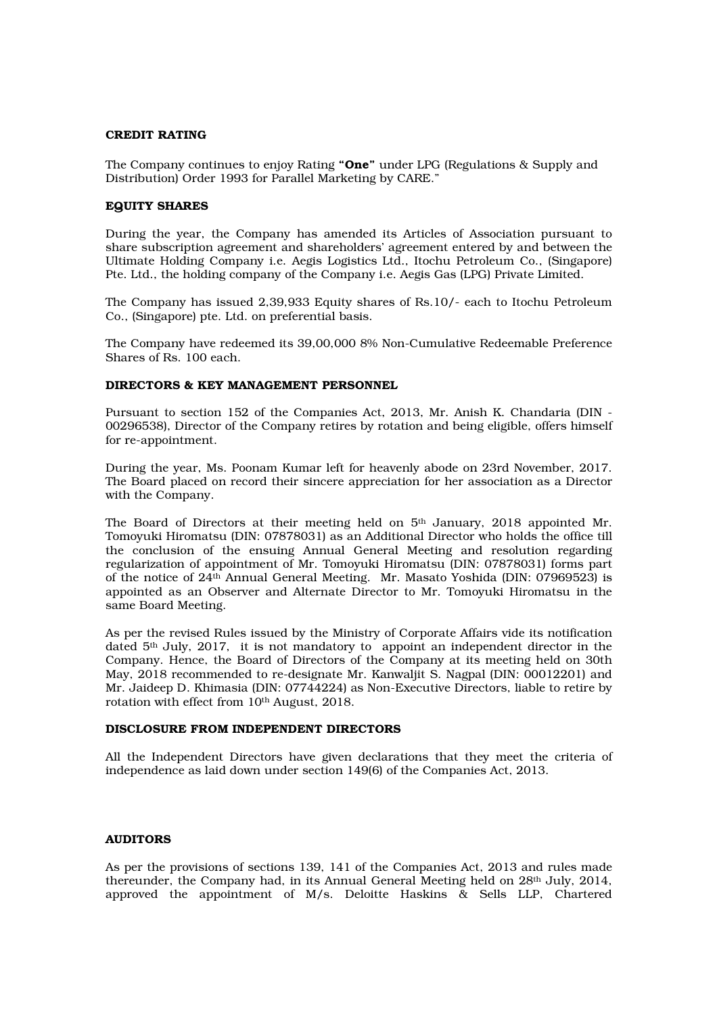## CREDIT RATING

The Company continues to enjoy Rating "One" under LPG (Regulations & Supply and Distribution) Order 1993 for Parallel Marketing by CARE."

## EQUITY SHARES

During the year, the Company has amended its Articles of Association pursuant to share subscription agreement and shareholders' agreement entered by and between the Ultimate Holding Company i.e. Aegis Logistics Ltd., Itochu Petroleum Co., (Singapore) Pte. Ltd., the holding company of the Company i.e. Aegis Gas (LPG) Private Limited.

The Company has issued 2,39,933 Equity shares of Rs.10/- each to Itochu Petroleum Co., (Singapore) pte. Ltd. on preferential basis.

The Company have redeemed its 39,00,000 8% Non-Cumulative Redeemable Preference Shares of Rs. 100 each.

## DIRECTORS & KEY MANAGEMENT PERSONNEL

Pursuant to section 152 of the Companies Act, 2013, Mr. Anish K. Chandaria (DIN - 00296538), Director of the Company retires by rotation and being eligible, offers himself for re-appointment.

During the year, Ms. Poonam Kumar left for heavenly abode on 23rd November, 2017. The Board placed on record their sincere appreciation for her association as a Director with the Company.

The Board of Directors at their meeting held on 5<sup>th</sup> January, 2018 appointed Mr. Tomoyuki Hiromatsu (DIN: 07878031) as an Additional Director who holds the office till the conclusion of the ensuing Annual General Meeting and resolution regarding regularization of appointment of Mr. Tomoyuki Hiromatsu (DIN: 07878031) forms part of the notice of 24th Annual General Meeting. Mr. Masato Yoshida (DIN: 07969523) is appointed as an Observer and Alternate Director to Mr. Tomoyuki Hiromatsu in the same Board Meeting.

As per the revised Rules issued by the Ministry of Corporate Affairs vide its notification dated  $5<sup>th</sup>$  July, 2017, it is not mandatory to appoint an independent director in the Company. Hence, the Board of Directors of the Company at its meeting held on 30th May, 2018 recommended to re-designate Mr. Kanwaljit S. Nagpal (DIN: 00012201) and Mr. Jaideep D. Khimasia (DIN: 07744224) as Non-Executive Directors, liable to retire by rotation with effect from 10<sup>th</sup> August, 2018.

## DISCLOSURE FROM INDEPENDENT DIRECTORS

All the Independent Directors have given declarations that they meet the criteria of independence as laid down under section 149(6) of the Companies Act, 2013.

## AUDITORS

As per the provisions of sections 139, 141 of the Companies Act, 2013 and rules made thereunder, the Company had, in its Annual General Meeting held on 28th July, 2014, approved the appointment of  $M/s$ . Deloitte Haskins  $\&$  Sells LLP, Chartered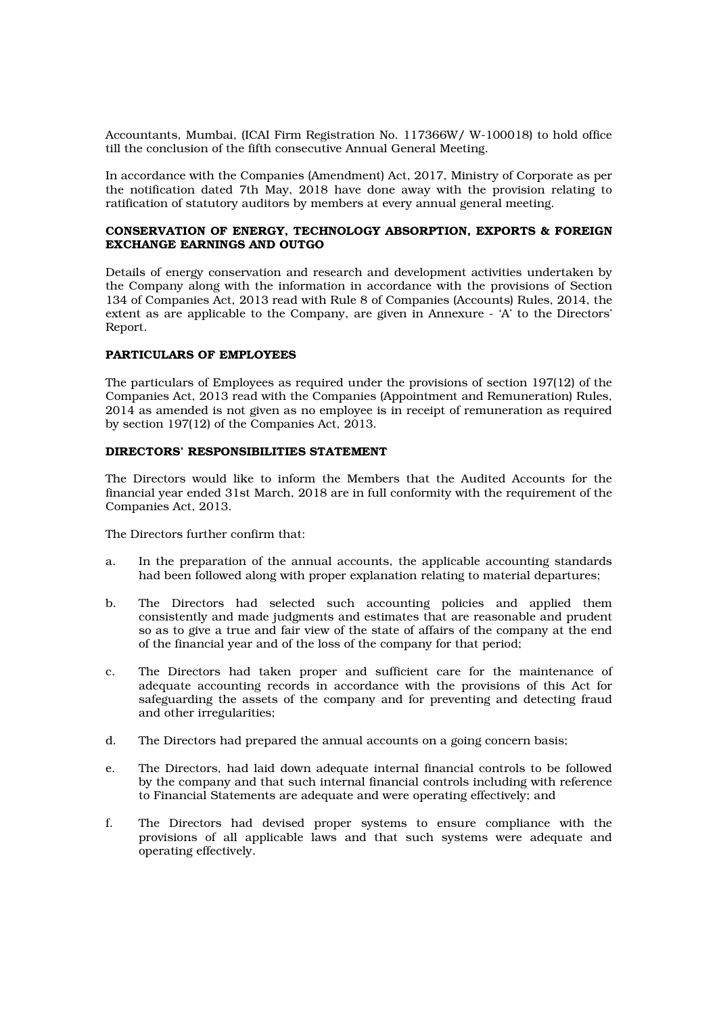Accountants, Mumbai, (ICAI Firm Registration No. 117366W/ W-100018) to hold office till the conclusion of the fifth consecutive Annual General Meeting.

In accordance with the Companies (Amendment) Act, 2017, Ministry of Corporate as per the notification dated 7th May, 2018 have done away with the provision relating to ratification of statutory auditors by members at every annual general meeting.

## CONSERVATION OF ENERGY, TECHNOLOGY ABSORPTION, EXPORTS & FOREIGN EXCHANGE EARNINGS AND OUTGO

Details of energy conservation and research and development activities undertaken by the Company along with the information in accordance with the provisions of Section 134 of Companies Act, 2013 read with Rule 8 of Companies (Accounts) Rules, 2014, the extent as are applicable to the Company, are given in Annexure - 'A' to the Directors' Report.

## PARTICULARS OF EMPLOYEES

The particulars of Employees as required under the provisions of section 197(12) of the Companies Act, 2013 read with the Companies (Appointment and Remuneration) Rules, 2014 as amended is not given as no employee is in receipt of remuneration as required by section 197(12) of the Companies Act, 2013.

## DIRECTORS' RESPONSIBILITIES STATEMENT

The Directors would like to inform the Members that the Audited Accounts for the financial year ended 31st March, 2018 are in full conformity with the requirement of the Companies Act, 2013.

The Directors further confirm that:

- a. In the preparation of the annual accounts, the applicable accounting standards had been followed along with proper explanation relating to material departures;
- b. The Directors had selected such accounting policies and applied them consistently and made judgments and estimates that are reasonable and prudent so as to give a true and fair view of the state of affairs of the company at the end of the financial year and of the loss of the company for that period;
- c. The Directors had taken proper and sufficient care for the maintenance of adequate accounting records in accordance with the provisions of this Act for safeguarding the assets of the company and for preventing and detecting fraud and other irregularities;
- d. The Directors had prepared the annual accounts on a going concern basis;
- e. The Directors, had laid down adequate internal financial controls to be followed by the company and that such internal financial controls including with reference to Financial Statements are adequate and were operating effectively; and
- f. The Directors had devised proper systems to ensure compliance with the provisions of all applicable laws and that such systems were adequate and operating effectively.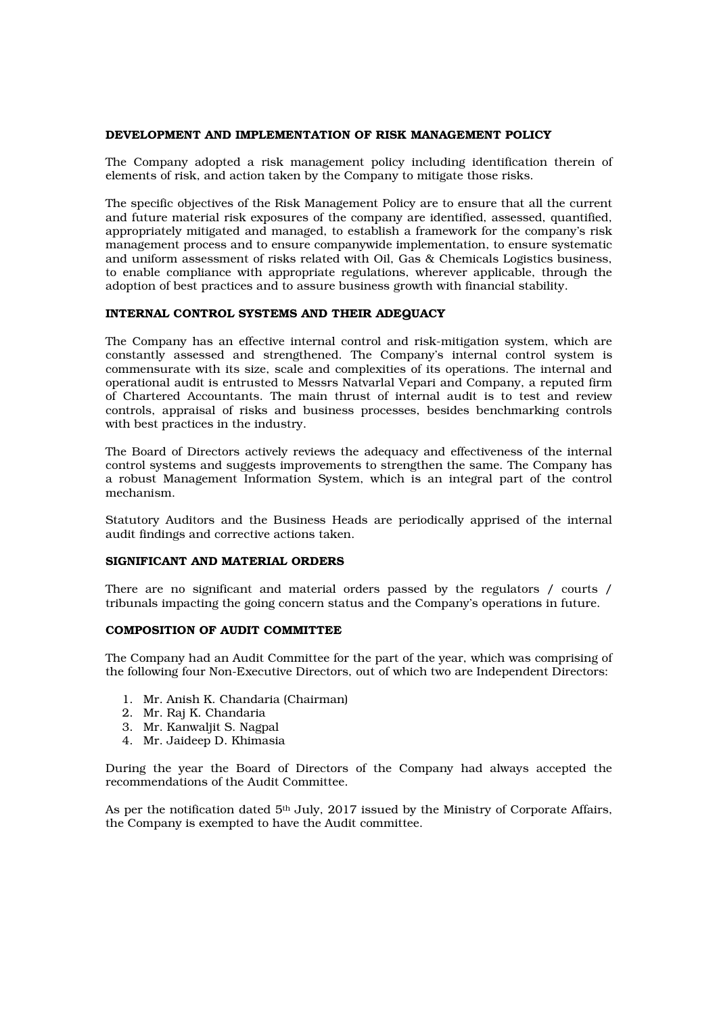## DEVELOPMENT AND IMPLEMENTATION OF RISK MANAGEMENT POLICY

The Company adopted a risk management policy including identification therein of elements of risk, and action taken by the Company to mitigate those risks.

The specific objectives of the Risk Management Policy are to ensure that all the current and future material risk exposures of the company are identified, assessed, quantified, appropriately mitigated and managed, to establish a framework for the company's risk management process and to ensure companywide implementation, to ensure systematic and uniform assessment of risks related with Oil, Gas & Chemicals Logistics business, to enable compliance with appropriate regulations, wherever applicable, through the adoption of best practices and to assure business growth with financial stability.

## INTERNAL CONTROL SYSTEMS AND THEIR ADEQUACY

The Company has an effective internal control and risk-mitigation system, which are constantly assessed and strengthened. The Company's internal control system is commensurate with its size, scale and complexities of its operations. The internal and operational audit is entrusted to Messrs Natvarlal Vepari and Company, a reputed firm of Chartered Accountants. The main thrust of internal audit is to test and review controls, appraisal of risks and business processes, besides benchmarking controls with best practices in the industry.

The Board of Directors actively reviews the adequacy and effectiveness of the internal control systems and suggests improvements to strengthen the same. The Company has a robust Management Information System, which is an integral part of the control mechanism.

Statutory Auditors and the Business Heads are periodically apprised of the internal audit findings and corrective actions taken.

## SIGNIFICANT AND MATERIAL ORDERS

There are no significant and material orders passed by the regulators / courts / tribunals impacting the going concern status and the Company's operations in future.

## COMPOSITION OF AUDIT COMMITTEE

The Company had an Audit Committee for the part of the year, which was comprising of the following four Non-Executive Directors, out of which two are Independent Directors:

- 1. Mr. Anish K. Chandaria (Chairman)
- 2. Mr. Raj K. Chandaria
- 3. Mr. Kanwaljit S. Nagpal
- 4. Mr. Jaideep D. Khimasia

During the year the Board of Directors of the Company had always accepted the recommendations of the Audit Committee.

As per the notification dated  $5<sup>th</sup>$  July, 2017 issued by the Ministry of Corporate Affairs, the Company is exempted to have the Audit committee.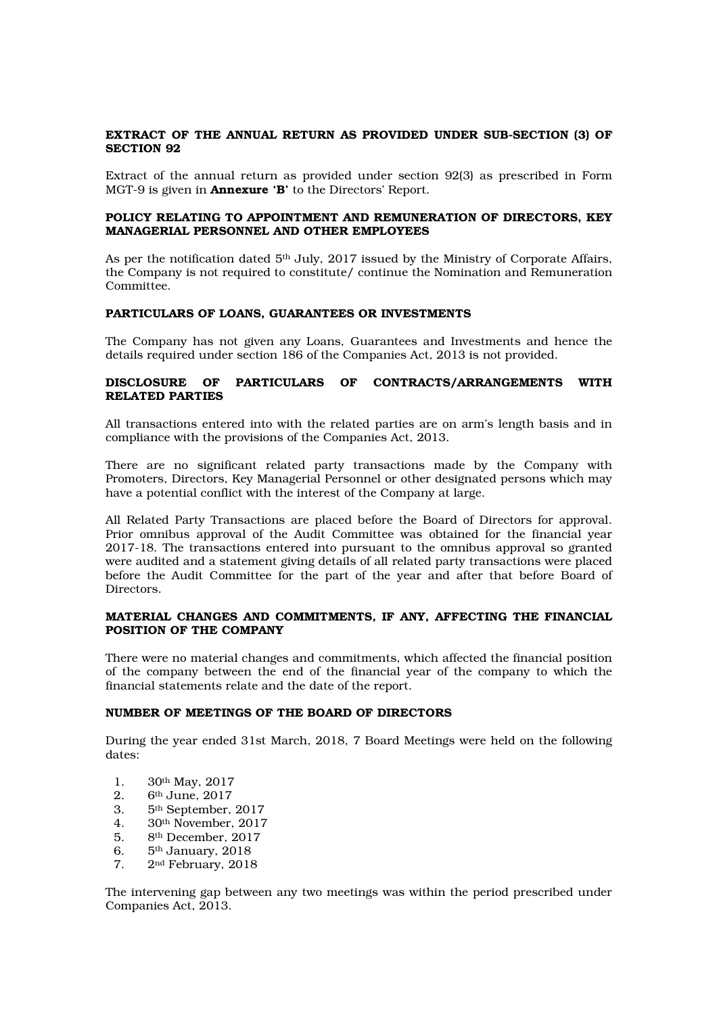## EXTRACT OF THE ANNUAL RETURN AS PROVIDED UNDER SUB-SECTION (3) OF SECTION 92

Extract of the annual return as provided under section 92(3) as prescribed in Form MGT-9 is given in Annexure 'B' to the Directors' Report.

## POLICY RELATING TO APPOINTMENT AND REMUNERATION OF DIRECTORS, KEY MANAGERIAL PERSONNEL AND OTHER EMPLOYEES

As per the notification dated  $5<sup>th</sup>$  July, 2017 issued by the Ministry of Corporate Affairs, the Company is not required to constitute/ continue the Nomination and Remuneration Committee.

## PARTICULARS OF LOANS, GUARANTEES OR INVESTMENTS

The Company has not given any Loans, Guarantees and Investments and hence the details required under section 186 of the Companies Act, 2013 is not provided.

## DISCLOSURE OF PARTICULARS OF CONTRACTS/ARRANGEMENTS WITH RELATED PARTIES

All transactions entered into with the related parties are on arm's length basis and in compliance with the provisions of the Companies Act, 2013.

There are no significant related party transactions made by the Company with Promoters, Directors, Key Managerial Personnel or other designated persons which may have a potential conflict with the interest of the Company at large.

All Related Party Transactions are placed before the Board of Directors for approval. Prior omnibus approval of the Audit Committee was obtained for the financial year 2017-18. The transactions entered into pursuant to the omnibus approval so granted were audited and a statement giving details of all related party transactions were placed before the Audit Committee for the part of the year and after that before Board of Directors.

## MATERIAL CHANGES AND COMMITMENTS, IF ANY, AFFECTING THE FINANCIAL POSITION OF THE COMPANY

There were no material changes and commitments, which affected the financial position of the company between the end of the financial year of the company to which the financial statements relate and the date of the report.

## NUMBER OF MEETINGS OF THE BOARD OF DIRECTORS

During the year ended 31st March, 2018, 7 Board Meetings were held on the following dates:

- 1. 30th May, 2017
- 2.  $6<sup>th</sup>$  June, 2017<br>3.  $5<sup>th</sup>$  September.
- 3. 5th September, 2017
- 4. 30th November, 2017
- 5. 8th December, 2017
- 6. 5th January, 2018
- 7. 2nd February, 2018

The intervening gap between any two meetings was within the period prescribed under Companies Act, 2013.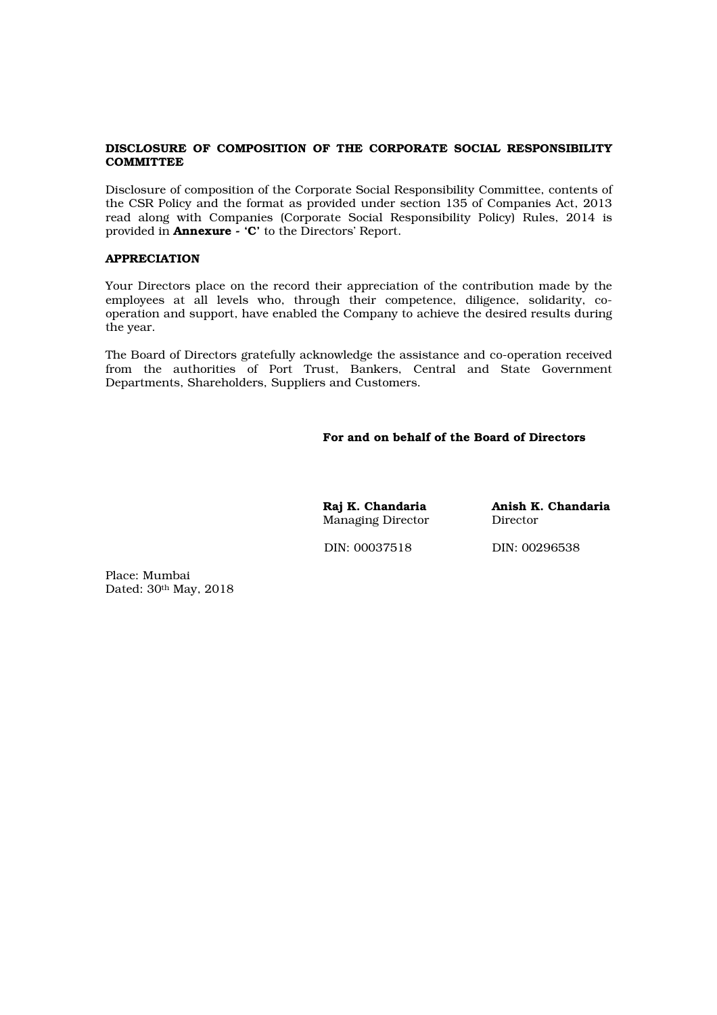## DISCLOSURE OF COMPOSITION OF THE CORPORATE SOCIAL RESPONSIBILITY **COMMITTEE**

Disclosure of composition of the Corporate Social Responsibility Committee, contents of the CSR Policy and the format as provided under section 135 of Companies Act, 2013 read along with Companies (Corporate Social Responsibility Policy) Rules, 2014 is provided in Annexure - 'C' to the Directors' Report.

## APPRECIATION

Your Directors place on the record their appreciation of the contribution made by the employees at all levels who, through their competence, diligence, solidarity, cooperation and support, have enabled the Company to achieve the desired results during the year.

The Board of Directors gratefully acknowledge the assistance and co-operation received from the authorities of Port Trust, Bankers, Central and State Government Departments, Shareholders, Suppliers and Customers.

## For and on behalf of the Board of Directors

Managing Director

Raj K. Chandaria **Anish K. Chandaria**<br>Managing Director **Director** 

DIN: 00037518 DIN: 00296538

Place: Mumbai Dated: 30th May, 2018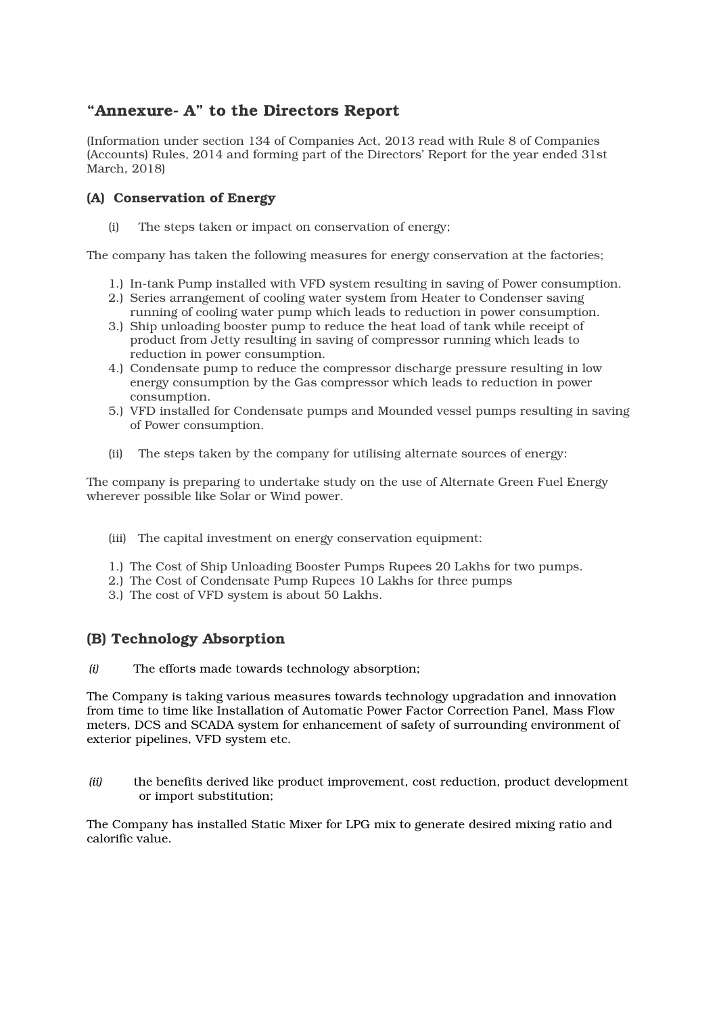## "Annexure- A" to the Directors Report

(Information under section 134 of Companies Act, 2013 read with Rule 8 of Companies (Accounts) Rules, 2014 and forming part of the Directors' Report for the year ended 31st March, 2018)

## (A) Conservation of Energy

(i) The steps taken or impact on conservation of energy;

The company has taken the following measures for energy conservation at the factories;

- 1.) In-tank Pump installed with VFD system resulting in saving of Power consumption.
- 2.) Series arrangement of cooling water system from Heater to Condenser saving running of cooling water pump which leads to reduction in power consumption.
- 3.) Ship unloading booster pump to reduce the heat load of tank while receipt of product from Jetty resulting in saving of compressor running which leads to reduction in power consumption.
- 4.) Condensate pump to reduce the compressor discharge pressure resulting in low energy consumption by the Gas compressor which leads to reduction in power consumption.
- 5.) VFD installed for Condensate pumps and Mounded vessel pumps resulting in saving of Power consumption.
- (ii) The steps taken by the company for utilising alternate sources of energy:

The company is preparing to undertake study on the use of Alternate Green Fuel Energy wherever possible like Solar or Wind power.

- (iii) The capital investment on energy conservation equipment:
- 1.) The Cost of Ship Unloading Booster Pumps Rupees 20 Lakhs for two pumps.
- 2.) The Cost of Condensate Pump Rupees 10 Lakhs for three pumps
- 3.) The cost of VFD system is about 50 Lakhs.

## (B) Technology Absorption

*(i)* The efforts made towards technology absorption;

The Company is taking various measures towards technology upgradation and innovation from time to time like Installation of Automatic Power Factor Correction Panel, Mass Flow meters, DCS and SCADA system for enhancement of safety of surrounding environment of exterior pipelines, VFD system etc.

*(ii)* the benefits derived like product improvement, cost reduction, product development or import substitution;

The Company has installed Static Mixer for LPG mix to generate desired mixing ratio and calorific value.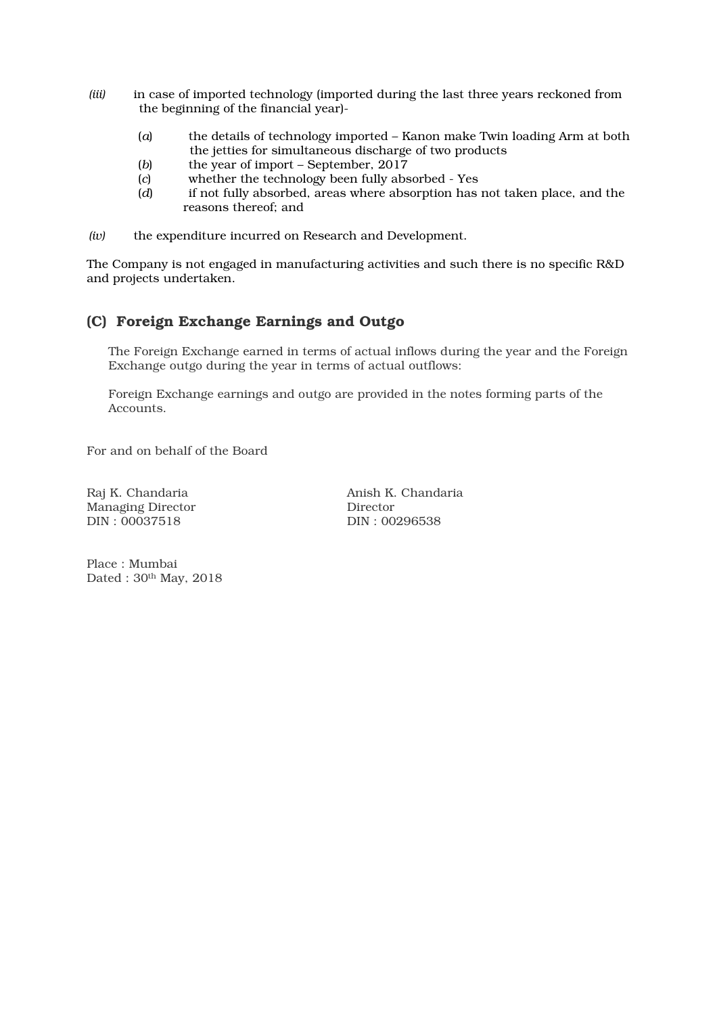- *(iii)* in case of imported technology (imported during the last three years reckoned from the beginning of the financial year)-
	- (*a*) the details of technology imported Kanon make Twin loading Arm at both the jetties for simultaneous discharge of two products
	- (*b*) the year of import September, 2017
	- (*c*) whether the technology been fully absorbed Yes
	- (*d*) if not fully absorbed, areas where absorption has not taken place, and the reasons thereof; and
- *(iv)* the expenditure incurred on Research and Development.

The Company is not engaged in manufacturing activities and such there is no specific R&D and projects undertaken.

## (C) Foreign Exchange Earnings and Outgo

The Foreign Exchange earned in terms of actual inflows during the year and the Foreign Exchange outgo during the year in terms of actual outflows:

Foreign Exchange earnings and outgo are provided in the notes forming parts of the Accounts.

For and on behalf of the Board

Managing Director Director Director Director Director Director Director Director  $DIN: 00037518$ 

Raj K. Chandaria **Anish K. Chandaria** DIN: 00296538

Place : Mumbai Dated : 30th May, 2018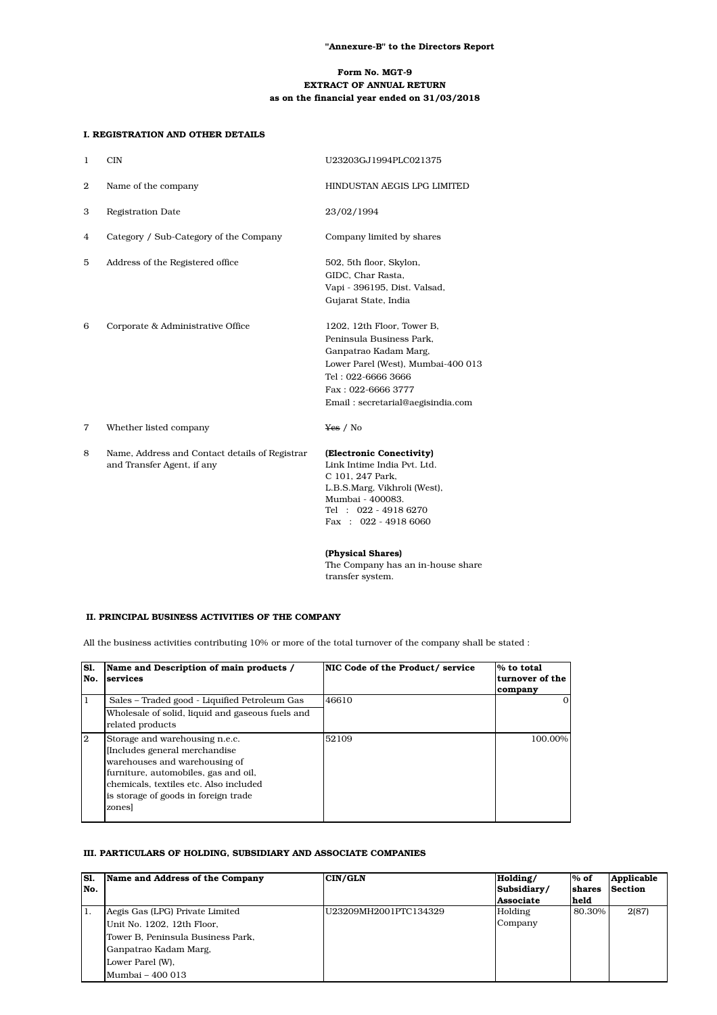## Form No. MGT-9 EXTRACT OF ANNUAL RETURN as on the financial year ended on 31/03/2018

|   | I. REGISTRATION AND OTHER DETAILS                                            |                                                                                                                                                                                                        |
|---|------------------------------------------------------------------------------|--------------------------------------------------------------------------------------------------------------------------------------------------------------------------------------------------------|
| ı | <b>CIN</b>                                                                   | U23203GJ1994PLC021375                                                                                                                                                                                  |
| 2 | Name of the company                                                          | HINDUSTAN AEGIS LPG LIMITED                                                                                                                                                                            |
| 3 | <b>Registration Date</b>                                                     | 23/02/1994                                                                                                                                                                                             |
| 4 | Category / Sub-Category of the Company                                       | Company limited by shares                                                                                                                                                                              |
| 5 | Address of the Registered office                                             | 502, 5th floor, Skylon,<br>GIDC. Char Rasta.<br>Vapi - 396195, Dist. Valsad,<br>Gujarat State, India                                                                                                   |
| 6 | Corporate & Administrative Office                                            | 1202, 12th Floor, Tower B,<br>Peninsula Business Park.<br>Ganpatrao Kadam Marg,<br>Lower Parel (West), Mumbai-400 013<br>Tel: 022-6666 3666<br>Fax: 022-6666 3777<br>Email: secretarial@aegisindia.com |
| 7 | Whether listed company                                                       | Yes / No                                                                                                                                                                                               |
| 8 | Name, Address and Contact details of Registrar<br>and Transfer Agent, if any | (Electronic Conectivity)<br>Link Intime India Pvt. Ltd.<br>C 101, 247 Park,<br>L.B.S.Marg, Vikhroli (West),<br>Mumbai - 400083.<br>Tel : 022 - 4918 6270<br>Fax: $022 - 49186060$                      |
|   |                                                                              | (Physical Shares)<br>The Company has an in-house share<br>transfer system.                                                                                                                             |

## II. PRINCIPAL BUSINESS ACTIVITIES OF THE COMPANY

All the business activities contributing 10% or more of the total turnover of the company shall be stated :

| <b>S1.</b><br>No. | Name and Description of main products /<br>services                                                                                                                                                                                | NIC Code of the Product/service | % to total<br>turnover of the<br>company |
|-------------------|------------------------------------------------------------------------------------------------------------------------------------------------------------------------------------------------------------------------------------|---------------------------------|------------------------------------------|
| 1                 | Sales - Traded good - Liquified Petroleum Gas<br>Wholesale of solid, liquid and gaseous fuels and<br>related products                                                                                                              | 46610                           |                                          |
| 2                 | Storage and warehousing n.e.c.<br>Includes general merchandise<br>warehouses and warehousing of<br>furniture, automobiles, gas and oil,<br>chemicals, textiles etc. Also included<br>is storage of goods in foreign trade<br>zones | 52109                           | 100.00%                                  |

## III. PARTICULARS OF HOLDING, SUBSIDIARY AND ASSOCIATE COMPANIES

| S1. | Name and Address of the Company   | <b>CIN/GLN</b>         | Holding/         | $%$ of | Applicable     |
|-----|-----------------------------------|------------------------|------------------|--------|----------------|
| No. |                                   |                        | Subsidiary/      | shares | <b>Section</b> |
|     |                                   |                        | <b>Associate</b> | held   |                |
| 1.  | Aegis Gas (LPG) Private Limited   | IU23209MH2001PTC134329 | Holding          | 80.30% | 2(87)          |
|     | Unit No. 1202, 12th Floor,        |                        | Company          |        |                |
|     | Tower B, Peninsula Business Park, |                        |                  |        |                |
|     | Ganpatrao Kadam Marg,             |                        |                  |        |                |
|     | Lower Parel (W),                  |                        |                  |        |                |
|     | Mumbai - 400 013                  |                        |                  |        |                |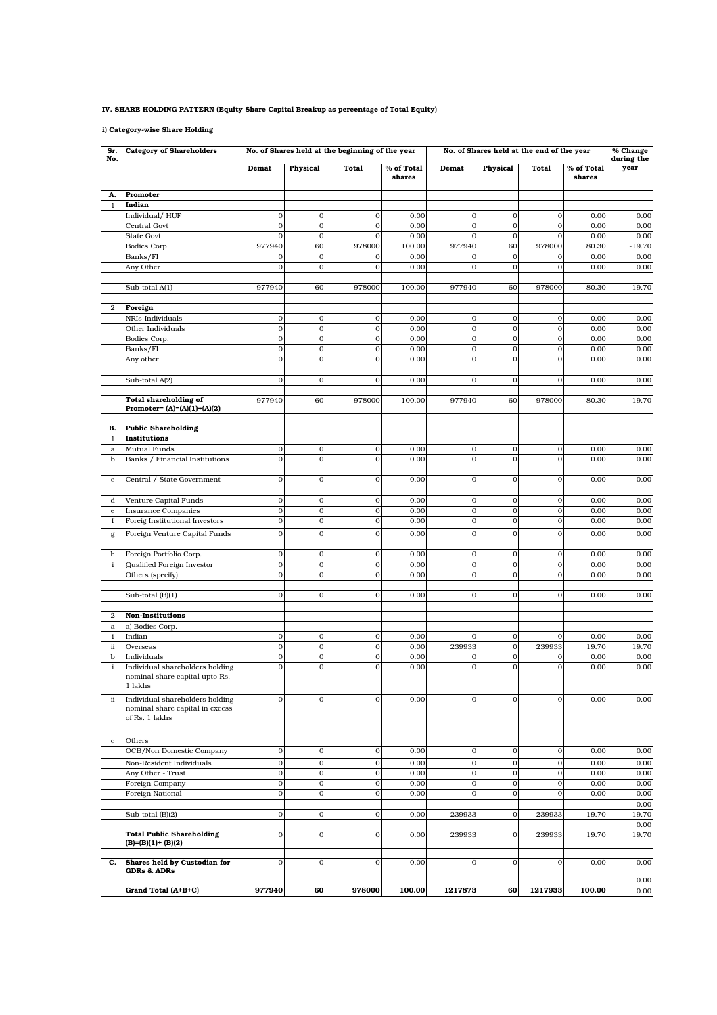## IV. SHARE HOLDING PATTERN (Equity Share Capital Breakup as percentage of Total Equity)

i) Category-wise Share Holding

| Sr.<br>No.       | <b>Category of Shareholders</b>                                                      | No. of Shares held at the beginning of the year<br>No. of Shares held at the end of the year |                            |                              |                      |                            |                             |                             |                      | % Change<br>during the |
|------------------|--------------------------------------------------------------------------------------|----------------------------------------------------------------------------------------------|----------------------------|------------------------------|----------------------|----------------------------|-----------------------------|-----------------------------|----------------------|------------------------|
|                  |                                                                                      | Demat                                                                                        | Physical                   | Total                        | % of Total<br>shares | Demat                      | Physical                    | Total                       | % of Total<br>shares | year                   |
| A.               | Promoter                                                                             |                                                                                              |                            |                              |                      |                            |                             |                             |                      |                        |
| 1                | Indian                                                                               |                                                                                              |                            |                              |                      |                            |                             |                             |                      |                        |
|                  | Individual/HUF                                                                       | $\mathbf 0$                                                                                  | $\mathbf 0$                | $\mathbf{O}$                 | 0.00                 | $\mathbf 0$                | $\mathbf{O}$                | $\mathbf 0$                 | 0.00                 | 0.00                   |
|                  | Central Govt<br>State Govt                                                           | $\mathbf 0$<br>$\mathbf 0$                                                                   | $\mathbf 0$<br>$\mathbf 0$ | $\mathbf{o}$<br>$\mathbf{O}$ | 0.00<br>0.00         | $\mathbf 0$<br>$\mathbf 0$ | $\mathbf 0$<br>$\mathbf 0$  | $\mathbf 0$<br>$\mathbf 0$  | 0.00<br>0.00         | 0.00<br>0.00           |
|                  | Bodies Corp.                                                                         | 977940                                                                                       | 60                         | 978000                       | 100.00               | 977940                     | 60                          | 978000                      | 80.30                | $-19.70$               |
|                  | Banks/FI                                                                             | $\mathbf 0$                                                                                  | $\mathbf{0}$               | $\mathbf 0$                  | 0.00                 | $\mathbf{O}$               | $\mathbf{O}$                | $\mathbf 0$                 | 0.00                 | 0.00                   |
|                  | Any Other                                                                            | $\mathbf 0$                                                                                  | $\mathbf 0$                | $\mathbf{O}$                 | 0.00                 | $\mathbf 0$                | $\mathbf 0$                 | $\mathbf 0$                 | 0.00                 | 0.00                   |
|                  | Sub-total A(1)                                                                       | 977940                                                                                       | 60                         | 978000                       | 100.00               | 977940                     | 60                          | 978000                      | 80.30                | $-19.70$               |
|                  |                                                                                      |                                                                                              |                            |                              |                      |                            |                             |                             |                      |                        |
| $\boldsymbol{2}$ | Foreign<br>NRIs-Individuals                                                          | $\mathbf 0$                                                                                  | $\mathbf{0}$               | $\mathbf{O}$                 | 0.00                 | $\mathbf 0$                | $\mathbf 0$                 | $\mathbf 0$                 | 0.00                 | 0.00                   |
|                  | Other Individuals                                                                    | $\mathbf 0$                                                                                  | $\mathbf 0$                | $\mathbf{o}$                 | 0.00                 | $\mathbf{o}$               | $\mathbf{O}$                | $\mathbf 0$                 | 0.00                 | 0.00                   |
|                  | Bodies Corp.                                                                         | $\bf{0}$                                                                                     | $\mathbf 0$                | $\mathbf{o}$                 | 0.00                 | $\mathbf 0$                | $\mathbf 0$                 | $\boldsymbol{0}$            | 0.00                 | 0.00                   |
|                  | Banks/FI                                                                             | $\mathbf 0$                                                                                  | $\mathbf 0$                | $\mathbf{O}$                 | 0.00                 | $\mathbf{O}$               | $\mathbf 0$                 | $\boldsymbol{0}$            | 0.00                 | 0.00                   |
|                  | Any other                                                                            | $\mathbf 0$                                                                                  | $\mathbf 0$                | $\mathbf{O}$                 | 0.00                 | $\mathbf 0$                | $\mathbf{O}$                | $\mathbf 0$                 | 0.00                 | 0.00                   |
|                  |                                                                                      |                                                                                              |                            |                              |                      |                            |                             |                             |                      |                        |
|                  | Sub-total A(2)                                                                       | $\mathbf 0$                                                                                  | $\mathbf 0$                | $\mathbf{O}$                 | 0.00                 | $\mathbf{O}$               | $\mathbf{O}$                | $\mathbf{0}$                | 0.00                 | 0.00                   |
|                  | <b>Total shareholding of</b><br>Promoter= (A)=(A)(1)+(A)(2)                          | 977940                                                                                       | 60                         | 978000                       | 100.00               | 977940                     | 60                          | 978000                      | 80.30                | $-19.70$               |
| B.               | <b>Public Shareholding</b>                                                           |                                                                                              |                            |                              |                      |                            |                             |                             |                      |                        |
| 1                | <b>Institutions</b>                                                                  |                                                                                              |                            |                              |                      |                            |                             |                             |                      |                        |
| $\rm{a}$         | Mutual Funds                                                                         | $\mathbf 0$                                                                                  | $\mathbf 0$                | $\mathbf{O}$                 | 0.00                 | $\mathbf 0$                | $\mathbf 0$                 | $\mathbf 0$                 | 0.00                 | 0.00                   |
| b                | Banks / Financial Institutions                                                       | $\mathbf 0$                                                                                  | $\mathbf 0$                | $\mathbf{O}$                 | 0.00                 | $\mathbf 0$                | $\mathbf 0$                 | $\mathbf 0$                 | 0.00                 | 0.00                   |
| $\mathbf c$      | Central / State Government                                                           | $\mathbf 0$                                                                                  | $\mathbf 0$                | $\mathbf{O}$                 | 0.00                 | $\mathbf 0$                | $\mathbf 0$                 | $\mathbf 0$                 | 0.00                 | 0.00                   |
| d                | Venture Capital Funds                                                                | $\mathbf 0$                                                                                  | $\mathbf 0$                | $\mathbf{o}$                 | 0.00                 | $\mathbf 0$                | $\mathbf 0$                 | $\mathbf 0$                 | 0.00                 | 0.00                   |
| e                | <b>Insurance Companies</b>                                                           | $\mathbf 0$                                                                                  | $\mathbf 0$                | $\mathbf{o}$                 | 0.00                 | $\mathbf 0$                | $\mathbf 0$                 | $\mathbf 0$                 | 0.00                 | 0.00                   |
| f                | Foreig Institutional Investors                                                       | $\overline{0}$                                                                               | $\mathbf 0$                | $\mathbf{O}$                 | 0.00                 | $\overline{0}$             | $\overline{0}$              | $\mathbf 0$                 | 0.00                 | 0.00                   |
| g                | Foreign Venture Capital Funds                                                        | $\mathbf 0$                                                                                  | $\mathbf 0$                | $\mathbf{O}$                 | 0.00                 | $\mathbf{O}$               | $\mathbf{O}$                | $\mathbf{O}$                | 0.00                 | 0.00                   |
| h                | Foreign Portfolio Corp.                                                              | $\mathbf 0$                                                                                  | $\mathbf 0$                | $\mathbf{O}$                 | 0.00                 | $\mathbf 0$                | $\mathbf 0$                 | $\mathbf 0$                 | 0.00                 | 0.00                   |
| i                | Qualified Foreign Investor<br>Others (specify)                                       | $\mathbf 0$<br>$\mathbf{0}$                                                                  | $\mathbf 0$<br>$\mathbf 0$ | $\mathbf{O}$<br>$\mathbf{O}$ | 0.00<br>0.00         | $\mathbf 0$<br>$\mathbf 0$ | $\mathbf{o}$<br>$\mathbf 0$ | $\mathbf 0$<br>$\mathbf{O}$ | 0.00<br>0.00         | 0.00<br>0.00           |
|                  |                                                                                      |                                                                                              |                            |                              |                      |                            |                             |                             |                      |                        |
|                  | Sub-total (B)(1)                                                                     | $\mathbf 0$                                                                                  | $\mathbf 0$                | $\mathbf{O}$                 | 0.00                 | $\mathbf{O}$               | $\mathbf{O}$                | $\mathbf{O}$                | 0.00                 | 0.00                   |
|                  |                                                                                      |                                                                                              |                            |                              |                      |                            |                             |                             |                      |                        |
| $\mathbf{2}$     | <b>Non-Institutions</b>                                                              |                                                                                              |                            |                              |                      |                            |                             |                             |                      |                        |
| $\rm{a}$         | a) Bodies Corp.                                                                      | $\mathbf 0$                                                                                  | $\mathbf{0}$               | $\mathbf{O}$                 | 0.00                 | $\mathbf 0$                | $\mathbf 0$                 | $\mathbf{0}$                | 0.00                 | 0.00                   |
| i<br>ii          | Indian<br>Overseas                                                                   | $\mathbf 0$                                                                                  | $\mathbf 0$                | $\mathbf{o}$                 | 0.00                 | 239933                     | $\mathbf 0$                 | 239933                      | 19.70                | 19.70                  |
| b                | Individuals                                                                          | $\bf{0}$                                                                                     | $\boldsymbol{0}$           | $\mathbf{o}$                 | 0.00                 | 0                          | $\mathbf 0$                 | $\mathbf 0$                 | 0.00                 | 0.00                   |
| i                | Individual shareholders holding                                                      | $\mathbf{0}$                                                                                 | $\mathbf{0}$               | $\mathbf{O}$                 | 0.00                 | $\mathbf{O}$               | $\mathbf 0$                 | $\mathbf{O}$                | 0.00                 | 0.00                   |
|                  | nominal share capital upto Rs.<br>1 lakhs                                            |                                                                                              |                            |                              |                      |                            |                             |                             |                      |                        |
| ii               | Individual shareholders holding<br>nominal share capital in excess<br>of Rs. 1 lakhs | $\mathbf{0}$                                                                                 | $\mathbf{O}$               | $\mathbf{O}$                 | 0.00                 | $\mathbf{O}$               | $\mathbf{O}$                | $\mathbf{O}$                | 0.00                 | 0.00                   |
| $\mathbf c$      | Others                                                                               |                                                                                              |                            |                              |                      |                            |                             |                             |                      |                        |
|                  | OCB/Non Domestic Company                                                             | $\boldsymbol{0}$                                                                             | $\mathbf 0$                | $\mathbf{O}$                 | 0.00                 | $\mathbf 0$                | $\mathbf 0$                 | $\mathbf 0$                 | 0.00                 | 0.00                   |
|                  | Non-Resident Individuals                                                             | $\mathbf 0$                                                                                  | $\mathbf 0$                | $\mathbf{O}$                 | 0.00                 | $\mathbf 0$                | $\mathbf 0$                 | $\mathbf 0$                 | 0.00                 | 0.00                   |
|                  | Any Other - Trust                                                                    | $\mathbf 0$                                                                                  | $\mathbf 0$                | $\mathbf{O}$                 | 0.00                 | $\mathbf 0$                | $\mathbf 0$                 | $\,0\,$                     | 0.00                 | 0.00                   |
|                  | Foreign Company                                                                      | $\mathbf 0$                                                                                  | $\mathbf 0$                | $\mathbf{o}$                 | 0.00                 | $\mathbf 0$                | $\mathbf 0$                 | $\mathbf 0$                 | 0.00                 | 0.00                   |
|                  | Foreign National                                                                     | $\mathbf 0$                                                                                  | $\mathbf{O}$               | $\mathbf{O}$                 | 0.00                 | $\mathbf 0$                | $\mathbf 0$                 | $\mathbf 0$                 | 0.00                 | 0.00                   |
|                  |                                                                                      |                                                                                              |                            |                              |                      |                            |                             |                             |                      | 0.00                   |
|                  | Sub-total (B)(2)                                                                     | $\mathbf 0$                                                                                  | $\mathbf 0$                | $\mathbf{O}$                 | 0.00                 | 239933                     | $\mathbf 0$                 | 239933                      | 19.70                | 19.70<br>0.00          |
|                  | <b>Total Public Shareholding</b><br>$(B)=(B)(1)+(B)(2)$                              | $\mathbf{0}$                                                                                 | $\mathbf 0$                | $\mathbf{O}$                 | 0.00                 | 239933                     | $\mathbf 0$                 | 239933                      | 19.70                | 19.70                  |
| c.               | Shares held by Custodian for<br><b>GDRs &amp; ADRs</b>                               | $\mathbf 0$                                                                                  | $\mathbf 0$                | $\mathbf{O}$                 | 0.00                 | $\mathbf{O}$               | $\mathbf{O}$                | $\mathbf 0$                 | 0.00                 | 0.00                   |
|                  | Grand Total (A+B+C)                                                                  | 977940                                                                                       | 60                         | 978000                       | 100.00               | 1217873                    | 60                          | 1217933                     | 100.00               | 0.00<br>0.00           |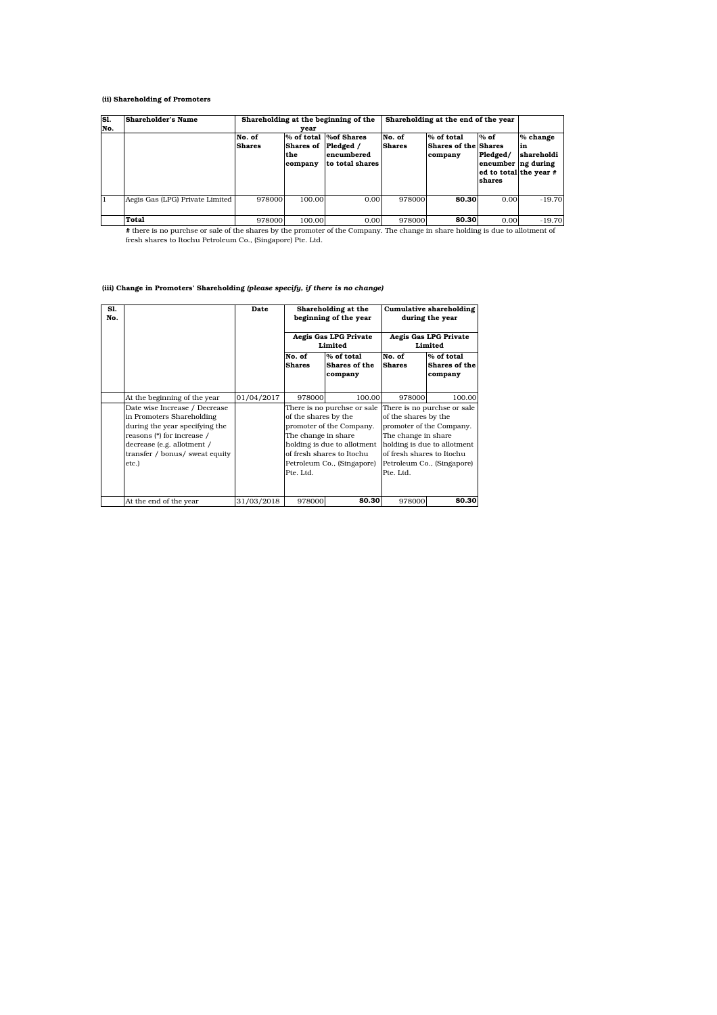### (ii) Shareholding of Promoters

| S1.<br>No. | Shareholder's Name              | Shareholding at the beginning of the<br>vear |                                           |                                                          | Shareholding at the end of the year |                                                      |                                                                              |                              |
|------------|---------------------------------|----------------------------------------------|-------------------------------------------|----------------------------------------------------------|-------------------------------------|------------------------------------------------------|------------------------------------------------------------------------------|------------------------------|
|            |                                 | No. of<br><b>Shares</b>                      | % of total<br>Shares of<br>the<br>company | %of Shares<br>Pledged /<br>encumbered<br>to total shares | No. of<br><b>Shares</b>             | % of total<br><b>Shares of the Shares</b><br>company | $%$ of<br>Pledged/<br>encumber ng during<br>ed to total the year #<br>shares | % change<br>in<br>shareholdi |
|            | Aegis Gas (LPG) Private Limited | 978000                                       | 100.00                                    | 0.00                                                     | 978000                              | 80.30                                                | 0.00                                                                         | $-19.70$                     |
|            | Total                           | 978000                                       | 100.00                                    | 0.00                                                     | 978000                              | 80.30                                                | 0.00                                                                         | $-19.70$                     |

# there is no purchse or sale of the shares by the promoter of the Company. The change in share holding is due to allotment of fresh shares to Itochu Petroleum Co., (Singapore) Pte. Ltd.

### (iii) Change in Promoters' Shareholding *(please specify, if there is no change)*

| Sl.<br>No. |                                                                                                                                                                                                     | Date       | Shareholding at the<br>beginning of the year<br>Aegis Gas LPG Private |                                                                                                                                                                               |                                                                                       | Cumulative shareholding<br>during the year<br>Aegis Gas LPG Private                   |
|------------|-----------------------------------------------------------------------------------------------------------------------------------------------------------------------------------------------------|------------|-----------------------------------------------------------------------|-------------------------------------------------------------------------------------------------------------------------------------------------------------------------------|---------------------------------------------------------------------------------------|---------------------------------------------------------------------------------------|
|            |                                                                                                                                                                                                     |            |                                                                       | Limited                                                                                                                                                                       |                                                                                       | Limited                                                                               |
|            |                                                                                                                                                                                                     |            | No. of<br><b>Shares</b>                                               | % of total<br>Shares of the<br>company                                                                                                                                        | No. of<br><b>Shares</b>                                                               | % of total<br>Shares of the<br>company                                                |
|            | At the beginning of the year                                                                                                                                                                        | 01/04/2017 | 978000                                                                | 100.00                                                                                                                                                                        | 978000                                                                                | 100.00                                                                                |
|            | Date wise Increase / Decrease<br>in Promoters Shareholding<br>during the year specifying the<br>reasons (*) for increase /<br>decrease (e.g. allotment /<br>transfer / bonus/ sweat equity<br>etc.) |            | of the shares by the<br>The change in share<br>Pte. Ltd.              | There is no purchse or sale There is no purchse or sale<br>promoter of the Company.<br>holding is due to allotment<br>of fresh shares to Itochu<br>Petroleum Co., (Singapore) | of the shares by the<br>The change in share<br>of fresh shares to Itochu<br>Pte. Ltd. | promoter of the Company.<br>holding is due to allotment<br>Petroleum Co., (Singapore) |
|            | At the end of the year                                                                                                                                                                              | 31/03/2018 | 978000                                                                | 80.30                                                                                                                                                                         | 978000                                                                                | 80.30                                                                                 |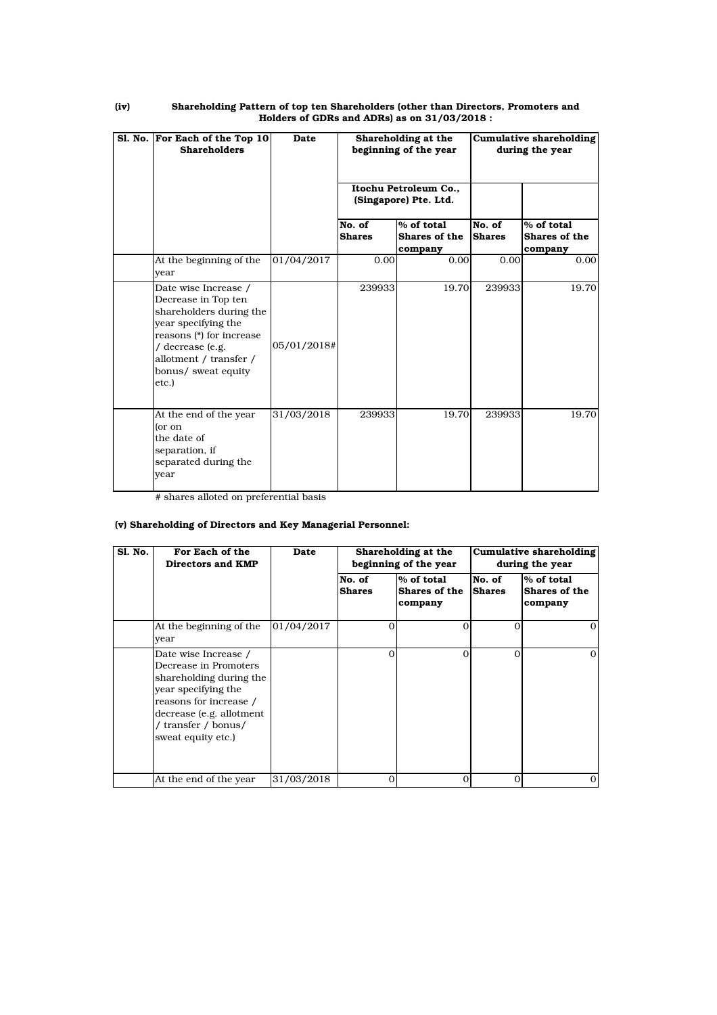| Sl. No. For Each of the Top 10<br><b>Shareholders</b>                                                                                                                                                   | Date        |                         | Shareholding at the<br>beginning of the year |                         | <b>Cumulative shareholding</b><br>during the year |
|---------------------------------------------------------------------------------------------------------------------------------------------------------------------------------------------------------|-------------|-------------------------|----------------------------------------------|-------------------------|---------------------------------------------------|
|                                                                                                                                                                                                         |             |                         | Itochu Petroleum Co<br>(Singapore) Pte. Ltd. |                         |                                                   |
|                                                                                                                                                                                                         |             | No. of<br><b>Shares</b> | % of total<br>Shares of the<br>company       | No. of<br><b>Shares</b> | $%$ of total<br>Shares of the<br>company          |
| At the beginning of the<br>vear                                                                                                                                                                         | 01/04/2017  | 0.00                    | 0.00                                         | 0.00                    | 0.00                                              |
| Date wise Increase /<br>Decrease in Top ten<br>shareholders during the<br>year specifying the<br>reasons (*) for increase<br>/ decrease (e.g.<br>allotment / transfer /<br>bonus/ sweat equity<br>etc.) | 05/01/2018# | 239933                  | 19.70                                        | 239933                  | 19.70                                             |
| At the end of the year<br>or on<br>the date of<br>separation, if<br>separated during the<br>year                                                                                                        | 31/03/2018  | 239933                  | 19.70                                        | 239933                  | 19.70                                             |

#### (iv) Shareholding Pattern of top ten Shareholders (other than Directors, Promoters and Holders of GDRs and ADRs) as on 31/03/2018 :

# shares alloted on preferential basis

## (v) Shareholding of Directors and Key Managerial Personnel:

| <b>S1. No.</b> | For Each of the<br>Directors and KMP                                                                                                                                                               | Date       |                         | Shareholding at the<br>beginning of the year |                         | Cumulative shareholding<br>during the year |
|----------------|----------------------------------------------------------------------------------------------------------------------------------------------------------------------------------------------------|------------|-------------------------|----------------------------------------------|-------------------------|--------------------------------------------|
|                |                                                                                                                                                                                                    |            | No. of<br><b>Shares</b> | % of total<br>Shares of the<br>company       | No. of<br><b>Shares</b> | % of total<br>Shares of the<br>company     |
|                | At the beginning of the<br>vear                                                                                                                                                                    | 01/04/2017 | $\Omega$                | $\Omega$                                     | $\Omega$                | $\Omega$                                   |
|                | Date wise Increase /<br>Decrease in Promoters<br>shareholding during the<br>year specifying the<br>reasons for increase /<br>decrease (e.g. allotment<br>/ transfer / bonus/<br>sweat equity etc.) |            | $\Omega$                | $\Omega$                                     | $\Omega$                | 0                                          |
|                | At the end of the year                                                                                                                                                                             | 31/03/2018 | $\Omega$                | 0                                            | $\Omega$                | 0                                          |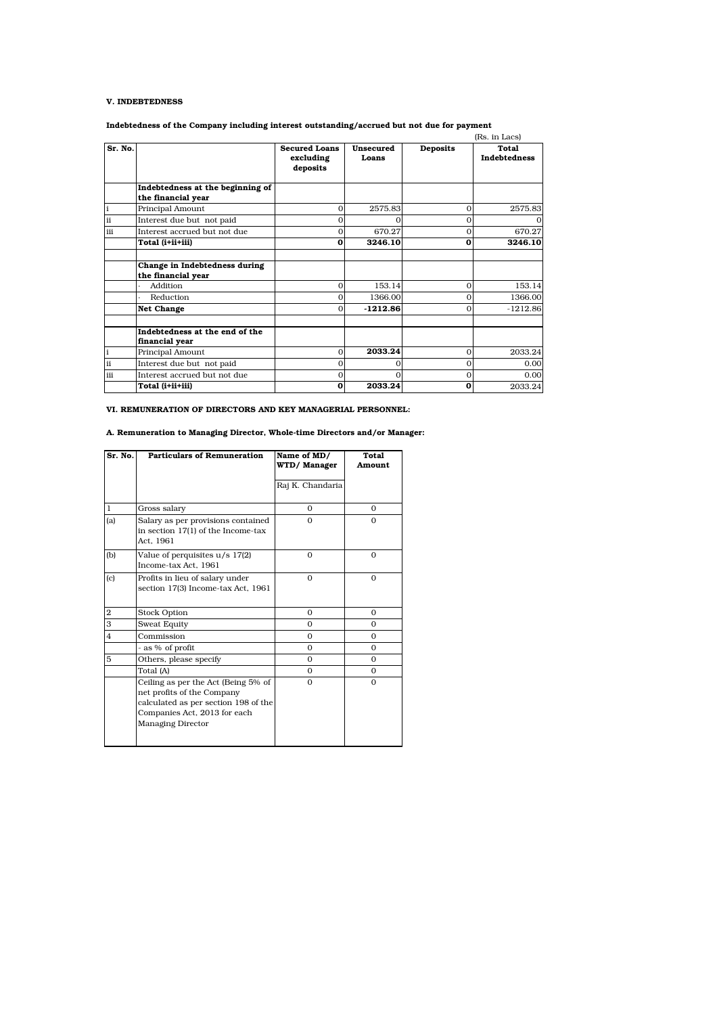### V. INDEBTEDNESS

Indebtedness of the Company including interest outstanding/accrued but not due for payment

|              |                                                        |                      |            |                 | (Rs. in Lacs)       |
|--------------|--------------------------------------------------------|----------------------|------------|-----------------|---------------------|
| Sr. No.      |                                                        | <b>Secured Loans</b> | Unsecured  | <b>Deposits</b> | Total               |
|              |                                                        | excluding            | Loans      |                 | <b>Indebtedness</b> |
|              |                                                        | deposits             |            |                 |                     |
|              | Indebtedness at the beginning of<br>the financial year |                      |            |                 |                     |
| $\mathbf{i}$ | Principal Amount                                       | $\Omega$             | 2575.83    | $\Omega$        | 2575.83             |
| ii           | Interest due but not paid                              | $\Omega$             | $\Omega$   | $\Omega$        | $\Omega$            |
| iii          | Interest accrued but not due                           | 0                    | 670.27     | $\Omega$        | 670.27              |
|              | Total (i+ii+iii)                                       | 0                    | 3246.10    | 0               | 3246.10             |
|              |                                                        |                      |            |                 |                     |
|              | Change in Indebtedness during                          |                      |            |                 |                     |
|              | the financial year                                     |                      |            |                 |                     |
|              | Addition                                               | $\Omega$             | 153.14     | $\Omega$        | 153.14              |
|              | Reduction                                              | $\Omega$             | 1366.00    | $\Omega$        | 1366.00             |
|              | <b>Net Change</b>                                      | 0                    | $-1212.86$ | $\Omega$        | $-1212.86$          |
|              |                                                        |                      |            |                 |                     |
|              | Indebtedness at the end of the                         |                      |            |                 |                     |
|              | financial year                                         |                      |            |                 |                     |
| $\mathbf i$  | Principal Amount                                       | $\Omega$             | 2033.24    | $\mathbf{0}$    | 2033.24             |
| ii           | Interest due but not paid                              | $\Omega$             | $\Omega$   | $\Omega$        | 0.00                |
| iii          | Interest accrued but not due                           | 0                    | $\Omega$   | $\mathbf{0}$    | 0.00                |
|              | Total (i+ii+iii)                                       | 0                    | 2033.24    | 0               | 2033.24             |

VI. REMUNERATION OF DIRECTORS AND KEY MANAGERIAL PERSONNEL:

A. Remuneration to Managing Director, Whole-time Directors and/or Manager:

| Sr. No.                 | <b>Particulars of Remuneration</b>                                                                                                                             | Name of MD/<br>WTD/Manager | Total<br>Amount |
|-------------------------|----------------------------------------------------------------------------------------------------------------------------------------------------------------|----------------------------|-----------------|
|                         |                                                                                                                                                                | Raj K. Chandaria           |                 |
| $\mathbf 1$             | Gross salary                                                                                                                                                   | $\Omega$                   | $\Omega$        |
| (a)                     | Salary as per provisions contained<br>in section 17(1) of the Income-tax<br>Act. 1961                                                                          | $\Omega$                   | $\Omega$        |
| (b)                     | Value of perquisites u/s 17(2)<br>Income-tax Act, 1961                                                                                                         | $\Omega$                   | $\Omega$        |
| (c)                     | Profits in lieu of salary under<br>section 17(3) Income-tax Act, 1961                                                                                          | $\Omega$                   | $\mathbf{O}$    |
| $\bf 2$                 | <b>Stock Option</b>                                                                                                                                            | $\Omega$                   | $\Omega$        |
| $\overline{\mathbf{3}}$ | Sweat Equity                                                                                                                                                   | $\Omega$                   | $\Omega$        |
| $\overline{4}$          | Commission                                                                                                                                                     | $\Omega$                   | $\Omega$        |
|                         | - as % of profit                                                                                                                                               | $\Omega$                   | $\Omega$        |
| 5                       | Others, please specify                                                                                                                                         | $\Omega$                   | $\Omega$        |
|                         | Total (A)                                                                                                                                                      | $\Omega$                   | $\Omega$        |
|                         | Ceiling as per the Act (Being 5% of<br>net profits of the Company<br>calculated as per section 198 of the<br>Companies Act, 2013 for each<br>Managing Director | $\Omega$                   | $\mathbf{O}$    |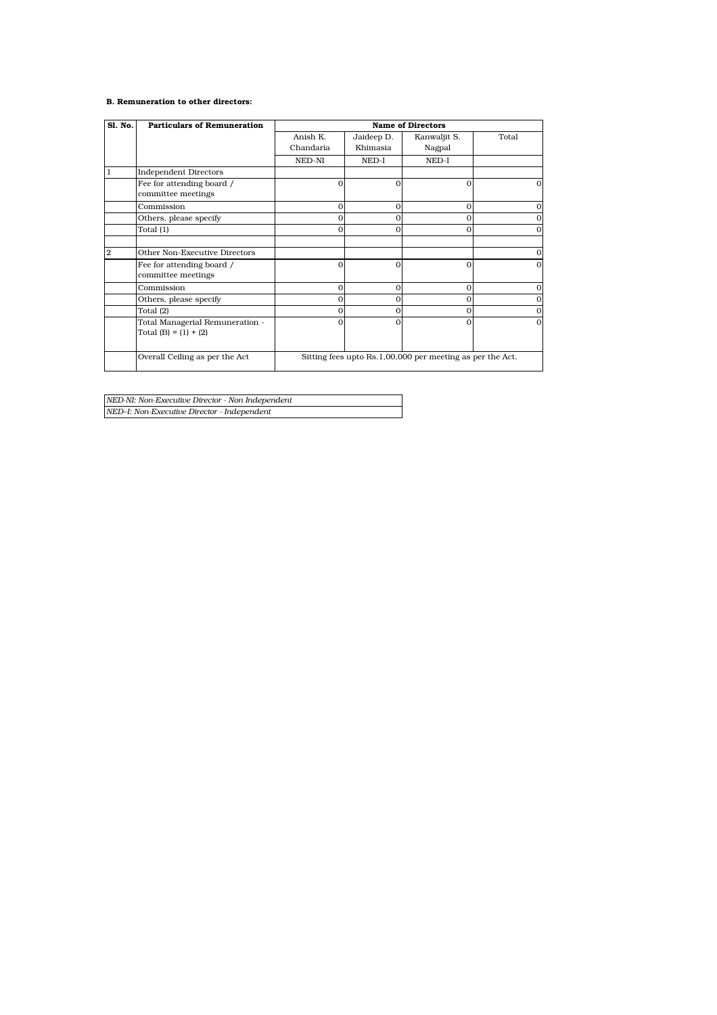## B. Remuneration to other directors:

| Sl. No.        | <b>Particulars of Remuneration</b>                         | <b>Name of Directors</b> |              |                                                           |          |  |  |
|----------------|------------------------------------------------------------|--------------------------|--------------|-----------------------------------------------------------|----------|--|--|
|                |                                                            | Anish K.                 | Jaideep D.   | Kanwaljit S.                                              | Total    |  |  |
|                |                                                            | Chandaria                | Khimasia     | Nagpal                                                    |          |  |  |
|                |                                                            | NED-NI                   | NED-I        | NED-I                                                     |          |  |  |
| 1              | <b>Independent Directors</b>                               |                          |              |                                                           |          |  |  |
|                | Fee for attending board /                                  | $\Omega$                 | $\Omega$     | $\Omega$                                                  |          |  |  |
|                | committee meetings                                         |                          |              |                                                           |          |  |  |
|                | Commission                                                 | $\Omega$                 | $\Omega$     | $\Omega$                                                  |          |  |  |
|                | Others, please specify                                     | $\Omega$                 | $\mathbf{0}$ | $\Omega$                                                  |          |  |  |
|                | Total (1)                                                  | $\overline{0}$           | $\Omega$     | $\Omega$                                                  |          |  |  |
|                |                                                            |                          |              |                                                           |          |  |  |
| $\overline{2}$ | Other Non-Executive Directors                              |                          |              |                                                           | $\Omega$ |  |  |
|                | Fee for attending board /                                  | $\Omega$                 | $\Omega$     | $\Omega$                                                  |          |  |  |
|                | committee meetings                                         |                          |              |                                                           |          |  |  |
|                | Commission                                                 | $\mathbf{O}$             | $\mathbf{O}$ | $\Omega$                                                  |          |  |  |
|                | Others, please specify                                     | $\mathbf{0}$             | $\mathbf{0}$ | $\mathbf 0$                                               |          |  |  |
|                | Total (2)                                                  | $\Omega$                 | $\Omega$     | $\Omega$                                                  |          |  |  |
|                | Total Managerial Remuneration -<br>Total (B) = $(1) + (2)$ | $\Omega$                 | $\Omega$     | $\Omega$                                                  | $\Omega$ |  |  |
|                | Overall Ceiling as per the Act                             |                          |              | Sitting fees upto Rs.1,00,000 per meeting as per the Act. |          |  |  |

*NED-NI: Non-Executive Director - Non Independent NED–I: Non-Executive Director - Independent*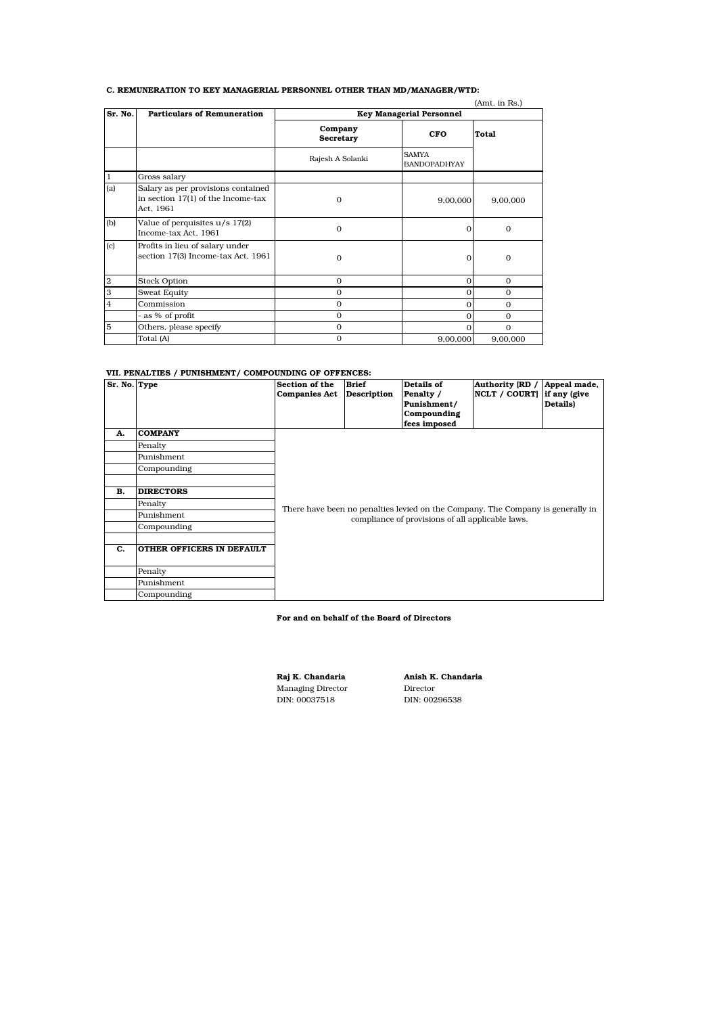## C. REMUNERATION TO KEY MANAGERIAL PERSONNEL OTHER THAN MD/MANAGER/WTD:

|                |                                                                                         |                      |                                     | (Amt. in Rs.) |  |  |  |
|----------------|-----------------------------------------------------------------------------------------|----------------------|-------------------------------------|---------------|--|--|--|
| Sr. No.        | <b>Particulars of Remuneration</b><br><b>Key Managerial Personnel</b>                   |                      |                                     |               |  |  |  |
|                |                                                                                         | Company<br>Secretary | <b>CFO</b>                          | <b>Total</b>  |  |  |  |
|                |                                                                                         | Rajesh A Solanki     | <b>SAMYA</b><br><b>BANDOPADHYAY</b> |               |  |  |  |
| 1              | Gross salary                                                                            |                      |                                     |               |  |  |  |
| (a)            | Salary as per provisions contained<br>in section $17(1)$ of the Income-tax<br>Act, 1961 | $\Omega$             | 9,00,000                            | 9,00,000      |  |  |  |
| (b)            | Value of perquisites u/s 17(2)<br>Income-tax Act, 1961                                  | $\mathbf{0}$         | 0                                   | $\mathbf{0}$  |  |  |  |
| (c)            | Profits in lieu of salary under<br>section 17(3) Income-tax Act, 1961                   | $\Omega$             | O                                   | $\mathbf 0$   |  |  |  |
| $\overline{2}$ | <b>Stock Option</b>                                                                     | $\mathbf{O}$         | $\Omega$                            | $\mathbf{0}$  |  |  |  |
| 3              | <b>Sweat Equity</b>                                                                     | $\mathbf{O}$         | O                                   | $\Omega$      |  |  |  |
| $\overline{4}$ | Commission                                                                              | $\mathbf{O}$         | 0                                   | $\mathbf{0}$  |  |  |  |
|                | - as % of profit                                                                        | $\Omega$             | $\Omega$                            | $\Omega$      |  |  |  |
| 5              | Others, please specify                                                                  | $\mathbf{O}$         | O                                   | $\Omega$      |  |  |  |
|                | Total (A)                                                                               | $\mathbf{0}$         | 9,00,000                            | 9,00,000      |  |  |  |

#### VII. PENALTIES / PUNISHMENT/ COMPOUNDING OF OFFENCES:

| Sr. No. Type |                           | Section of the<br><b>Companies Act</b> | <b>Brief</b><br><b>Description</b> | Details of<br>Penalty /<br>Punishment/<br>Compounding<br>fees imposed           | Authority [RD /<br>NCLT / COURT] if any (give | Appeal made,<br>Details) |  |  |  |  |
|--------------|---------------------------|----------------------------------------|------------------------------------|---------------------------------------------------------------------------------|-----------------------------------------------|--------------------------|--|--|--|--|
| А.           | <b>COMPANY</b>            |                                        |                                    |                                                                                 |                                               |                          |  |  |  |  |
|              | Penalty                   |                                        |                                    |                                                                                 |                                               |                          |  |  |  |  |
|              | Punishment                |                                        |                                    |                                                                                 |                                               |                          |  |  |  |  |
|              | Compounding               |                                        |                                    |                                                                                 |                                               |                          |  |  |  |  |
|              |                           |                                        |                                    |                                                                                 |                                               |                          |  |  |  |  |
| в.           | <b>DIRECTORS</b>          |                                        |                                    |                                                                                 |                                               |                          |  |  |  |  |
|              | Penalty                   |                                        |                                    | There have been no penalties levied on the Company. The Company is generally in |                                               |                          |  |  |  |  |
|              | Punishment                |                                        |                                    | compliance of provisions of all applicable laws.                                |                                               |                          |  |  |  |  |
|              | Compounding               |                                        |                                    |                                                                                 |                                               |                          |  |  |  |  |
|              |                           |                                        |                                    |                                                                                 |                                               |                          |  |  |  |  |
| C.           | OTHER OFFICERS IN DEFAULT |                                        |                                    |                                                                                 |                                               |                          |  |  |  |  |
|              | Penalty                   |                                        |                                    |                                                                                 |                                               |                          |  |  |  |  |
|              | Punishment                |                                        |                                    |                                                                                 |                                               |                          |  |  |  |  |
|              | Compounding               |                                        |                                    |                                                                                 |                                               |                          |  |  |  |  |

## For and on behalf of the Board of Directors

Managing Director Director DIN: 00037518 DIN: 00296538

Raj K. Chandaria Anish K. Chandaria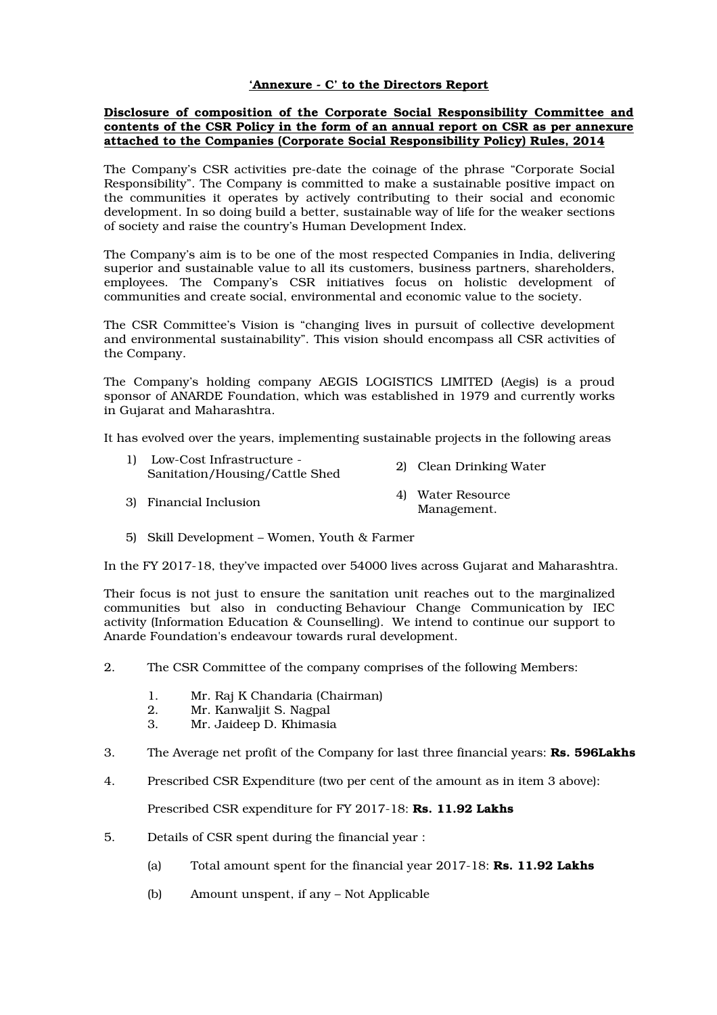## 'Annexure - C' to the Directors Report

## Disclosure of composition of the Corporate Social Responsibility Committee and contents of the CSR Policy in the form of an annual report on CSR as per annexure attached to the Companies (Corporate Social Responsibility Policy) Rules, 2014

The Company's CSR activities pre-date the coinage of the phrase "Corporate Social Responsibility". The Company is committed to make a sustainable positive impact on the communities it operates by actively contributing to their social and economic development. In so doing build a better, sustainable way of life for the weaker sections of society and raise the country's Human Development Index.

The Company's aim is to be one of the most respected Companies in India, delivering superior and sustainable value to all its customers, business partners, shareholders, employees. The Company's CSR initiatives focus on holistic development of communities and create social, environmental and economic value to the society.

The CSR Committee's Vision is "changing lives in pursuit of collective development and environmental sustainability". This vision should encompass all CSR activities of the Company.

The Company's holding company AEGIS LOGISTICS LIMITED (Aegis) is a proud sponsor of ANARDE Foundation, which was established in 1979 and currently works in Gujarat and Maharashtra.

It has evolved over the years, implementing sustainable projects in the following areas

| 1) Low-Cost Infrastructure -<br>Sanitation/Housing/Cattle Shed | 2) Clean Drinking Water          |
|----------------------------------------------------------------|----------------------------------|
| 3) Financial Inclusion                                         | 4) Water Resource<br>Management. |

5) Skill Development – Women, Youth & Farmer

In the FY 2017-18, they've impacted over 54000 lives across Gujarat and Maharashtra.

Their focus is not just to ensure the sanitation unit reaches out to the marginalized communities but also in conducting Behaviour Change Communication by IEC activity (Information Education & Counselling). We intend to continue our support to Anarde Foundation's endeavour towards rural development.

- 2. The CSR Committee of the company comprises of the following Members:
	- 1. Mr. Raj K Chandaria (Chairman)<br>2. Mr. Kanwaliit S. Nagpal
	- 2. Mr. Kanwaljit S. Nagpal
	- 3. Mr. Jaideep D. Khimasia
- 3. The Average net profit of the Company for last three financial years: Rs. 596Lakhs
- 4. Prescribed CSR Expenditure (two per cent of the amount as in item 3 above):

Prescribed CSR expenditure for FY 2017-18: Rs. 11.92 Lakhs

- 5. Details of CSR spent during the financial year :
	- (a) Total amount spent for the financial year  $2017-18$ : **Rs. 11.92 Lakhs**
	- (b) Amount unspent, if any Not Applicable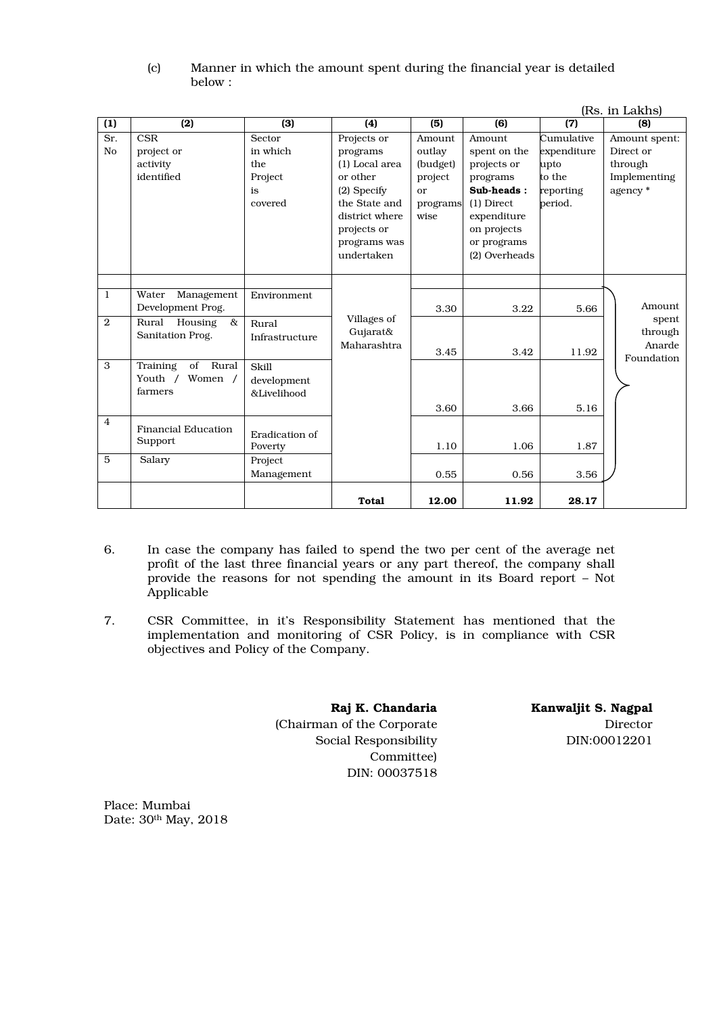| (c) | Manner in which the amount spent during the financial year is detailed |
|-----|------------------------------------------------------------------------|
|     | below:                                                                 |

| (Rs. in Lakhs)        |                                                          |                                                       |                                                                                                                                                        |                                                                   |                                                                                                                                               |                                                                     |                                                                  |
|-----------------------|----------------------------------------------------------|-------------------------------------------------------|--------------------------------------------------------------------------------------------------------------------------------------------------------|-------------------------------------------------------------------|-----------------------------------------------------------------------------------------------------------------------------------------------|---------------------------------------------------------------------|------------------------------------------------------------------|
| (1)                   | (2)                                                      | (3)                                                   | (4)                                                                                                                                                    | (5)                                                               | (6)                                                                                                                                           | (7)                                                                 | (8)                                                              |
| Sr.<br>N <sub>o</sub> | <b>CSR</b><br>project or<br>activity<br>identified       | Sector<br>in which<br>the<br>Project<br>is<br>covered | Projects or<br>programs<br>(1) Local area<br>or other<br>$(2)$ Specify<br>the State and<br>district where<br>projects or<br>programs was<br>undertaken | Amount<br>outlay<br>(budget)<br>project<br>or<br>programs<br>wise | Amount<br>spent on the<br>projects or<br>programs<br>Sub-heads:<br>$(1)$ Direct<br>expenditure<br>on projects<br>or programs<br>(2) Overheads | Cumulative<br>expenditure<br>upto<br>to the<br>reporting<br>period. | Amount spent:<br>Direct or<br>through<br>Implementing<br>agency* |
| $\mathbf{1}$          | Water<br>Management<br>Development Prog.                 | <b>Environment</b>                                    |                                                                                                                                                        | 3.30                                                              | 3.22                                                                                                                                          | 5.66                                                                | Amount                                                           |
| 2                     | Housing<br>$\&$<br>Rural<br>Sanitation Prog.             | Rural<br>Infrastructure                               | Villages of<br>Gujarat&<br>Maharashtra                                                                                                                 | 3.45                                                              | 3.42                                                                                                                                          | 11.92                                                               | spent<br>through<br>Anarde                                       |
| 3                     | of<br>Rural<br>Training<br>Youth /<br>Women /<br>farmers | Skill<br>development<br>&Livelihood                   |                                                                                                                                                        | 3.60                                                              | 3.66                                                                                                                                          | 5.16                                                                | Foundation                                                       |
| $\overline{4}$        | <b>Financial Education</b><br>Support                    | Eradication of<br>Poverty                             |                                                                                                                                                        | 1.10                                                              | 1.06                                                                                                                                          | 1.87                                                                |                                                                  |
| $5\overline{5}$       | Salary                                                   | Project<br>Management                                 |                                                                                                                                                        | 0.55                                                              | 0.56                                                                                                                                          | 3.56                                                                |                                                                  |
|                       |                                                          |                                                       | <b>Total</b>                                                                                                                                           | 12.00                                                             | 11.92                                                                                                                                         | 28.17                                                               |                                                                  |

- 6. In case the company has failed to spend the two per cent of the average net profit of the last three financial years or any part thereof, the company shall provide the reasons for not spending the amount in its Board report – Not Applicable
- 7. CSR Committee, in it's Responsibility Statement has mentioned that the implementation and monitoring of CSR Policy, is in compliance with CSR objectives and Policy of the Company.

Raj K. Chandaria (Chairman of the Corporate Social Responsibility Committee) DIN: 00037518

Kanwaljit S. Nagpal Director DIN:00012201

Place: Mumbai Date: 30th May, 2018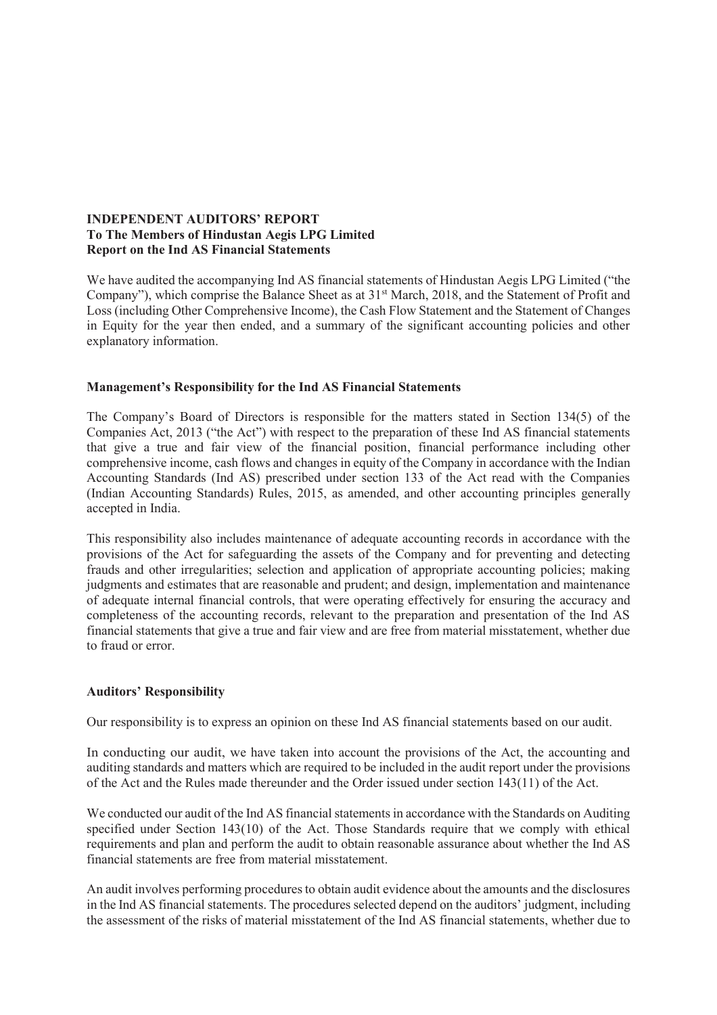## **INDEPENDENT AUDITORS' REPORT To The Members of Hindustan Aegis LPG Limited Report on the Ind AS Financial Statements**

We have audited the accompanying Ind AS financial statements of Hindustan Aegis LPG Limited ("the Company"), which comprise the Balance Sheet as at 31st March, 2018, and the Statement of Profit and Loss (including Other Comprehensive Income), the Cash Flow Statement and the Statement of Changes in Equity for the year then ended, and a summary of the significant accounting policies and other explanatory information.

## **Management's Responsibility for the Ind AS Financial Statements**

The Company's Board of Directors is responsible for the matters stated in Section 134(5) of the Companies Act, 2013 ("the Act") with respect to the preparation of these Ind AS financial statements that give a true and fair view of the financial position, financial performance including other comprehensive income, cash flows and changes in equity of the Company in accordance with the Indian Accounting Standards (Ind AS) prescribed under section 133 of the Act read with the Companies (Indian Accounting Standards) Rules, 2015, as amended, and other accounting principles generally accepted in India.

This responsibility also includes maintenance of adequate accounting records in accordance with the provisions of the Act for safeguarding the assets of the Company and for preventing and detecting frauds and other irregularities; selection and application of appropriate accounting policies; making judgments and estimates that are reasonable and prudent; and design, implementation and maintenance of adequate internal financial controls, that were operating effectively for ensuring the accuracy and completeness of the accounting records, relevant to the preparation and presentation of the Ind AS financial statements that give a true and fair view and are free from material misstatement, whether due to fraud or error.

## **Auditors' Responsibility**

Our responsibility is to express an opinion on these Ind AS financial statements based on our audit.

In conducting our audit, we have taken into account the provisions of the Act, the accounting and auditing standards and matters which are required to be included in the audit report under the provisions of the Act and the Rules made thereunder and the Order issued under section 143(11) of the Act.

We conducted our audit of the Ind AS financial statements in accordance with the Standards on Auditing specified under Section 143(10) of the Act. Those Standards require that we comply with ethical requirements and plan and perform the audit to obtain reasonable assurance about whether the Ind AS financial statements are free from material misstatement.

An audit involves performing procedures to obtain audit evidence about the amounts and the disclosures in the Ind AS financial statements. The procedures selected depend on the auditors' judgment, including the assessment of the risks of material misstatement of the Ind AS financial statements, whether due to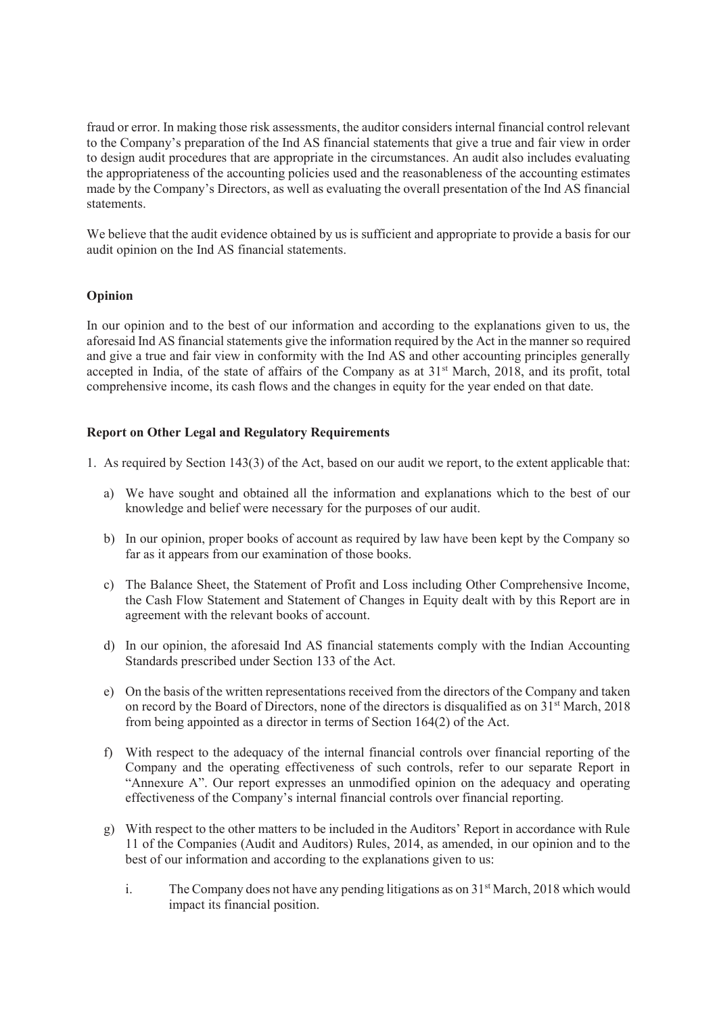fraud or error. In making those risk assessments, the auditor considers internal financial control relevant to the Company's preparation of the Ind AS financial statements that give a true and fair view in order to design audit procedures that are appropriate in the circumstances. An audit also includes evaluating the appropriateness of the accounting policies used and the reasonableness of the accounting estimates made by the Company's Directors, as well as evaluating the overall presentation of the Ind AS financial statements.

We believe that the audit evidence obtained by us is sufficient and appropriate to provide a basis for our audit opinion on the Ind AS financial statements.

## **Opinion**

In our opinion and to the best of our information and according to the explanations given to us, the aforesaid Ind AS financial statements give the information required by the Act in the manner so required and give a true and fair view in conformity with the Ind AS and other accounting principles generally accepted in India, of the state of affairs of the Company as at 31<sup>st</sup> March, 2018, and its profit, total comprehensive income, its cash flows and the changes in equity for the year ended on that date.

## **Report on Other Legal and Regulatory Requirements**

- 1. As required by Section 143(3) of the Act, based on our audit we report, to the extent applicable that:
	- a) We have sought and obtained all the information and explanations which to the best of our knowledge and belief were necessary for the purposes of our audit.
	- b) In our opinion, proper books of account as required by law have been kept by the Company so far as it appears from our examination of those books.
	- c) The Balance Sheet, the Statement of Profit and Loss including Other Comprehensive Income, the Cash Flow Statement and Statement of Changes in Equity dealt with by this Report are in agreement with the relevant books of account.
	- d) In our opinion, the aforesaid Ind AS financial statements comply with the Indian Accounting Standards prescribed under Section 133 of the Act.
	- e) On the basis of the written representations received from the directors of the Company and taken on record by the Board of Directors, none of the directors is disqualified as on 31<sup>st</sup> March, 2018 from being appointed as a director in terms of Section 164(2) of the Act.
	- f) With respect to the adequacy of the internal financial controls over financial reporting of the Company and the operating effectiveness of such controls, refer to our separate Report in "Annexure A". Our report expresses an unmodified opinion on the adequacy and operating effectiveness of the Company's internal financial controls over financial reporting.
	- g) With respect to the other matters to be included in the Auditors' Report in accordance with Rule 11 of the Companies (Audit and Auditors) Rules, 2014, as amended, in our opinion and to the best of our information and according to the explanations given to us:
		- i. The Company does not have any pending litigations as on  $31<sup>st</sup> March, 2018$  which would impact its financial position.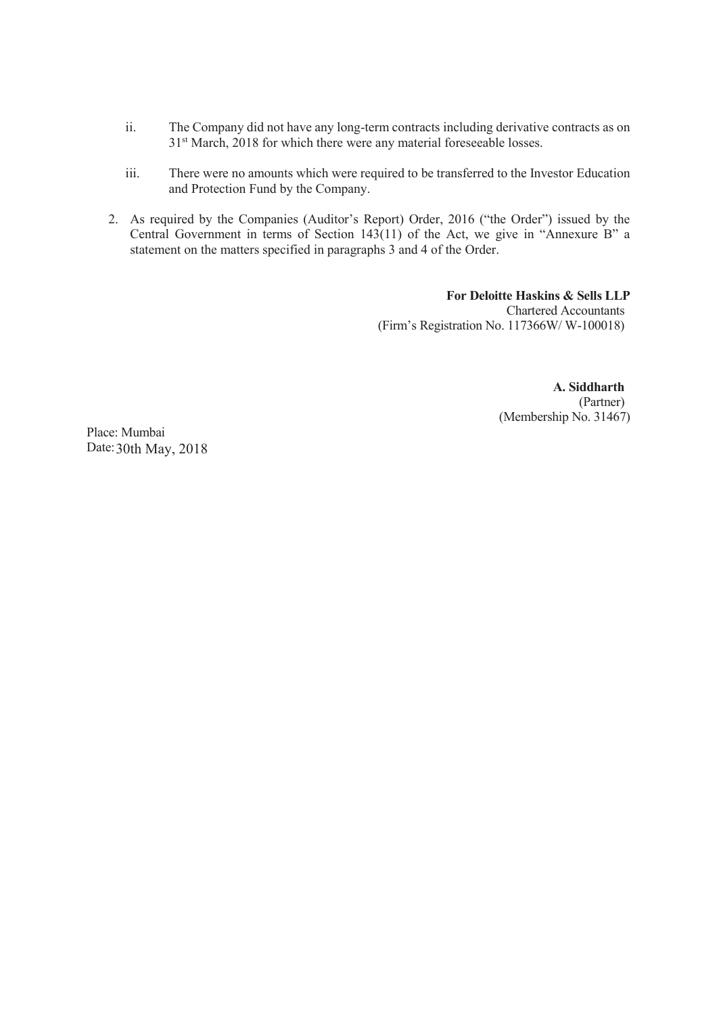- ii. The Company did not have any long-term contracts including derivative contracts as on 31<sup>st</sup> March, 2018 for which there were any material foreseeable losses.
- iii. There were no amounts which were required to be transferred to the Investor Education and Protection Fund by the Company.
- 2. As required by the Companies (Auditor's Report) Order, 2016 ("the Order") issued by the Central Government in terms of Section 143(11) of the Act, we give in "Annexure B" a statement on the matters specified in paragraphs 3 and 4 of the Order.

**For Deloitte Haskins & Sells LLP**  Chartered Accountants (Firm's Registration No. 117366W/ W-100018)

> **A. Siddharth**  (Partner) (Membership No. 31467)

Place: Mumbai Date: 30th May, 2018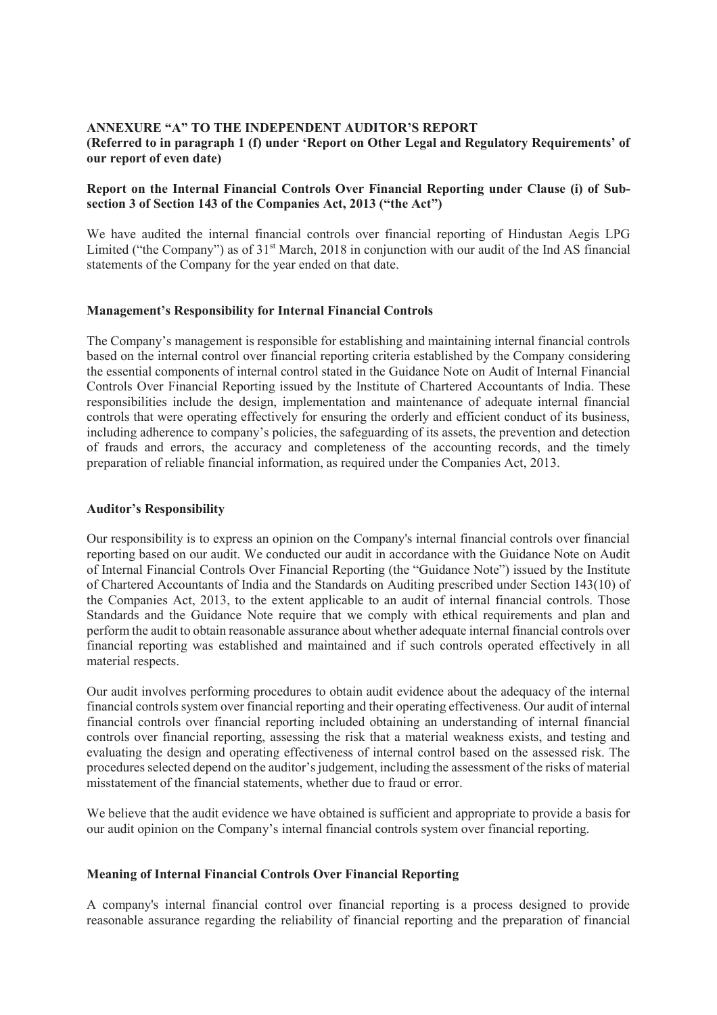## **ANNEXURE "A" TO THE INDEPENDENT AUDITOR'S REPORT (Referred to in paragraph 1 (f) under 'Report on Other Legal and Regulatory Requirements' of our report of even date)**

## **Report on the Internal Financial Controls Over Financial Reporting under Clause (i) of Subsection 3 of Section 143 of the Companies Act, 2013 ("the Act")**

We have audited the internal financial controls over financial reporting of Hindustan Aegis LPG Limited ("the Company") as of  $31<sup>st</sup>$  March, 2018 in conjunction with our audit of the Ind AS financial statements of the Company for the year ended on that date.

## **Management's Responsibility for Internal Financial Controls**

The Company's management is responsible for establishing and maintaining internal financial controls based on the internal control over financial reporting criteria established by the Company considering the essential components of internal control stated in the Guidance Note on Audit of Internal Financial Controls Over Financial Reporting issued by the Institute of Chartered Accountants of India. These responsibilities include the design, implementation and maintenance of adequate internal financial controls that were operating effectively for ensuring the orderly and efficient conduct of its business, including adherence to company's policies, the safeguarding of its assets, the prevention and detection of frauds and errors, the accuracy and completeness of the accounting records, and the timely preparation of reliable financial information, as required under the Companies Act, 2013.

## **Auditor's Responsibility**

Our responsibility is to express an opinion on the Company's internal financial controls over financial reporting based on our audit. We conducted our audit in accordance with the Guidance Note on Audit of Internal Financial Controls Over Financial Reporting (the "Guidance Note") issued by the Institute of Chartered Accountants of India and the Standards on Auditing prescribed under Section 143(10) of the Companies Act, 2013, to the extent applicable to an audit of internal financial controls. Those Standards and the Guidance Note require that we comply with ethical requirements and plan and perform the audit to obtain reasonable assurance about whether adequate internal financial controls over financial reporting was established and maintained and if such controls operated effectively in all material respects.

Our audit involves performing procedures to obtain audit evidence about the adequacy of the internal financial controls system over financial reporting and their operating effectiveness. Our audit of internal financial controls over financial reporting included obtaining an understanding of internal financial controls over financial reporting, assessing the risk that a material weakness exists, and testing and evaluating the design and operating effectiveness of internal control based on the assessed risk. The procedures selected depend on the auditor's judgement, including the assessment of the risks of material misstatement of the financial statements, whether due to fraud or error.

We believe that the audit evidence we have obtained is sufficient and appropriate to provide a basis for our audit opinion on the Company's internal financial controls system over financial reporting.

## **Meaning of Internal Financial Controls Over Financial Reporting**

A company's internal financial control over financial reporting is a process designed to provide reasonable assurance regarding the reliability of financial reporting and the preparation of financial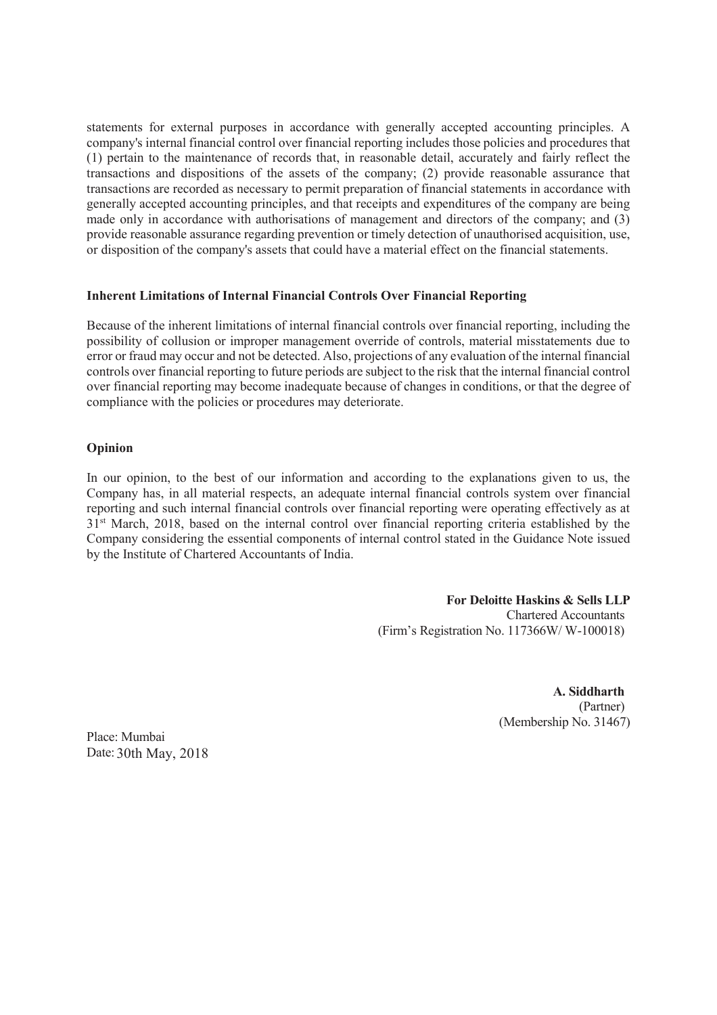statements for external purposes in accordance with generally accepted accounting principles. A company's internal financial control over financial reporting includes those policies and procedures that (1) pertain to the maintenance of records that, in reasonable detail, accurately and fairly reflect the transactions and dispositions of the assets of the company; (2) provide reasonable assurance that transactions are recorded as necessary to permit preparation of financial statements in accordance with generally accepted accounting principles, and that receipts and expenditures of the company are being made only in accordance with authorisations of management and directors of the company; and (3) provide reasonable assurance regarding prevention or timely detection of unauthorised acquisition, use, or disposition of the company's assets that could have a material effect on the financial statements.

## **Inherent Limitations of Internal Financial Controls Over Financial Reporting**

Because of the inherent limitations of internal financial controls over financial reporting, including the possibility of collusion or improper management override of controls, material misstatements due to error or fraud may occur and not be detected. Also, projections of any evaluation of the internal financial controls over financial reporting to future periods are subject to the risk that the internal financial control over financial reporting may become inadequate because of changes in conditions, or that the degree of compliance with the policies or procedures may deteriorate.

## **Opinion**

In our opinion, to the best of our information and according to the explanations given to us, the Company has, in all material respects, an adequate internal financial controls system over financial reporting and such internal financial controls over financial reporting were operating effectively as at 31<sup>st</sup> March, 2018, based on the internal control over financial reporting criteria established by the Company considering the essential components of internal control stated in the Guidance Note issued by the Institute of Chartered Accountants of India.

> **For Deloitte Haskins & Sells LLP**  Chartered Accountants (Firm's Registration No. 117366W/ W-100018)

> > **A. Siddharth**  (Partner) (Membership No. 31467)

Place: Mumbai Date: 30th May, 2018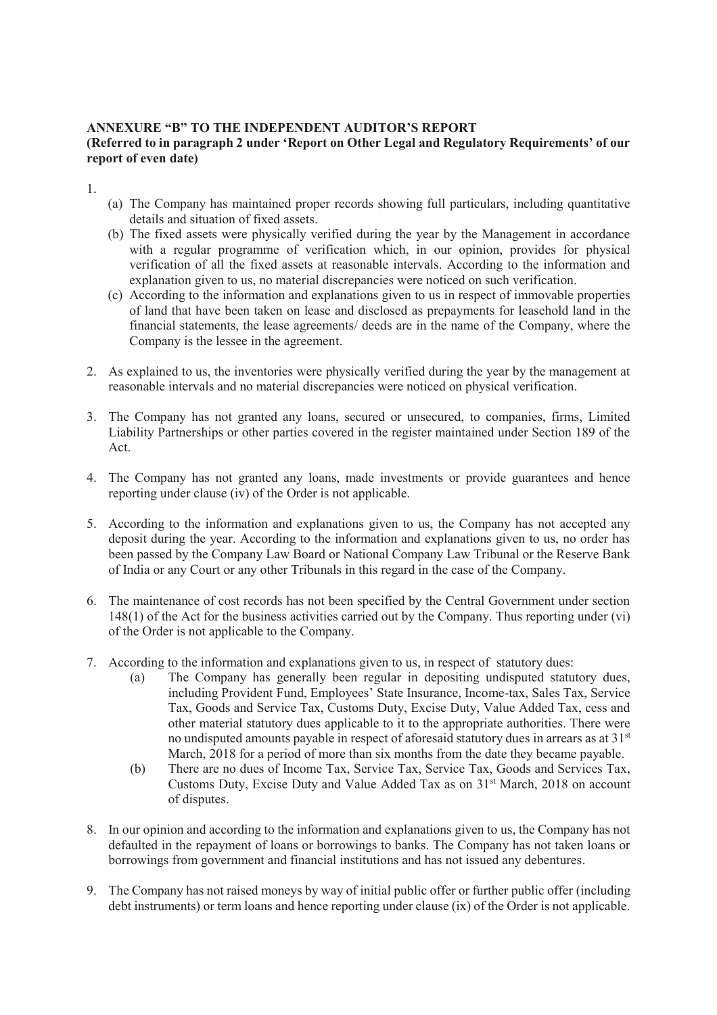## **ANNEXURE "B" TO THE INDEPENDENT AUDITOR'S REPORT (Referred to in paragraph 2 under 'Report on Other Legal and Regulatory Requirements' of our report of even date)**

1.

- (a) The Company has maintained proper records showing full particulars, including quantitative details and situation of fixed assets.
- (b) The fixed assets were physically verified during the year by the Management in accordance with a regular programme of verification which, in our opinion, provides for physical verification of all the fixed assets at reasonable intervals. According to the information and explanation given to us, no material discrepancies were noticed on such verification.
- (c) According to the information and explanations given to us in respect of immovable properties of land that have been taken on lease and disclosed as prepayments for leasehold land in the financial statements, the lease agreements/ deeds are in the name of the Company, where the Company is the lessee in the agreement.
- 2. As explained to us, the inventories were physically verified during the year by the management at reasonable intervals and no material discrepancies were noticed on physical verification.
- 3. The Company has not granted any loans, secured or unsecured, to companies, firms, Limited Liability Partnerships or other parties covered in the register maintained under Section 189 of the Act.
- 4. The Company has not granted any loans, made investments or provide guarantees and hence reporting under clause (iv) of the Order is not applicable.
- 5. According to the information and explanations given to us, the Company has not accepted any deposit during the year. According to the information and explanations given to us, no order has been passed by the Company Law Board or National Company Law Tribunal or the Reserve Bank of India or any Court or any other Tribunals in this regard in the case of the Company.
- 6. The maintenance of cost records has not been specified by the Central Government under section 148(1) of the Act for the business activities carried out by the Company. Thus reporting under (vi) of the Order is not applicable to the Company.
- 7. According to the information and explanations given to us, in respect of statutory dues:
	- (a) The Company has generally been regular in depositing undisputed statutory dues, including Provident Fund, Employees' State Insurance, Income-tax, Sales Tax, Service Tax, Goods and Service Tax, Customs Duty, Excise Duty, Value Added Tax, cess and other material statutory dues applicable to it to the appropriate authorities. There were no undisputed amounts payable in respect of aforesaid statutory dues in arrears as at 31<sup>st</sup> March, 2018 for a period of more than six months from the date they became payable.
	- (b) There are no dues of Income Tax, Service Tax, Service Tax, Goods and Services Tax, Customs Duty, Excise Duty and Value Added Tax as on 31<sup>st</sup> March, 2018 on account of disputes.
- 8. In our opinion and according to the information and explanations given to us, the Company has not defaulted in the repayment of loans or borrowings to banks. The Company has not taken loans or borrowings from government and financial institutions and has not issued any debentures.
- 9. The Company has not raised moneys by way of initial public offer or further public offer (including debt instruments) or term loans and hence reporting under clause (ix) of the Order is not applicable.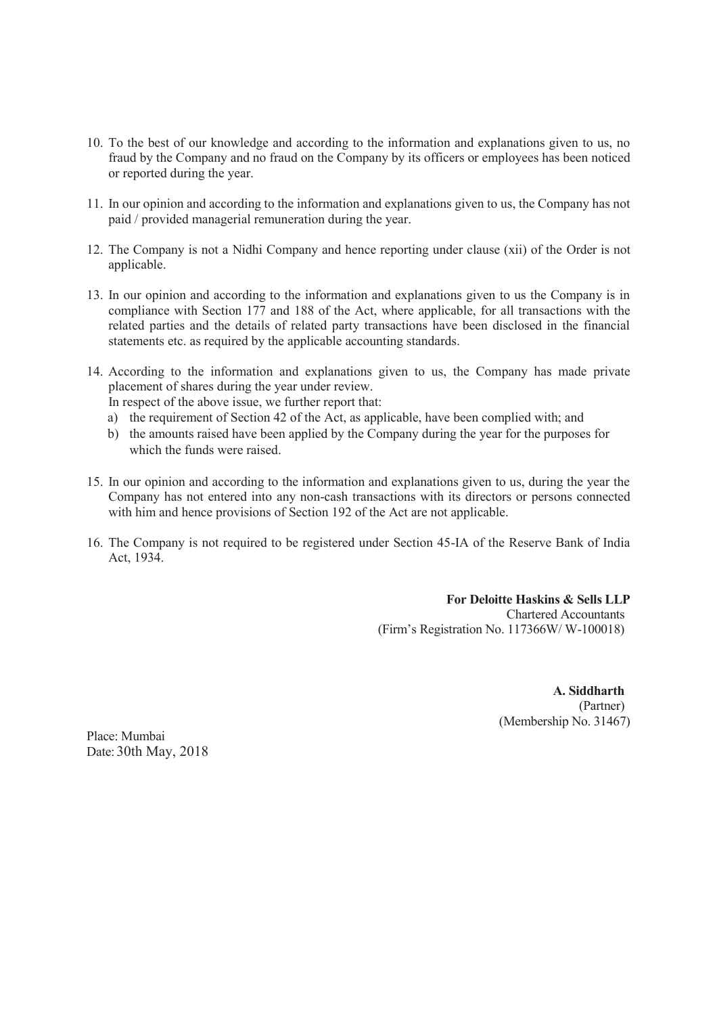- 10. To the best of our knowledge and according to the information and explanations given to us, no fraud by the Company and no fraud on the Company by its officers or employees has been noticed or reported during the year.
- 11. In our opinion and according to the information and explanations given to us, the Company has not paid / provided managerial remuneration during the year.
- 12. The Company is not a Nidhi Company and hence reporting under clause (xii) of the Order is not applicable.
- 13. In our opinion and according to the information and explanations given to us the Company is in compliance with Section 177 and 188 of the Act, where applicable, for all transactions with the related parties and the details of related party transactions have been disclosed in the financial statements etc. as required by the applicable accounting standards.
- 14. According to the information and explanations given to us, the Company has made private placement of shares during the year under review.

In respect of the above issue, we further report that:

- a) the requirement of Section 42 of the Act, as applicable, have been complied with; and
- b) the amounts raised have been applied by the Company during the year for the purposes for which the funds were raised.
- 15. In our opinion and according to the information and explanations given to us, during the year the Company has not entered into any non-cash transactions with its directors or persons connected with him and hence provisions of Section 192 of the Act are not applicable.
- 16. The Company is not required to be registered under Section 45-IA of the Reserve Bank of India Act, 1934.

**For Deloitte Haskins & Sells LLP**  Chartered Accountants (Firm's Registration No. 117366W/ W-100018)

## **A. Siddharth**

(Partner) (Membership No. 31467)

Place: Mumbai Date: 30th May, 2018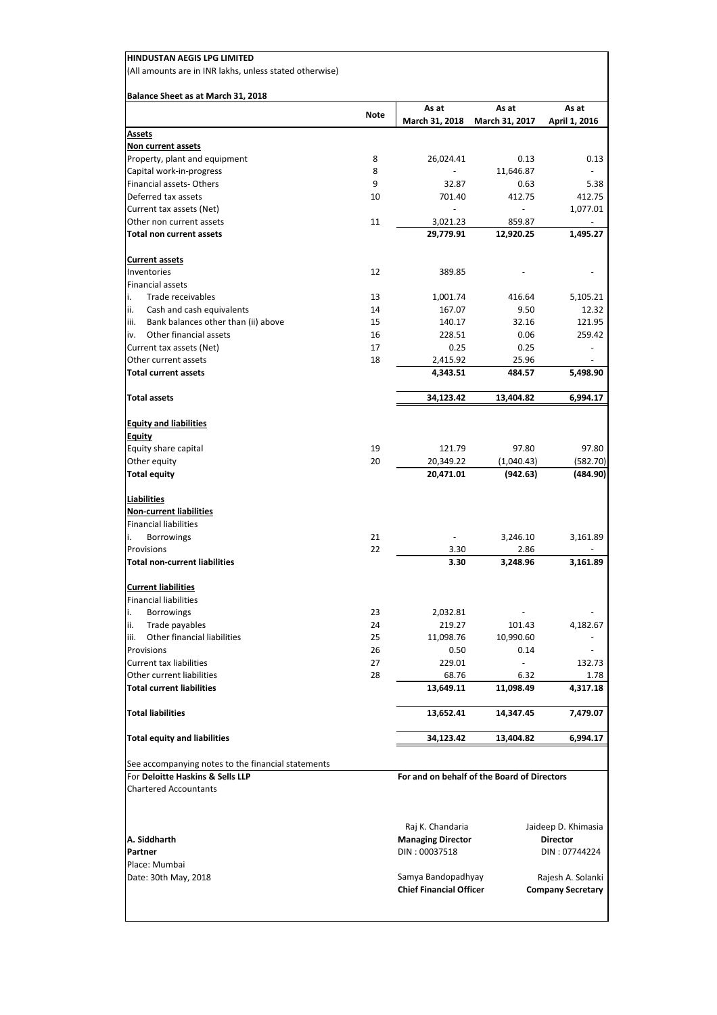| Balance Sheet as at March 31, 2018                                                     | <b>Note</b> | As at                                       | As at               | As at                    |
|----------------------------------------------------------------------------------------|-------------|---------------------------------------------|---------------------|--------------------------|
| <b>Assets</b>                                                                          |             | March 31, 2018                              | March 31, 2017      | April 1, 2016            |
| <u>Non current assets</u>                                                              |             |                                             |                     |                          |
| Property, plant and equipment                                                          | 8           | 26,024.41                                   | 0.13                | 0.13                     |
| Capital work-in-progress                                                               | 8           |                                             | 11,646.87           |                          |
| Financial assets-Others                                                                | 9           | 32.87                                       | 0.63                | 5.38                     |
| Deferred tax assets                                                                    | 10          | 701.40                                      | 412.75              | 412.75                   |
| Current tax assets (Net)                                                               |             |                                             |                     | 1,077.01                 |
| Other non current assets                                                               | 11          | 3,021.23                                    | 859.87              |                          |
| Total non current assets                                                               |             | 29,779.91                                   | 12,920.25           | 1,495.27                 |
| <b>Current assets</b>                                                                  |             |                                             |                     |                          |
| Inventories                                                                            | 12          | 389.85                                      |                     |                          |
| <b>Financial assets</b>                                                                |             |                                             |                     |                          |
| i.<br>Trade receivables                                                                | 13          | 1,001.74                                    | 416.64              | 5,105.21                 |
| ii.<br>Cash and cash equivalents                                                       | 14          | 167.07                                      | 9.50                | 12.32                    |
| Bank balances other than (ii) above<br>iii.                                            | 15          | 140.17                                      | 32.16               | 121.95                   |
| Other financial assets<br>iv.                                                          | 16          | 228.51                                      | 0.06                | 259.42                   |
| Current tax assets (Net)                                                               | 17          | 0.25                                        | 0.25                | $\overline{\phantom{a}}$ |
| Other current assets                                                                   | 18          | 2,415.92                                    | 25.96               |                          |
| <b>Total current assets</b>                                                            |             | 4,343.51                                    | 484.57              | 5,498.90                 |
| <b>Total assets</b>                                                                    |             | 34,123.42                                   | 13,404.82           | 6,994.17                 |
| <b>Equity and liabilities</b>                                                          |             |                                             |                     |                          |
| <b>Equity</b>                                                                          | 19          |                                             |                     | 97.80                    |
| Equity share capital<br>Other equity                                                   | 20          | 121.79<br>20,349.22                         | 97.80<br>(1,040.43) | (582.70)                 |
| <b>Total equity</b>                                                                    |             | 20,471.01                                   | (942.63)            | (484.90)                 |
| <b>Liabilities</b>                                                                     |             |                                             |                     |                          |
| <b>Non-current liabilities</b>                                                         |             |                                             |                     |                          |
| <b>Financial liabilities</b>                                                           |             |                                             |                     |                          |
| i.<br><b>Borrowings</b>                                                                | 21          |                                             | 3,246.10            | 3,161.89                 |
| Provisions                                                                             | 22          | 3.30                                        | 2.86                |                          |
| <b>Total non-current liabilities</b>                                                   |             | 3.30                                        | 3,248.96            | 3,161.89                 |
| <b>Current liabilities</b>                                                             |             |                                             |                     |                          |
| <b>Financial liabilities</b>                                                           |             |                                             |                     |                          |
| i.<br><b>Borrowings</b>                                                                | 23          | 2,032.81                                    |                     |                          |
| Trade payables<br>ii.                                                                  | 24          | 219.27                                      | 101.43              | 4,182.67                 |
| Other financial liabilities<br>iii.                                                    | 25          | 11,098.76                                   | 10,990.60           |                          |
| Provisions                                                                             | 26          | 0.50                                        | 0.14                |                          |
| Current tax liabilities                                                                | 27          | 229.01                                      |                     | 132.73                   |
| Other current liabilities<br><b>Total current liabilities</b>                          | 28          | 68.76<br>13,649.11                          | 6.32<br>11,098.49   | 1.78<br>4,317.18         |
| <b>Total liabilities</b>                                                               |             | 13,652.41                                   | 14,347.45           | 7,479.07                 |
| <b>Total equity and liabilities</b>                                                    |             | 34,123.42                                   | 13,404.82           | 6,994.17                 |
|                                                                                        |             |                                             |                     |                          |
| See accompanying notes to the financial statements<br>For Deloitte Haskins & Sells LLP |             | For and on behalf of the Board of Directors |                     |                          |
| <b>Chartered Accountants</b>                                                           |             |                                             |                     |                          |
|                                                                                        |             |                                             |                     |                          |
|                                                                                        |             | Raj K. Chandaria                            |                     | Jaideep D. Khimasia      |
|                                                                                        |             |                                             |                     |                          |
| A. Siddharth                                                                           |             | <b>Managing Director</b>                    |                     | <b>Director</b>          |
| Partner<br>Place: Mumbai                                                               |             | DIN: 00037518                               |                     | DIN: 07744224            |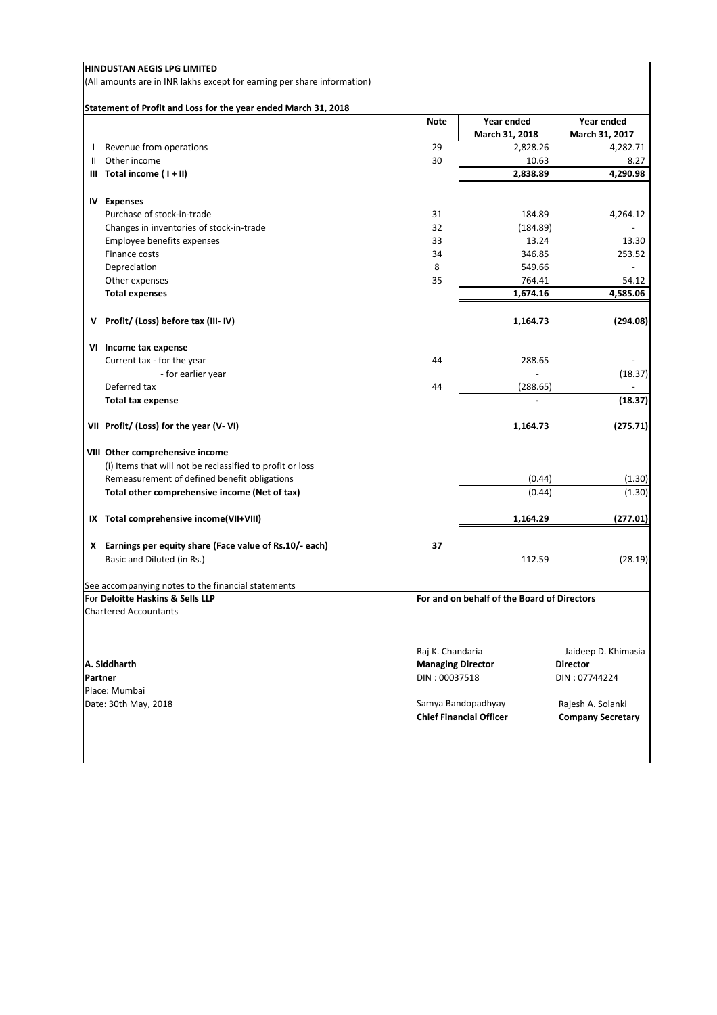(All amounts are in INR lakhs except for earning per share information)

## **Statement of Profit and Loss for the year ended March 31, 2018**

|              | ratement of Front and 2000 for the year ended march 01,   | <b>Note</b>              | Year ended                                           | Year ended                                    |
|--------------|-----------------------------------------------------------|--------------------------|------------------------------------------------------|-----------------------------------------------|
|              |                                                           |                          | March 31, 2018                                       | March 31, 2017                                |
|              |                                                           | 29                       |                                                      |                                               |
| $\mathbf{I}$ | Revenue from operations<br>Other income                   | 30                       | 2,828.26                                             | 4,282.71                                      |
| Ш            |                                                           |                          | 10.63                                                | 8.27                                          |
|              | $III$ Total income $(1 + II)$                             |                          | 2,838.89                                             | 4,290.98                                      |
|              | <b>IV Expenses</b>                                        |                          |                                                      |                                               |
|              | Purchase of stock-in-trade                                | 31                       | 184.89                                               | 4,264.12                                      |
|              | Changes in inventories of stock-in-trade                  | 32                       | (184.89)                                             |                                               |
|              | Employee benefits expenses                                | 33                       | 13.24                                                | 13.30                                         |
|              | Finance costs                                             | 34                       | 346.85                                               | 253.52                                        |
|              | Depreciation                                              | 8                        | 549.66                                               |                                               |
|              | Other expenses                                            | 35                       | 764.41                                               | 54.12                                         |
|              | <b>Total expenses</b>                                     |                          | 1,674.16                                             | 4,585.06                                      |
|              |                                                           |                          |                                                      |                                               |
|              | V Profit/ (Loss) before tax (III-IV)                      |                          | 1,164.73                                             | (294.08)                                      |
|              | VI Income tax expense                                     |                          |                                                      |                                               |
|              | Current tax - for the year                                | 44                       | 288.65                                               |                                               |
|              | - for earlier year                                        |                          |                                                      | (18.37)                                       |
|              | Deferred tax                                              | 44                       | (288.65)                                             |                                               |
|              | <b>Total tax expense</b>                                  |                          | $\overline{a}$                                       | (18.37)                                       |
|              | VII Profit/ (Loss) for the year (V-VI)                    |                          | 1,164.73                                             | (275.71)                                      |
|              | VIII Other comprehensive income                           |                          |                                                      |                                               |
|              | (i) Items that will not be reclassified to profit or loss |                          |                                                      |                                               |
|              | Remeasurement of defined benefit obligations              |                          | (0.44)                                               | (1.30)                                        |
|              | Total other comprehensive income (Net of tax)             |                          | (0.44)                                               | (1.30)                                        |
|              | IX Total comprehensive income(VII+VIII)                   |                          | 1,164.29                                             | (277.01)                                      |
|              |                                                           |                          |                                                      |                                               |
|              | X Earnings per equity share (Face value of Rs.10/- each)  | 37                       |                                                      |                                               |
|              | Basic and Diluted (in Rs.)                                |                          | 112.59                                               | (28.19)                                       |
|              | See accompanying notes to the financial statements        |                          |                                                      |                                               |
|              | For Deloitte Haskins & Sells LLP                          |                          | For and on behalf of the Board of Directors          |                                               |
|              | <b>Chartered Accountants</b>                              |                          |                                                      |                                               |
|              |                                                           |                          |                                                      |                                               |
|              |                                                           | Raj K. Chandaria         |                                                      | Jaideep D. Khimasia                           |
|              | A. Siddharth                                              | <b>Managing Director</b> |                                                      | <b>Director</b>                               |
|              | Partner                                                   | DIN: 00037518            |                                                      | DIN: 07744224                                 |
|              | Place: Mumbai                                             |                          |                                                      |                                               |
|              | Date: 30th May, 2018                                      |                          | Samya Bandopadhyay<br><b>Chief Financial Officer</b> | Rajesh A. Solanki<br><b>Company Secretary</b> |
|              |                                                           |                          |                                                      |                                               |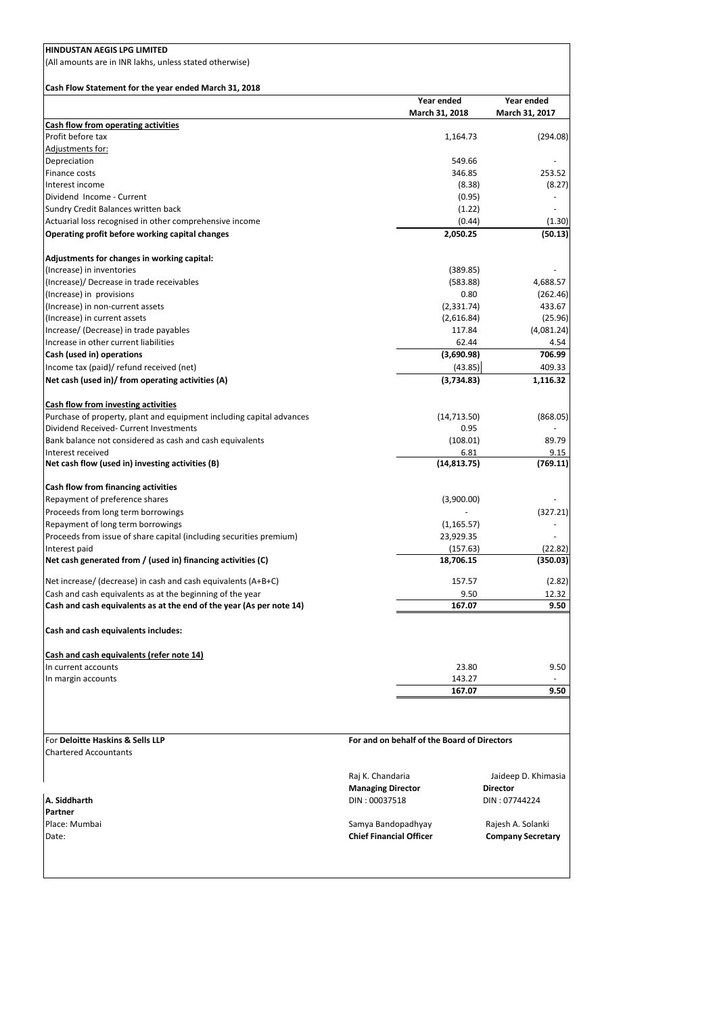| HINDUSTAN AEGIS LPG LIMITED                                          |                                             |                              |                              |
|----------------------------------------------------------------------|---------------------------------------------|------------------------------|------------------------------|
| (All amounts are in INR lakhs, unless stated otherwise)              |                                             |                              |                              |
|                                                                      |                                             |                              |                              |
| Cash Flow Statement for the year ended March 31, 2018                |                                             |                              |                              |
|                                                                      |                                             | Year ended<br>March 31, 2018 | Year ended<br>March 31, 2017 |
| <b>Cash flow from operating activities</b>                           |                                             |                              |                              |
| Profit before tax                                                    |                                             | 1,164.73                     | (294.08)                     |
| Adjustments for:                                                     |                                             |                              |                              |
| Depreciation                                                         |                                             | 549.66                       |                              |
| Finance costs                                                        |                                             | 346.85                       | 253.52                       |
| Interest income                                                      |                                             | (8.38)                       | (8.27)                       |
| Dividend Income - Current                                            |                                             | (0.95)                       |                              |
| Sundry Credit Balances written back                                  |                                             | (1.22)                       |                              |
| Actuarial loss recognised in other comprehensive income              |                                             | (0.44)                       | (1.30)                       |
| Operating profit before working capital changes                      |                                             | 2,050.25                     | (50.13)                      |
|                                                                      |                                             |                              |                              |
| Adjustments for changes in working capital:                          |                                             |                              |                              |
| (Increase) in inventories                                            |                                             | (389.85)                     |                              |
| (Increase)/ Decrease in trade receivables                            |                                             | (583.88)                     | 4,688.57                     |
| (Increase) in provisions                                             |                                             | 0.80                         | (262.46)                     |
| (Increase) in non-current assets                                     |                                             | (2, 331.74)                  | 433.67                       |
| (Increase) in current assets                                         |                                             | (2,616.84)                   | (25.96)                      |
| Increase/ (Decrease) in trade payables                               |                                             | 117.84                       | (4,081.24)                   |
| Increase in other current liabilities                                |                                             | 62.44                        | 4.54                         |
| Cash (used in) operations                                            |                                             | (3,690.98)                   | 706.99                       |
| Income tax (paid)/ refund received (net)                             |                                             | (43.85)                      | 409.33                       |
| Net cash (used in)/ from operating activities (A)                    |                                             | (3,734.83)                   | 1,116.32                     |
|                                                                      |                                             |                              |                              |
| <b>Cash flow from investing activities</b>                           |                                             |                              |                              |
| Purchase of property, plant and equipment including capital advances |                                             | (14, 713.50)                 | (868.05)                     |
| Dividend Received- Current Investments                               |                                             | 0.95                         |                              |
| Bank balance not considered as cash and cash equivalents             |                                             | (108.01)                     | 89.79                        |
| Interest received                                                    |                                             | 6.81                         | 9.15                         |
| Net cash flow (used in) investing activities (B)                     |                                             | (14, 813.75)                 | (769.11)                     |
|                                                                      |                                             |                              |                              |
| Cash flow from financing activities                                  |                                             |                              |                              |
| Repayment of preference shares                                       |                                             | (3,900.00)                   |                              |
| Proceeds from long term borrowings                                   |                                             |                              | (327.21)                     |
| Repayment of long term borrowings                                    |                                             | (1, 165.57)                  |                              |
| Proceeds from issue of share capital (including securities premium)  |                                             | 23,929.35                    |                              |
| Interest paid                                                        |                                             | (157.63)                     | (22.82)                      |
| Net cash generated from / (used in) financing activities (C)         |                                             | 18,706.15                    | (350.03)                     |
|                                                                      |                                             |                              |                              |
| Net increase/ (decrease) in cash and cash equivalents (A+B+C)        |                                             | 157.57                       | (2.82)                       |
| Cash and cash equivalents as at the beginning of the year            |                                             | 9.50                         | 12.32                        |
| Cash and cash equivalents as at the end of the year (As per note 14) |                                             | 167.07                       | 9.50                         |
|                                                                      |                                             |                              |                              |
| Cash and cash equivalents includes:                                  |                                             |                              |                              |
|                                                                      |                                             |                              |                              |
| Cash and cash equivalents (refer note 14)                            |                                             |                              |                              |
| In current accounts                                                  |                                             | 23.80                        | 9.50                         |
| In margin accounts                                                   |                                             | 143.27                       |                              |
|                                                                      |                                             | 167.07                       | 9.50                         |
|                                                                      |                                             |                              |                              |
|                                                                      |                                             |                              |                              |
|                                                                      |                                             |                              |                              |
| For Deloitte Haskins & Sells LLP                                     | For and on behalf of the Board of Directors |                              |                              |
| <b>Chartered Accountants</b>                                         |                                             |                              |                              |
|                                                                      |                                             |                              |                              |
|                                                                      | Raj K. Chandaria                            |                              | Jaideep D. Khimasia          |
|                                                                      | <b>Managing Director</b>                    |                              | <b>Director</b>              |
| A. Siddharth                                                         | DIN: 00037518                               |                              | DIN: 07744224                |
| <b>Partner</b>                                                       |                                             |                              |                              |
| Place: Mumbai                                                        | Samya Bandopadhyay                          |                              | Rajesh A. Solanki            |
| Date:                                                                | <b>Chief Financial Officer</b>              |                              | <b>Company Secretary</b>     |
|                                                                      |                                             |                              |                              |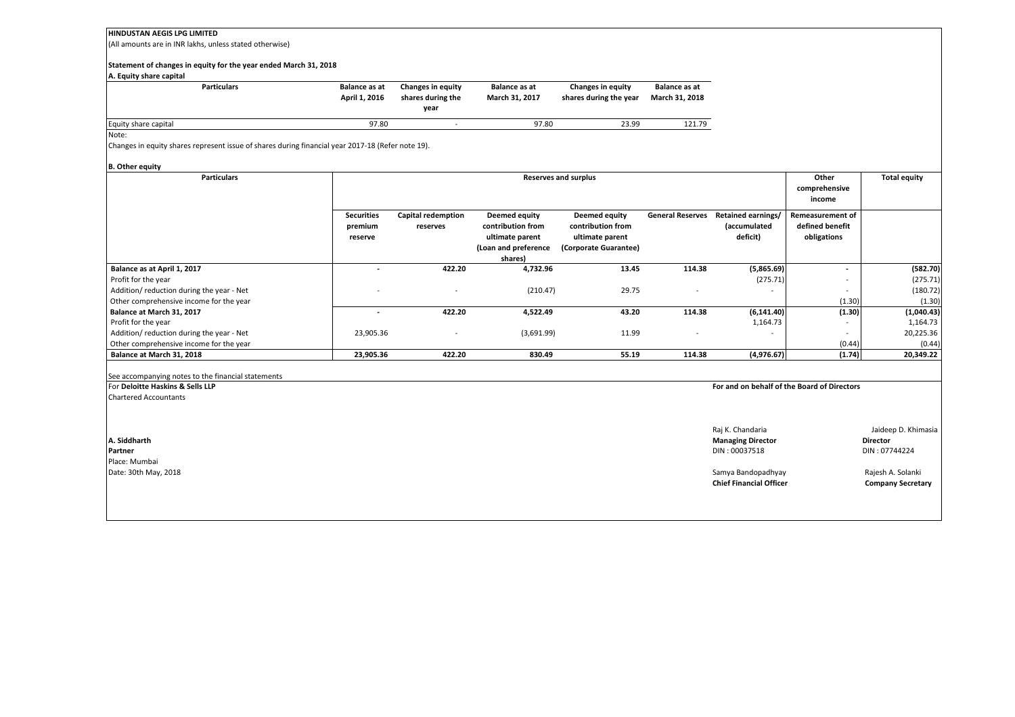(All amounts are in INR lakhs, unless stated otherwise)

#### **Statement of changes in equity for the year ended March 31, 2018**

#### **A. Equity share capital**

| <b>Particulars</b>   | <b>Balance as at</b><br>April 1, 2016 | <b>Changes in equity</b><br>shares during the<br>vear | Balance as at<br><b>March 31, 2017</b> | Changes in equity<br>shares during the year | Balance as at<br>March 31, 2018 |
|----------------------|---------------------------------------|-------------------------------------------------------|----------------------------------------|---------------------------------------------|---------------------------------|
| Equity share capital | 97.80                                 | $\sim$                                                | 97.80                                  | 23.99                                       | 121.79                          |

Note:

Changes in equity shares represent issue of shares during financial year 2017-18 (Refer note 19).

#### **B. Other equity**

| <b>Particulars</b>                       | <b>Reserves and surplus</b> |                           |                      |                       |                         |                          | Other                    | <b>Total equity</b> |
|------------------------------------------|-----------------------------|---------------------------|----------------------|-----------------------|-------------------------|--------------------------|--------------------------|---------------------|
|                                          |                             |                           |                      |                       |                         |                          | comprehensive            |                     |
|                                          |                             |                           |                      |                       |                         |                          | income                   |                     |
|                                          | <b>Securities</b>           | <b>Capital redemption</b> | Deemed equity        | Deemed equity         | <b>General Reserves</b> | Retained earnings/       | <b>Remeasurement of</b>  |                     |
|                                          | premium                     | reserves                  | contribution from    | contribution from     |                         | (accumulated             | defined benefit          |                     |
|                                          | reserve                     |                           | ultimate parent      | ultimate parent       |                         | deficit)                 | obligations              |                     |
|                                          |                             |                           | (Loan and preference | (Corporate Guarantee) |                         |                          |                          |                     |
|                                          |                             |                           | shares)              |                       |                         |                          |                          |                     |
| Balance as at April 1, 2017              |                             | 422.20                    | 4,732.96             | 13.45                 | 114.38                  | (5,865.69)               | $\overline{\phantom{a}}$ | (582.70)            |
| Profit for the year                      |                             |                           |                      |                       |                         | (275.71)                 |                          | (275.71)            |
| Addition/reduction during the year - Net |                             |                           | (210.47)             | 29.75                 |                         |                          |                          | (180.72)            |
| Other comprehensive income for the year  |                             |                           |                      |                       |                         |                          | (1.30)                   | (1.30)              |
| Balance at March 31, 2017                |                             | 422.20                    | 4,522.49             | 43.20                 | 114.38                  | (6, 141.40)              | (1.30)                   | (1,040.43)          |
| Profit for the year                      |                             |                           |                      |                       |                         | 1,164.73                 |                          | 1,164.73            |
| Addition/reduction during the year - Net | 23,905.36                   |                           | (3,691.99)           | 11.99                 |                         | $\overline{\phantom{a}}$ | $\overline{\phantom{a}}$ | 20,225.36           |
| Other comprehensive income for the year  |                             |                           |                      |                       |                         |                          | (0.44)                   | (0.44)              |
| Balance at March 31, 2018                | 23,905.36                   | 422.20                    | 830.49               | 55.19                 | 114.38                  | (4,976.67)               | (1.74)                   | 20,349.22           |
|                                          |                             |                           |                      |                       |                         |                          |                          |                     |

#### See accompanying notes to the financial statements

| For Deloitte Haskins & Sells LLP | For and on behalf of the Board of Directors |                          |  |
|----------------------------------|---------------------------------------------|--------------------------|--|
| <b>Chartered Accountants</b>     |                                             |                          |  |
|                                  |                                             |                          |  |
|                                  | Raj K. Chandaria                            | Jaideep D. Khimasia      |  |
| A. Siddharth                     | <b>Managing Director</b>                    | <b>Director</b>          |  |
| Partner                          | DIN: 00037518                               | DIN: 07744224            |  |
| Place: Mumbai                    |                                             |                          |  |
| Date: 30th May, 2018             | Samya Bandopadhyay                          | Rajesh A. Solanki        |  |
|                                  | <b>Chief Financial Officer</b>              | <b>Company Secretary</b> |  |
|                                  |                                             |                          |  |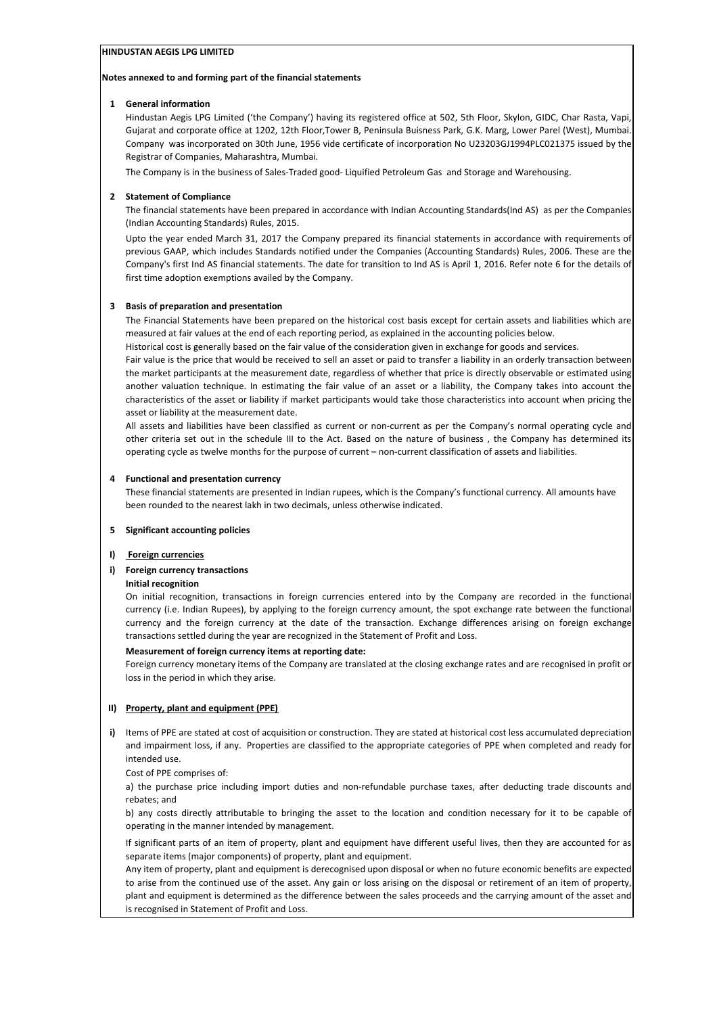### **Notes annexed to and forming part of the financial statements**

### **1 General information**

Hindustan Aegis LPG Limited ('the Company') having its registered office at 502, 5th Floor, Skylon, GIDC, Char Rasta, Vapi, Gujarat and corporate office at 1202, 12th Floor,Tower B, Peninsula Buisness Park, G.K. Marg, Lower Parel (West), Mumbai. Company was incorporated on 30th June, 1956 vide certificate of incorporation No U23203GJ1994PLC021375 issued by the Registrar of Companies, Maharashtra, Mumbai.

The Company is in the business of Sales-Traded good- Liquified Petroleum Gas and Storage and Warehousing.

## **2 Statement of Compliance**

The financial statements have been prepared in accordance with Indian Accounting Standards(Ind AS) as per the Companies (Indian Accounting Standards) Rules, 2015.

Upto the year ended March 31, 2017 the Company prepared its financial statements in accordance with requirements of previous GAAP, which includes Standards notified under the Companies (Accounting Standards) Rules, 2006. These are the Company's first Ind AS financial statements. The date for transition to Ind AS is April 1, 2016. Refer note 6 for the details of first time adoption exemptions availed by the Company.

## **3 Basis of preparation and presentation**

The Financial Statements have been prepared on the historical cost basis except for certain assets and liabilities which are measured at fair values at the end of each reporting period, as explained in the accounting policies below.

Historical cost is generally based on the fair value of the consideration given in exchange for goods and services.

Fair value is the price that would be received to sell an asset or paid to transfer a liability in an orderly transaction between the market participants at the measurement date, regardless of whether that price is directly observable or estimated using another valuation technique. In estimating the fair value of an asset or a liability, the Company takes into account the characteristics of the asset or liability if market participants would take those characteristics into account when pricing the asset or liability at the measurement date.

All assets and liabilities have been classified as current or non-current as per the Company's normal operating cycle and other criteria set out in the schedule III to the Act. Based on the nature of business , the Company has determined its operating cycle as twelve months for the purpose of current – non-current classification of assets and liabilities.

### **4 Functional and presentation currency**

These financial statements are presented in Indian rupees, which is the Company's functional currency. All amounts have been rounded to the nearest lakh in two decimals, unless otherwise indicated.

### **5 Significant accounting policies**

## **I) Foreign currencies**

## **i) Foreign currency transactions**

### **Initial recognition**

On initial recognition, transactions in foreign currencies entered into by the Company are recorded in the functional currency (i.e. Indian Rupees), by applying to the foreign currency amount, the spot exchange rate between the functional currency and the foreign currency at the date of the transaction. Exchange differences arising on foreign exchange transactions settled during the year are recognized in the Statement of Profit and Loss.

### **Measurement of foreign currency items at reporting date:**

Foreign currency monetary items of the Company are translated at the closing exchange rates and are recognised in profit or loss in the period in which they arise.

## **II) Property, plant and equipment (PPE)**

**i)** Items of PPE are stated at cost of acquisition or construction. They are stated at historical cost less accumulated depreciation and impairment loss, if any. Properties are classified to the appropriate categories of PPE when completed and ready for intended use.

Cost of PPE comprises of:

a) the purchase price including import duties and non-refundable purchase taxes, after deducting trade discounts and rebates; and

b) any costs directly attributable to bringing the asset to the location and condition necessary for it to be capable of operating in the manner intended by management.

If significant parts of an item of property, plant and equipment have different useful lives, then they are accounted for as separate items (major components) of property, plant and equipment.

Any item of property, plant and equipment is derecognised upon disposal or when no future economic benefits are expected to arise from the continued use of the asset. Any gain or loss arising on the disposal or retirement of an item of property, plant and equipment is determined as the difference between the sales proceeds and the carrying amount of the asset and is recognised in Statement of Profit and Loss.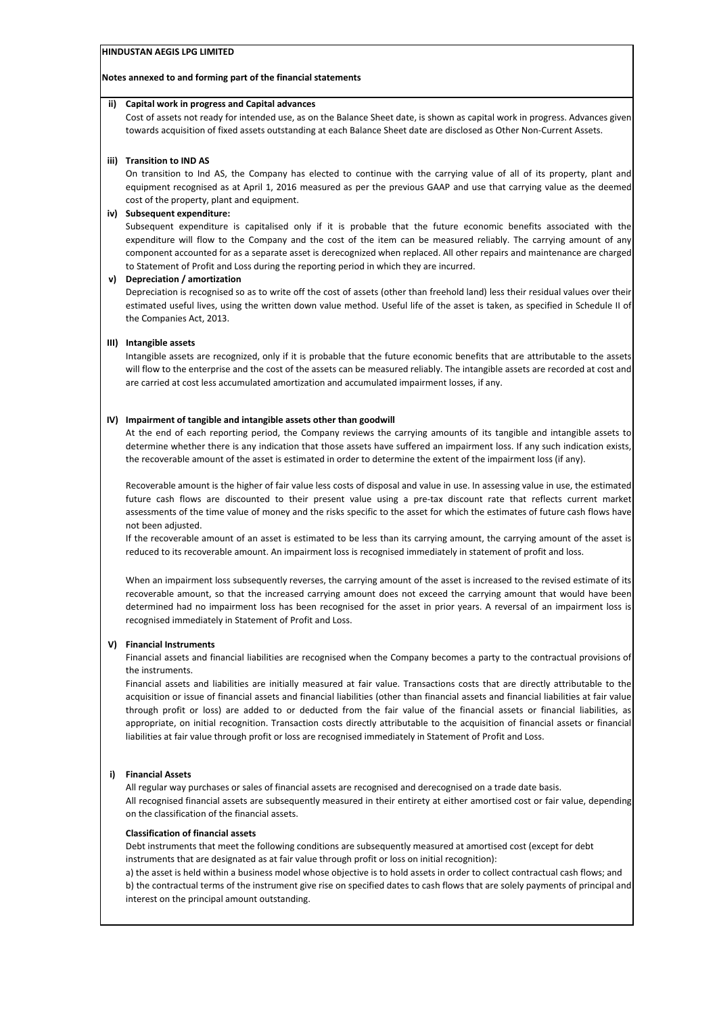#### **Notes annexed to and forming part of the financial statements**

#### **ii) Capital work in progress and Capital advances**

Cost of assets not ready for intended use, as on the Balance Sheet date, is shown as capital work in progress. Advances given towards acquisition of fixed assets outstanding at each Balance Sheet date are disclosed as Other Non-Current Assets.

#### **iii) Transition to IND AS**

On transition to Ind AS, the Company has elected to continue with the carrying value of all of its property, plant and equipment recognised as at April 1, 2016 measured as per the previous GAAP and use that carrying value as the deemed cost of the property, plant and equipment.

#### **iv) Subsequent expenditure:**

Subsequent expenditure is capitalised only if it is probable that the future economic benefits associated with the expenditure will flow to the Company and the cost of the item can be measured reliably. The carrying amount of any component accounted for as a separate asset is derecognized when replaced. All other repairs and maintenance are charged to Statement of Profit and Loss during the reporting period in which they are incurred.

#### **v) Depreciation / amortization**

Depreciation is recognised so as to write off the cost of assets (other than freehold land) less their residual values over their estimated useful lives, using the written down value method. Useful life of the asset is taken, as specified in Schedule II of the Companies Act, 2013.

#### **III) Intangible assets**

Intangible assets are recognized, only if it is probable that the future economic benefits that are attributable to the assets will flow to the enterprise and the cost of the assets can be measured reliably. The intangible assets are recorded at cost and are carried at cost less accumulated amortization and accumulated impairment losses, if any.

#### **IV) Impairment of tangible and intangible assets other than goodwill**

At the end of each reporting period, the Company reviews the carrying amounts of its tangible and intangible assets to determine whether there is any indication that those assets have suffered an impairment loss. If any such indication exists, the recoverable amount of the asset is estimated in order to determine the extent of the impairment loss (if any).

Recoverable amount is the higher of fair value less costs of disposal and value in use. In assessing value in use, the estimated future cash flows are discounted to their present value using a pre-tax discount rate that reflects current market assessments of the time value of money and the risks specific to the asset for which the estimates of future cash flows have not been adjusted.

If the recoverable amount of an asset is estimated to be less than its carrying amount, the carrying amount of the asset is reduced to its recoverable amount. An impairment loss is recognised immediately in statement of profit and loss.

When an impairment loss subsequently reverses, the carrying amount of the asset is increased to the revised estimate of its recoverable amount, so that the increased carrying amount does not exceed the carrying amount that would have been determined had no impairment loss has been recognised for the asset in prior years. A reversal of an impairment loss is recognised immediately in Statement of Profit and Loss.

### **V) Financial Instruments**

Financial assets and financial liabilities are recognised when the Company becomes a party to the contractual provisions of the instruments.

Financial assets and liabilities are initially measured at fair value. Transactions costs that are directly attributable to the acquisition or issue of financial assets and financial liabilities (other than financial assets and financial liabilities at fair value through profit or loss) are added to or deducted from the fair value of the financial assets or financial liabilities, as appropriate, on initial recognition. Transaction costs directly attributable to the acquisition of financial assets or financial liabilities at fair value through profit or loss are recognised immediately in Statement of Profit and Loss.

### **i) Financial Assets**

All regular way purchases or sales of financial assets are recognised and derecognised on a trade date basis. All recognised financial assets are subsequently measured in their entirety at either amortised cost or fair value, depending on the classification of the financial assets.

#### **Classification of financial assets**

Debt instruments that meet the following conditions are subsequently measured at amortised cost (except for debt instruments that are designated as at fair value through profit or loss on initial recognition):

a) the asset is held within a business model whose objective is to hold assets in order to collect contractual cash flows; and b) the contractual terms of the instrument give rise on specified dates to cash flows that are solely payments of principal and interest on the principal amount outstanding.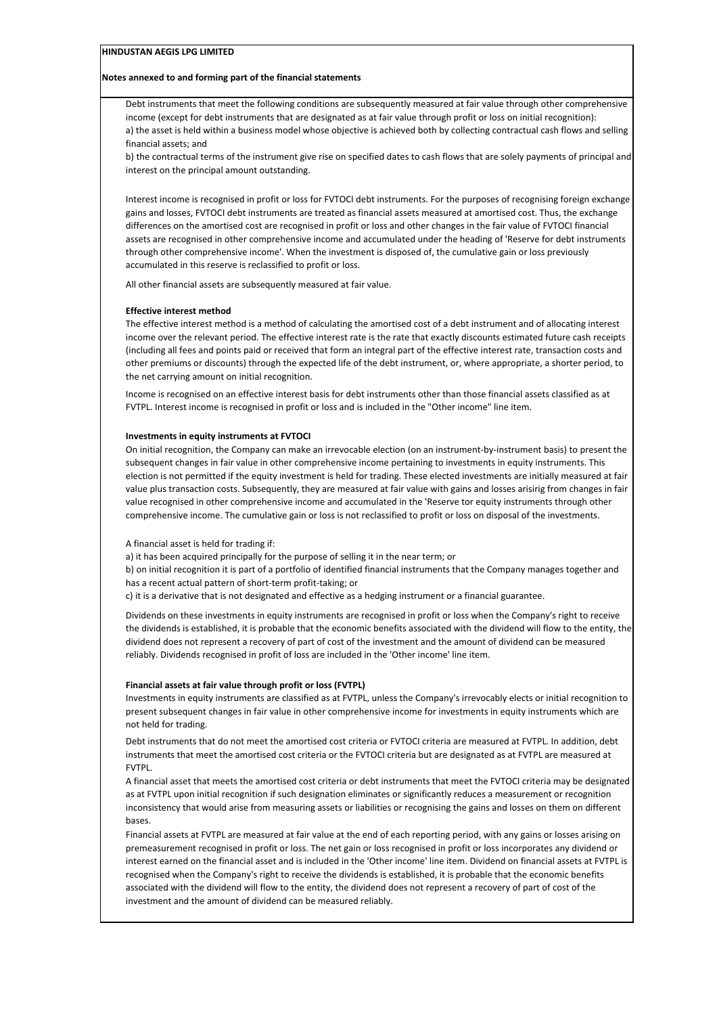#### **Notes annexed to and forming part of the financial statements**

Debt instruments that meet the following conditions are subsequently measured at fair value through other comprehensive income (except for debt instruments that are designated as at fair value through profit or loss on initial recognition): a) the asset is held within a business model whose objective is achieved both by collecting contractual cash flows and selling financial assets; and

b) the contractual terms of the instrument give rise on specified dates to cash flows that are solely payments of principal and interest on the principal amount outstanding.

Interest income is recognised in profit or loss for FVTOCI debt instruments. For the purposes of recognising foreign exchange gains and losses, FVTOCI debt instruments are treated as financial assets measured at amortised cost. Thus, the exchange differences on the amortised cost are recognised in profit or loss and other changes in the fair value of FVTOCI financial assets are recognised in other comprehensive income and accumulated under the heading of 'Reserve for debt instruments through other comprehensive income'. When the investment is disposed of, the cumulative gain or loss previously accumulated in this reserve is reclassified to profit or loss.

All other financial assets are subsequently measured at fair value.

#### **Effective interest method**

The effective interest method is a method of calculating the amortised cost of a debt instrument and of allocating interest income over the relevant period. The effective interest rate is the rate that exactly discounts estimated future cash receipts (including all fees and points paid or received that form an integral part of the effective interest rate, transaction costs and other premiums or discounts) through the expected life of the debt instrument, or, where appropriate, a shorter period, to the net carrying amount on initial recognition.

Income is recognised on an effective interest basis for debt instruments other than those financial assets classified as at FVTPL. Interest income is recognised in profit or loss and is included in the "Other income" line item.

#### **Investments in equity instruments at FVTOCI**

On initial recognition, the Company can make an irrevocable election (on an instrument-by-instrument basis) to present the subsequent changes in fair value in other comprehensive income pertaining to investments in equity instruments. This election is not permitted if the equity investment is held for trading. These elected investments are initially measured at fair value plus transaction costs. Subsequently, they are measured at fair value with gains and losses arisirig from changes in fair value recognised in other comprehensive income and accumulated in the 'Reserve tor equity instruments through other comprehensive income. The cumulative gain or loss is not reclassified to profit or loss on disposal of the investments.

#### A financial asset is held for trading if:

a) it has been acquired principally for the purpose of selling it in the near term; or

b) on initial recognition it is part of a portfolio of identified financial instruments that the Company manages together and has a recent actual pattern of short-term profit-taking; or

c) it is a derivative that is not designated and effective as a hedging instrument or a financial guarantee.

Dividends on these investments in equity instruments are recognised in profit or loss when the Company's right to receive the dividends is established, it is probable that the economic benefits associated with the dividend will flow to the entity, the dividend does not represent a recovery of part of cost of the investment and the amount of dividend can be measured reliably. Dividends recognised in profit of loss are included in the 'Other income' line item.

#### **Financial assets at fair value through profit or loss (FVTPL)**

Investments in equity instruments are classified as at FVTPL, unless the Company's irrevocably elects or initial recognition to present subsequent changes in fair value in other comprehensive income for investments in equity instruments which are not held for trading.

Debt instruments that do not meet the amortised cost criteria or FVTOCI criteria are measured at FVTPL. In addition, debt instruments that meet the amortised cost criteria or the FVTOCI criteria but are designated as at FVTPL are measured at FVTPL.

A financial asset that meets the amortised cost criteria or debt instruments that meet the FVTOCI criteria may be designated as at FVTPL upon initial recognition if such designation eliminates or significantly reduces a measurement or recognition inconsistency that would arise from measuring assets or liabilities or recognising the gains and losses on them on different bases.

Financial assets at FVTPL are measured at fair value at the end of each reporting period, with any gains or losses arising on premeasurement recognised in profit or loss. The net gain or loss recognised in profit or loss incorporates any dividend or interest earned on the financial asset and is included in the 'Other income' line item. Dividend on financial assets at FVTPL is recognised when the Company's right to receive the dividends is established, it is probable that the economic benefits associated with the dividend will flow to the entity, the dividend does not represent a recovery of part of cost of the investment and the amount of dividend can be measured reliably.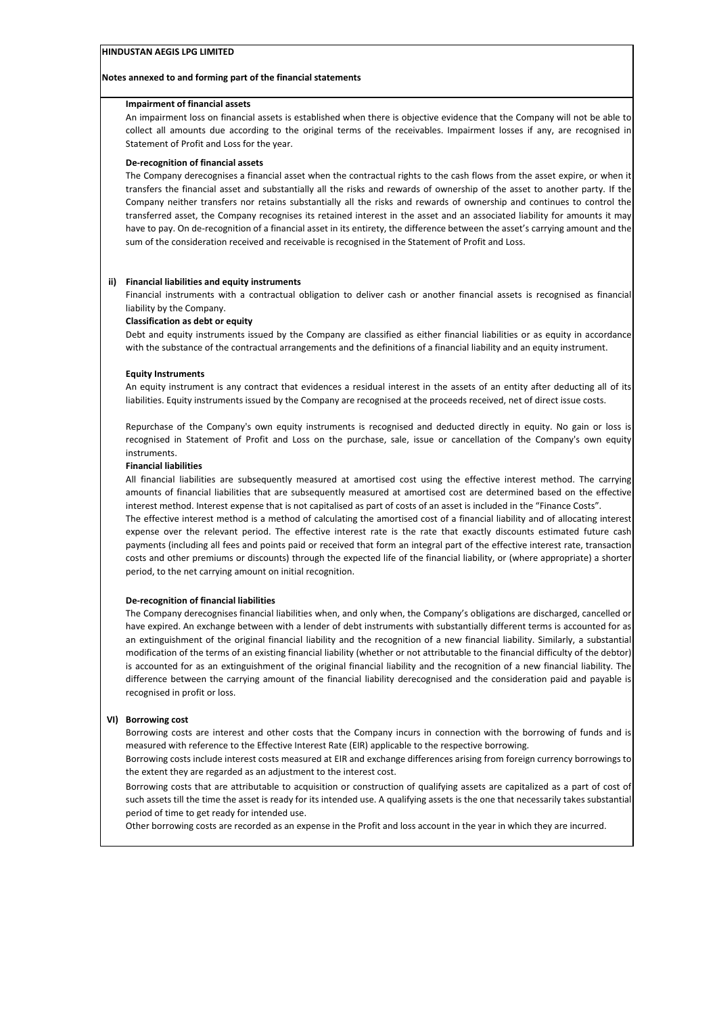#### **Notes annexed to and forming part of the financial statements**

#### **Impairment of financial assets**

An impairment loss on financial assets is established when there is objective evidence that the Company will not be able to collect all amounts due according to the original terms of the receivables. Impairment losses if any, are recognised in Statement of Profit and Loss for the year.

#### **De-recognition of financial assets**

The Company derecognises a financial asset when the contractual rights to the cash flows from the asset expire, or when it transfers the financial asset and substantially all the risks and rewards of ownership of the asset to another party. If the Company neither transfers nor retains substantially all the risks and rewards of ownership and continues to control the transferred asset, the Company recognises its retained interest in the asset and an associated liability for amounts it may have to pay. On de-recognition of a financial asset in its entirety, the difference between the asset's carrying amount and the sum of the consideration received and receivable is recognised in the Statement of Profit and Loss.

#### **ii) Financial liabilities and equity instruments**

Financial instruments with a contractual obligation to deliver cash or another financial assets is recognised as financial liability by the Company.

#### **Classification as debt or equity**

Debt and equity instruments issued by the Company are classified as either financial liabilities or as equity in accordance with the substance of the contractual arrangements and the definitions of a financial liability and an equity instrument.

#### **Equity Instruments**

An equity instrument is any contract that evidences a residual interest in the assets of an entity after deducting all of its liabilities. Equity instruments issued by the Company are recognised at the proceeds received, net of direct issue costs.

Repurchase of the Company's own equity instruments is recognised and deducted directly in equity. No gain or loss is recognised in Statement of Profit and Loss on the purchase, sale, issue or cancellation of the Company's own equity instruments.

#### **Financial liabilities**

All financial liabilities are subsequently measured at amortised cost using the effective interest method. The carrying amounts of financial liabilities that are subsequently measured at amortised cost are determined based on the effective interest method. Interest expense that is not capitalised as part of costs of an asset is included in the "Finance Costs".

The effective interest method is a method of calculating the amortised cost of a financial liability and of allocating interest expense over the relevant period. The effective interest rate is the rate that exactly discounts estimated future cash payments (including all fees and points paid or received that form an integral part of the effective interest rate, transaction costs and other premiums or discounts) through the expected life of the financial liability, or (where appropriate) a shorter period, to the net carrying amount on initial recognition.

### **De-recognition of financial liabilities**

The Company derecognises financial liabilities when, and only when, the Company's obligations are discharged, cancelled or have expired. An exchange between with a lender of debt instruments with substantially different terms is accounted for as an extinguishment of the original financial liability and the recognition of a new financial liability. Similarly, a substantial modification of the terms of an existing financial liability (whether or not attributable to the financial difficulty of the debtor) is accounted for as an extinguishment of the original financial liability and the recognition of a new financial liability. The difference between the carrying amount of the financial liability derecognised and the consideration paid and payable is recognised in profit or loss.

### **VI) Borrowing cost**

Borrowing costs are interest and other costs that the Company incurs in connection with the borrowing of funds and is measured with reference to the Effective Interest Rate (EIR) applicable to the respective borrowing.

Borrowing costs include interest costs measured at EIR and exchange differences arising from foreign currency borrowings to the extent they are regarded as an adjustment to the interest cost.

Borrowing costs that are attributable to acquisition or construction of qualifying assets are capitalized as a part of cost of such assets till the time the asset is ready for its intended use. A qualifying assets is the one that necessarily takes substantial period of time to get ready for intended use.

Other borrowing costs are recorded as an expense in the Profit and loss account in the year in which they are incurred.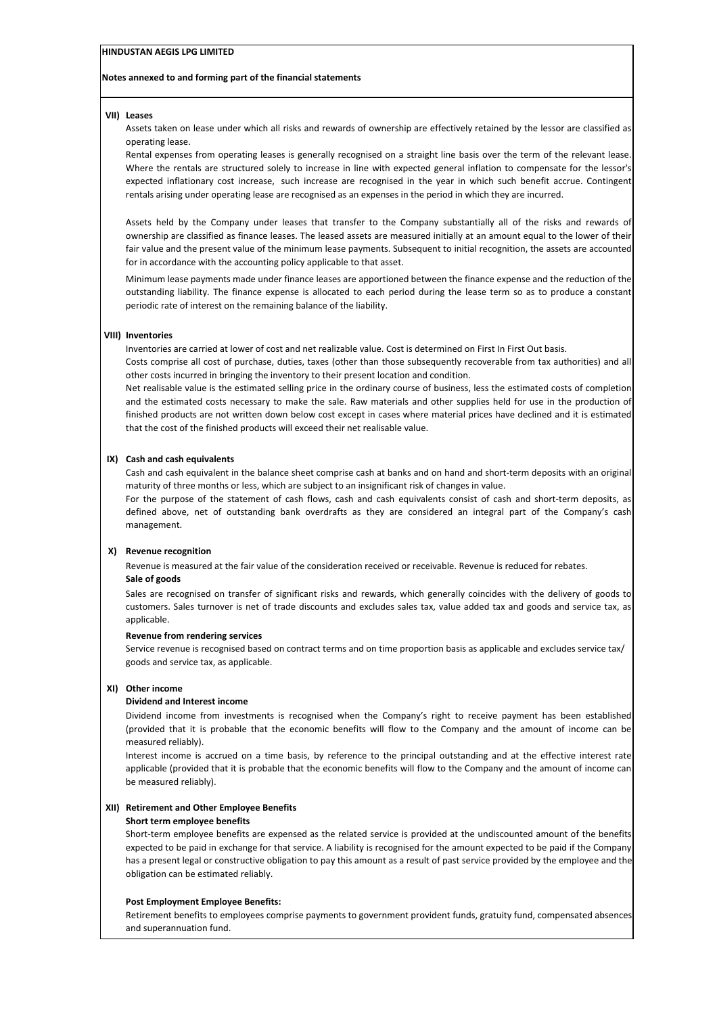#### **Notes annexed to and forming part of the financial statements**

#### **VII) Leases**

Assets taken on lease under which all risks and rewards of ownership are effectively retained by the lessor are classified as operating lease.

Rental expenses from operating leases is generally recognised on a straight line basis over the term of the relevant lease. Where the rentals are structured solely to increase in line with expected general inflation to compensate for the lessor's expected inflationary cost increase, such increase are recognised in the year in which such benefit accrue. Contingent rentals arising under operating lease are recognised as an expenses in the period in which they are incurred.

Assets held by the Company under leases that transfer to the Company substantially all of the risks and rewards of ownership are classified as finance leases. The leased assets are measured initially at an amount equal to the lower of their fair value and the present value of the minimum lease payments. Subsequent to initial recognition, the assets are accounted for in accordance with the accounting policy applicable to that asset.

Minimum lease payments made under finance leases are apportioned between the finance expense and the reduction of the outstanding liability. The finance expense is allocated to each period during the lease term so as to produce a constant periodic rate of interest on the remaining balance of the liability.

#### **VIII) Inventories**

Inventories are carried at lower of cost and net realizable value. Cost is determined on First In First Out basis.

Costs comprise all cost of purchase, duties, taxes (other than those subsequently recoverable from tax authorities) and all other costs incurred in bringing the inventory to their present location and condition.

Net realisable value is the estimated selling price in the ordinary course of business, less the estimated costs of completion and the estimated costs necessary to make the sale. Raw materials and other supplies held for use in the production of finished products are not written down below cost except in cases where material prices have declined and it is estimated that the cost of the finished products will exceed their net realisable value.

#### **IX) Cash and cash equivalents**

Cash and cash equivalent in the balance sheet comprise cash at banks and on hand and short-term deposits with an original maturity of three months or less, which are subject to an insignificant risk of changes in value.

For the purpose of the statement of cash flows, cash and cash equivalents consist of cash and short-term deposits, as defined above, net of outstanding bank overdrafts as they are considered an integral part of the Company's cash management.

#### **X) Revenue recognition**

**Sale of goods** Revenue is measured at the fair value of the consideration received or receivable. Revenue is reduced for rebates.

Sales are recognised on transfer of significant risks and rewards, which generally coincides with the delivery of goods to customers. Sales turnover is net of trade discounts and excludes sales tax, value added tax and goods and service tax, as applicable.

#### **Revenue from rendering services**

Service revenue is recognised based on contract terms and on time proportion basis as applicable and excludes service tax/ goods and service tax, as applicable.

#### **XI) Other income**

#### **Dividend and Interest income**

Dividend income from investments is recognised when the Company's right to receive payment has been established (provided that it is probable that the economic benefits will flow to the Company and the amount of income can be measured reliably).

Interest income is accrued on a time basis, by reference to the principal outstanding and at the effective interest rate applicable (provided that it is probable that the economic benefits will flow to the Company and the amount of income can be measured reliably).

#### **XII) Retirement and Other Employee Benefits**

#### **Short term employee benefits**

Short-term employee benefits are expensed as the related service is provided at the undiscounted amount of the benefits expected to be paid in exchange for that service. A liability is recognised for the amount expected to be paid if the Company has a present legal or constructive obligation to pay this amount as a result of past service provided by the employee and the obligation can be estimated reliably.

#### **Post Employment Employee Benefits:**

Retirement benefits to employees comprise payments to government provident funds, gratuity fund, compensated absences and superannuation fund.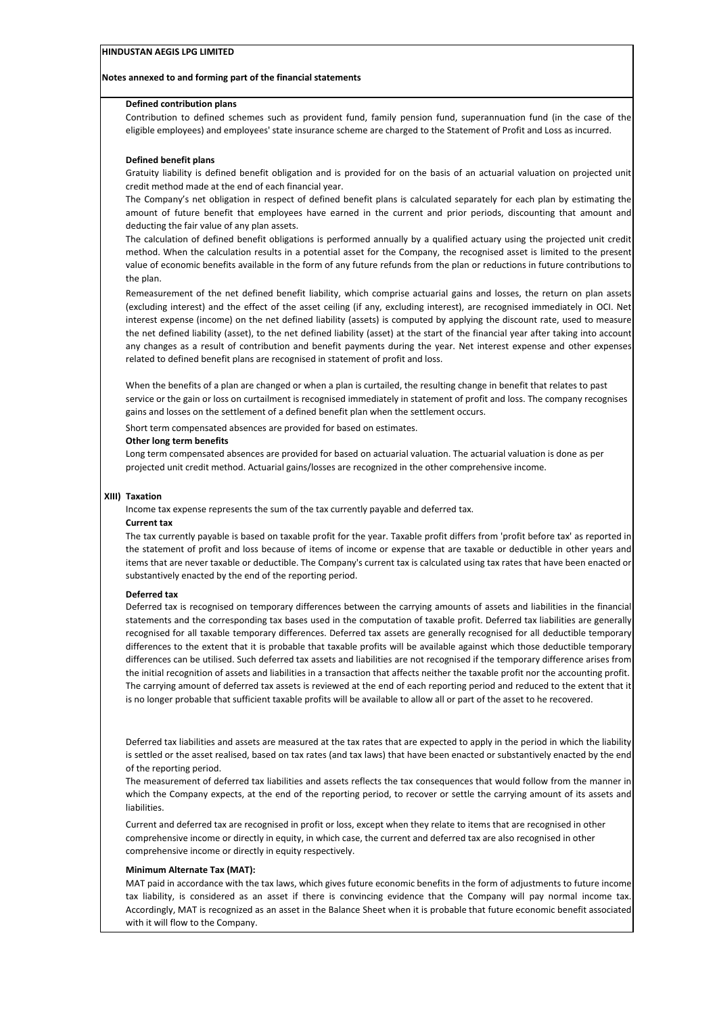#### **Notes annexed to and forming part of the financial statements**

#### **Defined contribution plans**

Contribution to defined schemes such as provident fund, family pension fund, superannuation fund (in the case of the eligible employees) and employees' state insurance scheme are charged to the Statement of Profit and Loss as incurred.

#### **Defined benefit plans**

Gratuity liability is defined benefit obligation and is provided for on the basis of an actuarial valuation on projected unit credit method made at the end of each financial year.

The Company's net obligation in respect of defined benefit plans is calculated separately for each plan by estimating the amount of future benefit that employees have earned in the current and prior periods, discounting that amount and deducting the fair value of any plan assets.

The calculation of defined benefit obligations is performed annually by a qualified actuary using the projected unit credit method. When the calculation results in a potential asset for the Company, the recognised asset is limited to the present value of economic benefits available in the form of any future refunds from the plan or reductions in future contributions to the plan.

Remeasurement of the net defined benefit liability, which comprise actuarial gains and losses, the return on plan assets (excluding interest) and the effect of the asset ceiling (if any, excluding interest), are recognised immediately in OCI. Net interest expense (income) on the net defined liability (assets) is computed by applying the discount rate, used to measure the net defined liability (asset), to the net defined liability (asset) at the start of the financial year after taking into account any changes as a result of contribution and benefit payments during the year. Net interest expense and other expenses related to defined benefit plans are recognised in statement of profit and loss.

When the benefits of a plan are changed or when a plan is curtailed, the resulting change in benefit that relates to past service or the gain or loss on curtailment is recognised immediately in statement of profit and loss. The company recognises gains and losses on the settlement of a defined benefit plan when the settlement occurs.

Short term compensated absences are provided for based on estimates.

#### **Other long term benefits**

Long term compensated absences are provided for based on actuarial valuation. The actuarial valuation is done as per projected unit credit method. Actuarial gains/losses are recognized in the other comprehensive income.

#### **XIII) Taxation**

Income tax expense represents the sum of the tax currently payable and deferred tax.

#### **Current tax**

The tax currently payable is based on taxable profit for the year. Taxable profit differs from 'profit before tax' as reported in the statement of profit and loss because of items of income or expense that are taxable or deductible in other years and items that are never taxable or deductible. The Company's current tax is calculated using tax rates that have been enacted or substantively enacted by the end of the reporting period.

#### **Deferred tax**

Deferred tax is recognised on temporary differences between the carrying amounts of assets and liabilities in the financial statements and the corresponding tax bases used in the computation of taxable profit. Deferred tax liabilities are generally recognised for all taxable temporary differences. Deferred tax assets are generally recognised for all deductible temporary differences to the extent that it is probable that taxable profits will be available against which those deductible temporary differences can be utilised. Such deferred tax assets and liabilities are not recognised if the temporary difference arises from the initial recognition of assets and liabilities in a transaction that affects neither the taxable profit nor the accounting profit. The carrying amount of deferred tax assets is reviewed at the end of each reporting period and reduced to the extent that it is no longer probable that sufficient taxable profits will be available to allow all or part of the asset to he recovered.

Deferred tax liabilities and assets are measured at the tax rates that are expected to apply in the period in which the liability is settled or the asset realised, based on tax rates (and tax laws) that have been enacted or substantively enacted by the end of the reporting period.

The measurement of deferred tax liabilities and assets reflects the tax consequences that would follow from the manner in which the Company expects, at the end of the reporting period, to recover or settle the carrying amount of its assets and liabilities.

Current and deferred tax are recognised in profit or loss, except when they relate to items that are recognised in other comprehensive income or directly in equity, in which case, the current and deferred tax are also recognised in other comprehensive income or directly in equity respectively.

#### **Minimum Alternate Tax (MAT):**

MAT paid in accordance with the tax laws, which gives future economic benefits in the form of adjustments to future income tax liability, is considered as an asset if there is convincing evidence that the Company will pay normal income tax. Accordingly, MAT is recognized as an asset in the Balance Sheet when it is probable that future economic benefit associated with it will flow to the Company.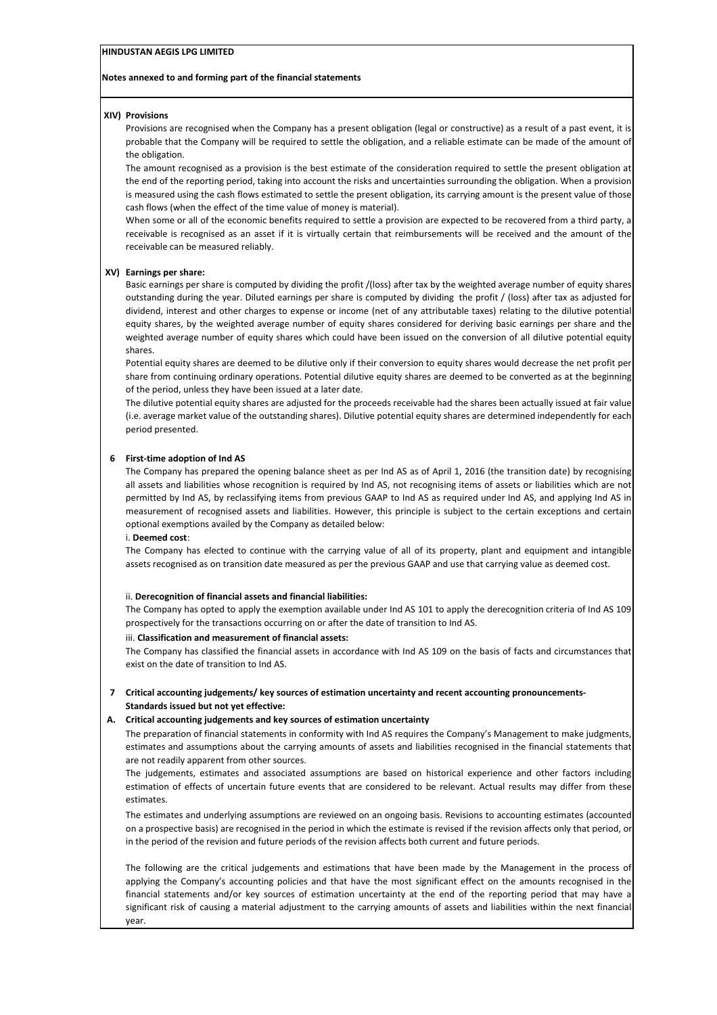#### **Notes annexed to and forming part of the financial statements**

#### **XIV) Provisions**

Provisions are recognised when the Company has a present obligation (legal or constructive) as a result of a past event, it is probable that the Company will be required to settle the obligation, and a reliable estimate can be made of the amount of the obligation.

The amount recognised as a provision is the best estimate of the consideration required to settle the present obligation at the end of the reporting period, taking into account the risks and uncertainties surrounding the obligation. When a provision is measured using the cash flows estimated to settle the present obligation, its carrying amount is the present value of those cash flows (when the effect of the time value of money is material).

When some or all of the economic benefits required to settle a provision are expected to be recovered from a third party, a receivable is recognised as an asset if it is virtually certain that reimbursements will be received and the amount of the receivable can be measured reliably.

#### **XV) Earnings per share:**

Basic earnings per share is computed by dividing the profit /(loss) after tax by the weighted average number of equity shares outstanding during the year. Diluted earnings per share is computed by dividing the profit / (loss) after tax as adjusted for dividend, interest and other charges to expense or income (net of any attributable taxes) relating to the dilutive potential equity shares, by the weighted average number of equity shares considered for deriving basic earnings per share and the weighted average number of equity shares which could have been issued on the conversion of all dilutive potential equity shares.

Potential equity shares are deemed to be dilutive only if their conversion to equity shares would decrease the net profit per share from continuing ordinary operations. Potential dilutive equity shares are deemed to be converted as at the beginning of the period, unless they have been issued at a later date.

The dilutive potential equity shares are adjusted for the proceeds receivable had the shares been actually issued at fair value (i.e. average market value of the outstanding shares). Dilutive potential equity shares are determined independently for each period presented.

#### **6 First-time adoption of Ind AS**

The Company has prepared the opening balance sheet as per Ind AS as of April 1, 2016 (the transition date) by recognising all assets and liabilities whose recognition is required by Ind AS, not recognising items of assets or liabilities which are not permitted by Ind AS, by reclassifying items from previous GAAP to Ind AS as required under Ind AS, and applying Ind AS in measurement of recognised assets and liabilities. However, this principle is subject to the certain exceptions and certain optional exemptions availed by the Company as detailed below:

#### i. **Deemed cost**:

The Company has elected to continue with the carrying value of all of its property, plant and equipment and intangible assets recognised as on transition date measured as per the previous GAAP and use that carrying value as deemed cost.

#### ii. **Derecognition of financial assets and financial liabilities:**

The Company has opted to apply the exemption available under Ind AS 101 to apply the derecognition criteria of Ind AS 109 prospectively for the transactions occurring on or after the date of transition to Ind AS.

#### iii. **Classification and measurement of financial assets:**

The Company has classified the financial assets in accordance with Ind AS 109 on the basis of facts and circumstances that exist on the date of transition to Ind AS.

### **7 Critical accounting judgements/ key sources of estimation uncertainty and recent accounting pronouncements-Standards issued but not yet effective:**

#### **A. Critical accounting judgements and key sources of estimation uncertainty**

The preparation of financial statements in conformity with Ind AS requires the Company's Management to make judgments, estimates and assumptions about the carrying amounts of assets and liabilities recognised in the financial statements that are not readily apparent from other sources.

The judgements, estimates and associated assumptions are based on historical experience and other factors including estimation of effects of uncertain future events that are considered to be relevant. Actual results may differ from these estimates.

The estimates and underlying assumptions are reviewed on an ongoing basis. Revisions to accounting estimates (accounted on a prospective basis) are recognised in the period in which the estimate is revised if the revision affects only that period, or in the period of the revision and future periods of the revision affects both current and future periods.

The following are the critical judgements and estimations that have been made by the Management in the process of applying the Company's accounting policies and that have the most significant effect on the amounts recognised in the financial statements and/or key sources of estimation uncertainty at the end of the reporting period that may have a significant risk of causing a material adjustment to the carrying amounts of assets and liabilities within the next financial year.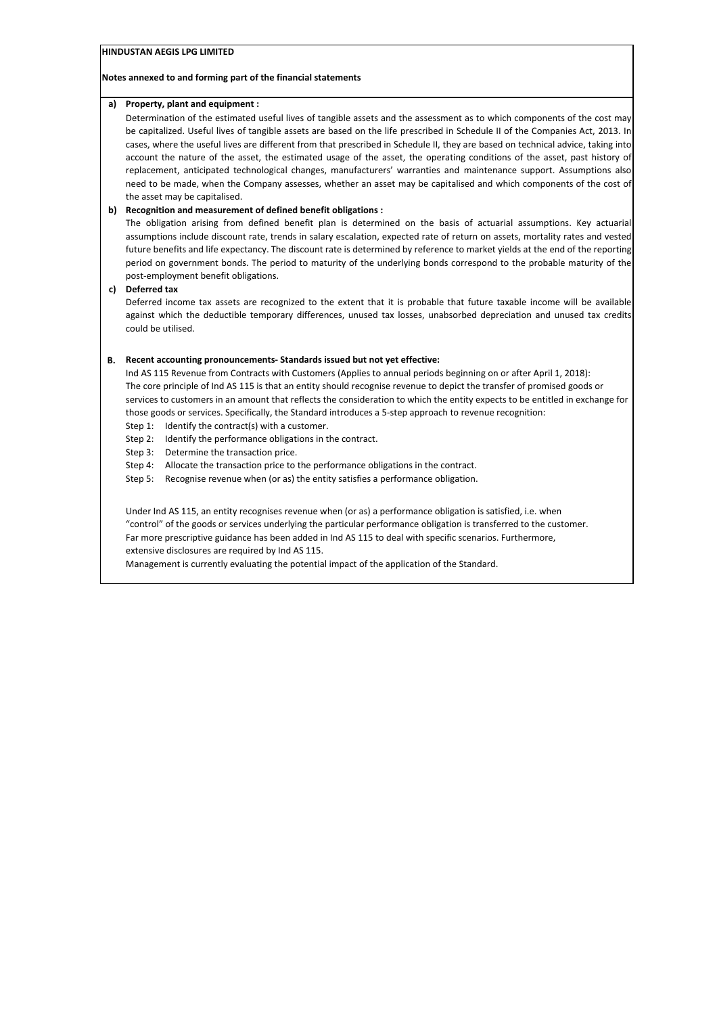#### **Notes annexed to and forming part of the financial statements**

#### **a) Property, plant and equipment :**

Determination of the estimated useful lives of tangible assets and the assessment as to which components of the cost may be capitalized. Useful lives of tangible assets are based on the life prescribed in Schedule II of the Companies Act, 2013. In cases, where the useful lives are different from that prescribed in Schedule II, they are based on technical advice, taking into account the nature of the asset, the estimated usage of the asset, the operating conditions of the asset, past history of replacement, anticipated technological changes, manufacturers' warranties and maintenance support. Assumptions also need to be made, when the Company assesses, whether an asset may be capitalised and which components of the cost of the asset may be capitalised.

### **b) Recognition and measurement of defined benefit obligations :**

The obligation arising from defined benefit plan is determined on the basis of actuarial assumptions. Key actuarial assumptions include discount rate, trends in salary escalation, expected rate of return on assets, mortality rates and vested future benefits and life expectancy. The discount rate is determined by reference to market yields at the end of the reporting period on government bonds. The period to maturity of the underlying bonds correspond to the probable maturity of the post-employment benefit obligations.

### **c) Deferred tax**

Deferred income tax assets are recognized to the extent that it is probable that future taxable income will be available against which the deductible temporary differences, unused tax losses, unabsorbed depreciation and unused tax credits could be utilised.

### **B. Recent accounting pronouncements- Standards issued but not yet effective:**

Ind AS 115 Revenue from Contracts with Customers (Applies to annual periods beginning on or after April 1, 2018): The core principle of Ind AS 115 is that an entity should recognise revenue to depict the transfer of promised goods or services to customers in an amount that reflects the consideration to which the entity expects to be entitled in exchange for those goods or services. Specifically, the Standard introduces a 5-step approach to revenue recognition:

Step 1: Identify the contract(s) with a customer.

- Step 2: Identify the performance obligations in the contract.
- Step 3: Determine the transaction price.

Step 4: Allocate the transaction price to the performance obligations in the contract.

Step 5: Recognise revenue when (or as) the entity satisfies a performance obligation.

Under Ind AS 115, an entity recognises revenue when (or as) a performance obligation is satisfied, i.e. when "control" of the goods or services underlying the particular performance obligation is transferred to the customer. Far more prescriptive guidance has been added in Ind AS 115 to deal with specific scenarios. Furthermore, extensive disclosures are required by Ind AS 115.

Management is currently evaluating the potential impact of the application of the Standard.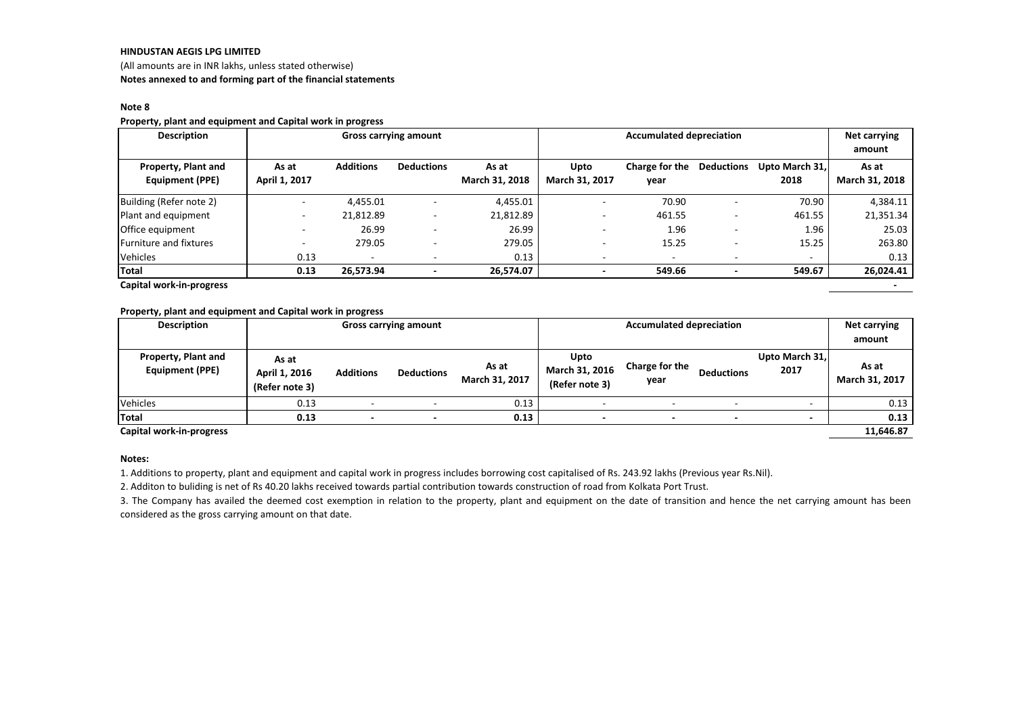(All amounts are in INR lakhs, unless stated otherwise)**Notes annexed to and forming part of the financial statements**

#### **Note 8**

#### **Property, plant and equipment and Capital work in progress**

| <b>Description</b>      | <b>Gross carrying amount</b> |                  |                   | <b>Accumulated depreciation</b> |                          |                          |                   | Net carrying   |                |
|-------------------------|------------------------------|------------------|-------------------|---------------------------------|--------------------------|--------------------------|-------------------|----------------|----------------|
|                         |                              |                  |                   |                                 |                          |                          |                   |                | amount         |
| Property, Plant and     | As at                        | <b>Additions</b> | <b>Deductions</b> | As at                           | Upto                     | Charge for the           | <b>Deductions</b> | Upto March 31, | As at          |
| Equipment (PPE)         | April 1, 2017                |                  |                   | March 31, 2018                  | March 31, 2017           | year                     |                   | 2018           | March 31, 2018 |
| Building (Refer note 2) | $\overline{\phantom{a}}$     | 4,455.01         |                   | 4,455.01                        | $\overline{\phantom{a}}$ | 70.90                    |                   | 70.90          | 4,384.11       |
| Plant and equipment     | ٠                            | 21,812.89        |                   | 21,812.89                       |                          | 461.55                   |                   | 461.55         | 21,351.34      |
| Office equipment        |                              | 26.99            |                   | 26.99                           |                          | 1.96                     |                   | 1.96           | 25.03          |
| Furniture and fixtures  |                              | 279.05           |                   | 279.05                          |                          | 15.25                    |                   | 15.25          | 263.80         |
| Vehicles                | 0.13                         |                  |                   | 0.13                            |                          | $\overline{\phantom{a}}$ |                   |                | 0.13           |
| <b>Total</b>            | 0.13                         | 26,573.94        |                   | 26,574.07                       |                          | 549.66                   |                   | 549.67         | 26,024.41      |

**Capital work-in-progress-**

#### **Property, plant and equipment and Capital work in progress**

| <b>Description</b>                            |                                          | <b>Accumulated depreciation</b><br><b>Gross carrying amount</b> |                   |                         |                                          |                        |                   |                        |                         |
|-----------------------------------------------|------------------------------------------|-----------------------------------------------------------------|-------------------|-------------------------|------------------------------------------|------------------------|-------------------|------------------------|-------------------------|
| Property, Plant and<br><b>Equipment (PPE)</b> | As at<br>April 1, 2016<br>(Refer note 3) | <b>Additions</b>                                                | <b>Deductions</b> | As at<br>March 31, 2017 | Upto<br>March 31, 2016<br>(Refer note 3) | Charge for the<br>year | <b>Deductions</b> | Upto March 31,<br>2017 | As at<br>March 31, 2017 |
| Vehicles                                      | 0.13                                     |                                                                 |                   | 0.13                    |                                          |                        |                   |                        | 0.13                    |
| Total                                         | 0.13                                     |                                                                 |                   | 0.13                    |                                          |                        |                   |                        | 0.13                    |
| Capital work-in-progress                      |                                          |                                                                 |                   |                         |                                          |                        |                   |                        | 11,646.87               |

#### **Notes:**

1. Additions to property, plant and equipment and capital work in progress includes borrowing cost capitalised of Rs. 243.92 lakhs (Previous year Rs.Nil).

2. Additon to buliding is net of Rs 40.20 lakhs received towards partial contribution towards construction of road from Kolkata Port Trust.

3. The Company has availed the deemed cost exemption in relation to the property, plant and equipment on the date of transition and hence the net carrying amount has been considered as the gross carrying amount on that date.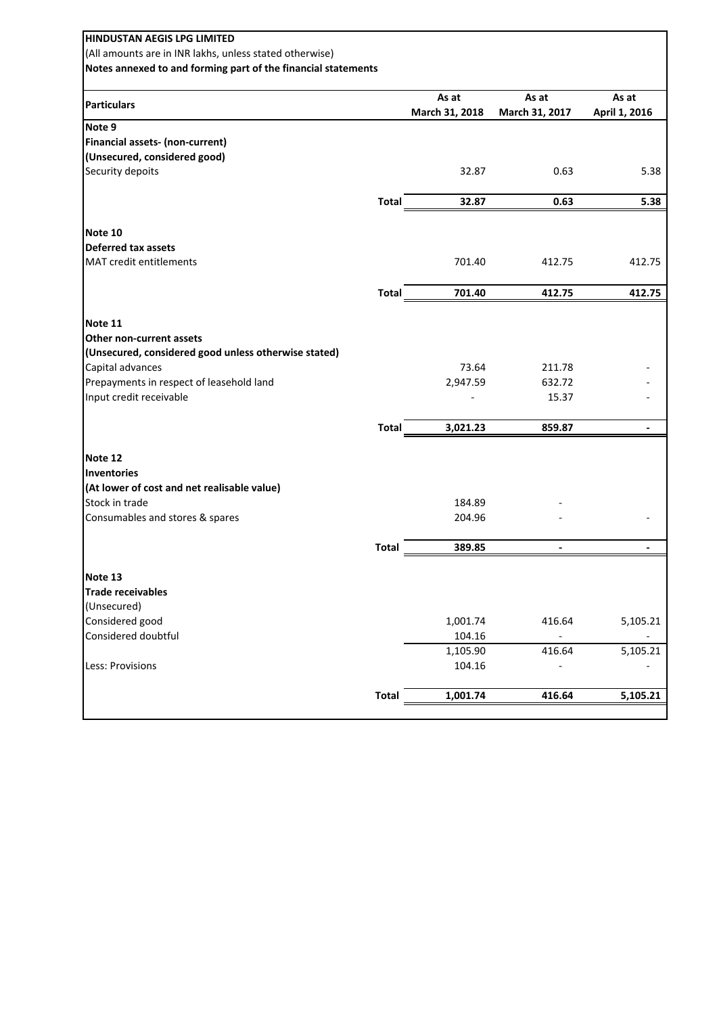| <b>HINDUSTAN AEGIS LPG LIMITED</b><br>(All amounts are in INR lakhs, unless stated otherwise)<br>Notes annexed to and forming part of the financial statements |              |                |                |               |
|----------------------------------------------------------------------------------------------------------------------------------------------------------------|--------------|----------------|----------------|---------------|
| <b>Particulars</b>                                                                                                                                             |              | As at          | As at          | As at         |
|                                                                                                                                                                |              | March 31, 2018 | March 31, 2017 | April 1, 2016 |
| Note 9                                                                                                                                                         |              |                |                |               |
| Financial assets- (non-current)<br>(Unsecured, considered good)                                                                                                |              |                |                |               |
|                                                                                                                                                                |              | 32.87          | 0.63           | 5.38          |
| Security depoits                                                                                                                                               |              |                |                |               |
|                                                                                                                                                                | <b>Total</b> | 32.87          | 0.63           | 5.38          |
| Note 10                                                                                                                                                        |              |                |                |               |
| <b>Deferred tax assets</b>                                                                                                                                     |              |                |                |               |
| <b>MAT</b> credit entitlements                                                                                                                                 |              | 701.40         | 412.75         | 412.75        |
|                                                                                                                                                                | <b>Total</b> | 701.40         | 412.75         | 412.75        |
|                                                                                                                                                                |              |                |                |               |
| Note 11                                                                                                                                                        |              |                |                |               |
| Other non-current assets                                                                                                                                       |              |                |                |               |
| (Unsecured, considered good unless otherwise stated)                                                                                                           |              |                |                |               |
| Capital advances                                                                                                                                               |              | 73.64          | 211.78         |               |
| Prepayments in respect of leasehold land                                                                                                                       |              | 2,947.59       | 632.72         |               |
| Input credit receivable                                                                                                                                        |              |                | 15.37          |               |
|                                                                                                                                                                | <b>Total</b> | 3,021.23       | 859.87         |               |
| Note 12                                                                                                                                                        |              |                |                |               |
| Inventories                                                                                                                                                    |              |                |                |               |
| (At lower of cost and net realisable value)                                                                                                                    |              |                |                |               |
| Stock in trade                                                                                                                                                 |              | 184.89         |                |               |
| Consumables and stores & spares                                                                                                                                |              | 204.96         |                |               |
|                                                                                                                                                                | Total        | 389.85         |                |               |
|                                                                                                                                                                |              |                |                |               |
| Note 13                                                                                                                                                        |              |                |                |               |
| <b>Trade receivables</b>                                                                                                                                       |              |                |                |               |
| (Unsecured)                                                                                                                                                    |              |                |                |               |
| Considered good                                                                                                                                                |              | 1,001.74       | 416.64         | 5,105.21      |
| Considered doubtful                                                                                                                                            |              | 104.16         |                |               |
|                                                                                                                                                                |              | 1,105.90       | 416.64         | 5,105.21      |
| Less: Provisions                                                                                                                                               |              | 104.16         |                |               |
|                                                                                                                                                                | <b>Total</b> | 1,001.74       | 416.64         | 5,105.21      |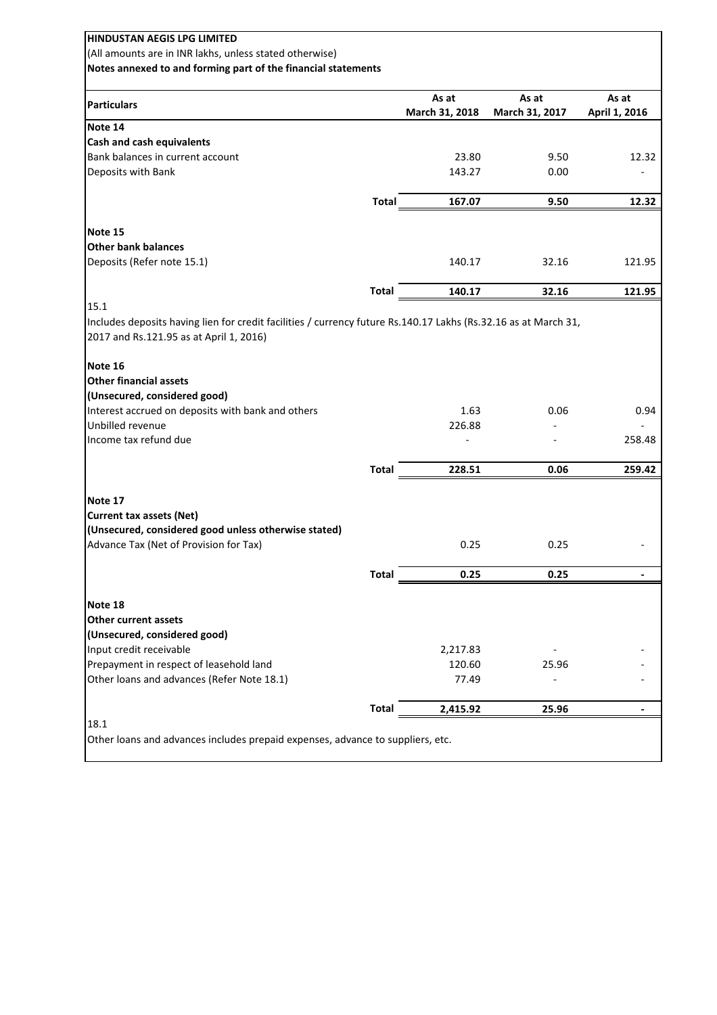| <b>HINDUSTAN AEGIS LPG LIMITED</b>                                                                              |              |                    |                |               |
|-----------------------------------------------------------------------------------------------------------------|--------------|--------------------|----------------|---------------|
| (All amounts are in INR lakhs, unless stated otherwise)                                                         |              |                    |                |               |
| Notes annexed to and forming part of the financial statements                                                   |              |                    |                |               |
|                                                                                                                 |              |                    |                |               |
| <b>Particulars</b>                                                                                              |              | As at              | As at          | As at         |
|                                                                                                                 |              | March 31, 2018     | March 31, 2017 | April 1, 2016 |
| Note 14                                                                                                         |              |                    |                |               |
| Cash and cash equivalents                                                                                       |              |                    |                |               |
| Bank balances in current account                                                                                |              | 23.80              | 9.50           | 12.32         |
| Deposits with Bank                                                                                              |              | 143.27             | 0.00           |               |
|                                                                                                                 | <b>Total</b> | 167.07             | 9.50           | 12.32         |
|                                                                                                                 |              |                    |                |               |
| Note 15                                                                                                         |              |                    |                |               |
| <b>Other bank balances</b>                                                                                      |              |                    |                |               |
| Deposits (Refer note 15.1)                                                                                      |              | 140.17             | 32.16          | 121.95        |
|                                                                                                                 | <b>Total</b> | 140.17             | 32.16          | 121.95        |
| 15.1                                                                                                            |              |                    |                |               |
| Includes deposits having lien for credit facilities / currency future Rs.140.17 Lakhs (Rs.32.16 as at March 31, |              |                    |                |               |
| 2017 and Rs.121.95 as at April 1, 2016)                                                                         |              |                    |                |               |
|                                                                                                                 |              |                    |                |               |
| Note 16                                                                                                         |              |                    |                |               |
| <b>Other financial assets</b>                                                                                   |              |                    |                |               |
| (Unsecured, considered good)                                                                                    |              |                    |                |               |
| Interest accrued on deposits with bank and others                                                               |              | 1.63               | 0.06           | 0.94          |
| Unbilled revenue                                                                                                |              | 226.88             |                |               |
| Income tax refund due                                                                                           |              |                    |                | 258.48        |
|                                                                                                                 | <b>Total</b> | 228.51             | 0.06           | 259.42        |
|                                                                                                                 |              |                    |                |               |
| Note 17                                                                                                         |              |                    |                |               |
| <b>Current tax assets (Net)</b>                                                                                 |              |                    |                |               |
| (Unsecured, considered good unless otherwise stated)                                                            |              |                    |                |               |
| Advance Tax (Net of Provision for Tax)                                                                          |              | 0.25               | 0.25           |               |
|                                                                                                                 | <b>Total</b> | 0.25               | 0.25           |               |
|                                                                                                                 |              |                    |                |               |
| Note 18<br><b>Other current assets</b>                                                                          |              |                    |                |               |
|                                                                                                                 |              |                    |                |               |
| (Unsecured, considered good)<br>Input credit receivable                                                         |              |                    |                |               |
| Prepayment in respect of leasehold land                                                                         |              | 2,217.83<br>120.60 | 25.96          |               |
| Other loans and advances (Refer Note 18.1)                                                                      |              | 77.49              |                |               |
|                                                                                                                 |              |                    |                |               |
|                                                                                                                 | <b>Total</b> | 2,415.92           | 25.96          |               |
| 18.1                                                                                                            |              |                    |                |               |
| Other loans and advances includes prepaid expenses, advance to suppliers, etc.                                  |              |                    |                |               |
|                                                                                                                 |              |                    |                |               |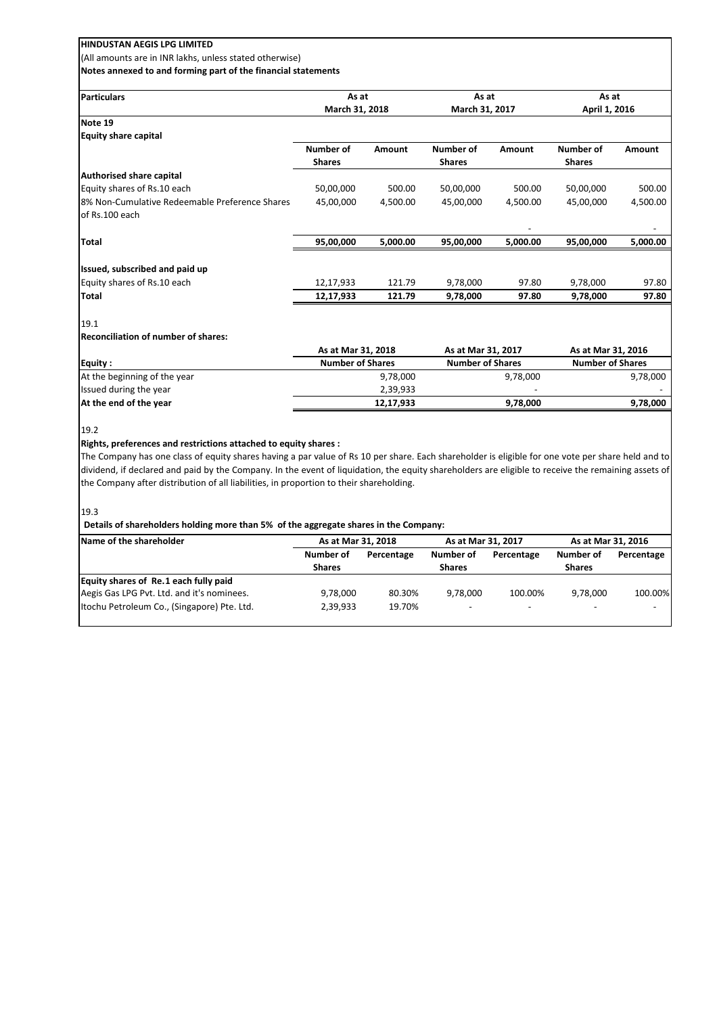(All amounts are in INR lakhs, unless stated otherwise) **Notes annexed to and forming part of the financial statements**

| Particulars                                    | As at<br>March 31, 2018 |           | As at<br>March 31, 2017 |               | As at<br>April 1, 2016  |          |
|------------------------------------------------|-------------------------|-----------|-------------------------|---------------|-------------------------|----------|
|                                                |                         |           |                         |               |                         |          |
| Note 19                                        |                         |           |                         |               |                         |          |
| <b>Equity share capital</b>                    |                         |           |                         |               |                         |          |
|                                                | Number of               | Amount    | Number of               | <b>Amount</b> | Number of               | Amount   |
|                                                | <b>Shares</b>           |           | <b>Shares</b>           |               | <b>Shares</b>           |          |
| <b>Authorised share capital</b>                |                         |           |                         |               |                         |          |
| Equity shares of Rs.10 each                    | 50,00,000               | 500.00    | 50,00,000               | 500.00        | 50,00,000               | 500.00   |
| 8% Non-Cumulative Redeemable Preference Shares | 45,00,000               | 4.500.00  | 45,00,000               | 4.500.00      | 45,00,000               | 4,500.00 |
| of Rs.100 each                                 |                         |           |                         |               |                         |          |
| <b>Total</b>                                   | 95,00,000               | 5,000.00  | 95,00,000               | 5,000.00      | 95,00,000               | 5,000.00 |
| Issued, subscribed and paid up                 |                         |           |                         |               |                         |          |
| Equity shares of Rs.10 each                    | 12,17,933               | 121.79    | 9,78,000                | 97.80         | 9,78,000                | 97.80    |
| <b>Total</b>                                   | 12,17,933               | 121.79    | 9,78,000                | 97.80         | 9,78,000                | 97.80    |
| 19.1                                           |                         |           |                         |               |                         |          |
| <b>Reconciliation of number of shares:</b>     |                         |           |                         |               |                         |          |
|                                                | As at Mar 31, 2018      |           | As at Mar 31, 2017      |               | As at Mar 31, 2016      |          |
| <b>Equity:</b>                                 | <b>Number of Shares</b> |           | <b>Number of Shares</b> |               | <b>Number of Shares</b> |          |
| At the beginning of the year                   |                         | 9,78,000  |                         | 9,78,000      |                         | 9,78,000 |
| Issued during the year                         |                         | 2,39,933  |                         |               |                         |          |
| At the end of the year                         |                         | 12,17,933 |                         | 9,78,000      |                         | 9,78,000 |

19.2

### **Rights, preferences and restrictions attached to equity shares :**

The Company has one class of equity shares having a par value of Rs 10 per share. Each shareholder is eligible for one vote per share held and to dividend, if declared and paid by the Company. In the event of liquidation, the equity shareholders are eligible to receive the remaining assets of the Company after distribution of all liabilities, in proportion to their shareholding.

19.3

### **Details of shareholders holding more than 5% of the aggregate shares in the Company:**

| Name of the shareholder                     | As at Mar 31, 2018 |            | As at Mar 31, 2017       |            | As at Mar 31, 2016       |            |
|---------------------------------------------|--------------------|------------|--------------------------|------------|--------------------------|------------|
|                                             | Number of          | Percentage | Number of                | Percentage | Number of                | Percentage |
|                                             | <b>Shares</b>      |            | <b>Shares</b>            |            | <b>Shares</b>            |            |
| Equity shares of Re.1 each fully paid       |                    |            |                          |            |                          |            |
| Aegis Gas LPG Pvt. Ltd. and it's nominees.  | 9,78,000           | 80.30%     | 9.78.000                 | 100.00%    | 9.78.000                 | 100.00%    |
| Itochu Petroleum Co., (Singapore) Pte. Ltd. | 2.39.933           | 19.70%     | $\overline{\phantom{0}}$ |            | $\overline{\phantom{0}}$ |            |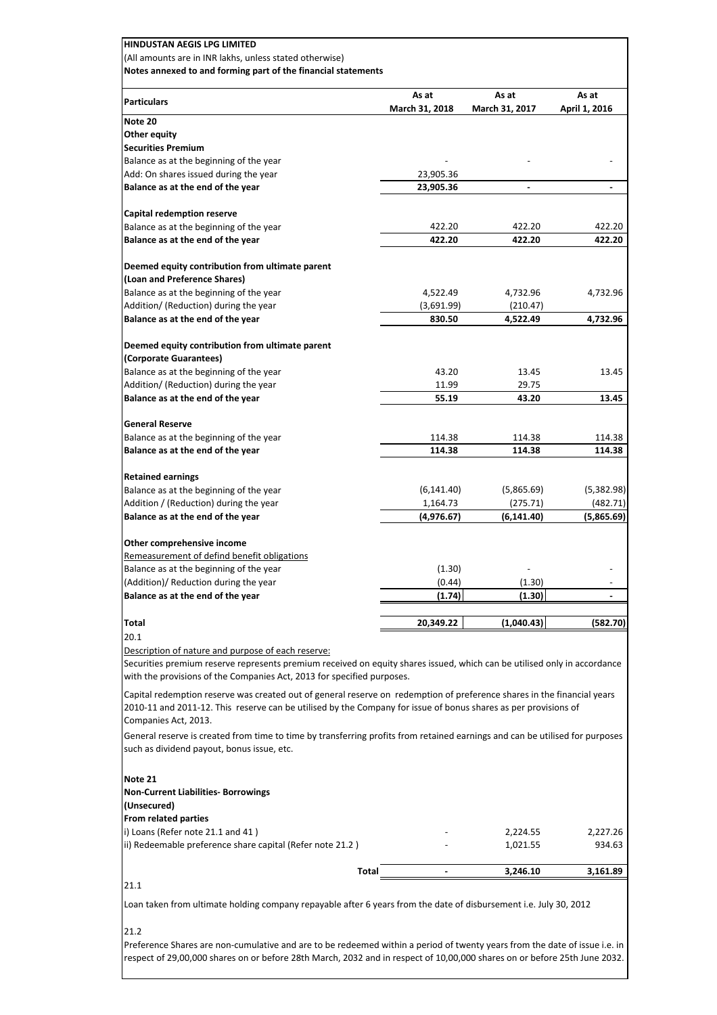| <b>Particulars</b>                                                                                                                                                                                                                                                 | As at<br>March 31, 2018 | As at<br>March 31, 2017 | As at<br>April 1, 2016 |
|--------------------------------------------------------------------------------------------------------------------------------------------------------------------------------------------------------------------------------------------------------------------|-------------------------|-------------------------|------------------------|
| Note 20                                                                                                                                                                                                                                                            |                         |                         |                        |
| Other equity                                                                                                                                                                                                                                                       |                         |                         |                        |
| <b>Securities Premium</b>                                                                                                                                                                                                                                          |                         |                         |                        |
| Balance as at the beginning of the year                                                                                                                                                                                                                            |                         |                         |                        |
| Add: On shares issued during the year                                                                                                                                                                                                                              | 23,905.36               | $\blacksquare$          | $\overline{a}$         |
| Balance as at the end of the year                                                                                                                                                                                                                                  | 23,905.36               |                         |                        |
| Capital redemption reserve                                                                                                                                                                                                                                         |                         |                         |                        |
| Balance as at the beginning of the year                                                                                                                                                                                                                            | 422.20                  | 422.20                  | 422.20                 |
| Balance as at the end of the year                                                                                                                                                                                                                                  | 422.20                  | 422.20                  | 422.20                 |
| Deemed equity contribution from ultimate parent                                                                                                                                                                                                                    |                         |                         |                        |
| (Loan and Preference Shares)                                                                                                                                                                                                                                       |                         |                         |                        |
| Balance as at the beginning of the year                                                                                                                                                                                                                            | 4,522.49                | 4,732.96                | 4,732.96               |
| Addition/ (Reduction) during the year<br>Balance as at the end of the year                                                                                                                                                                                         | (3,691.99)<br>830.50    | (210.47)<br>4,522.49    | 4,732.96               |
|                                                                                                                                                                                                                                                                    |                         |                         |                        |
| Deemed equity contribution from ultimate parent                                                                                                                                                                                                                    |                         |                         |                        |
| (Corporate Guarantees)                                                                                                                                                                                                                                             |                         |                         |                        |
| Balance as at the beginning of the year                                                                                                                                                                                                                            | 43.20                   | 13.45                   | 13.45                  |
| Addition/ (Reduction) during the year                                                                                                                                                                                                                              | 11.99                   | 29.75                   |                        |
| Balance as at the end of the year                                                                                                                                                                                                                                  | 55.19                   | 43.20                   | 13.45                  |
| <b>General Reserve</b>                                                                                                                                                                                                                                             |                         |                         |                        |
| Balance as at the beginning of the year                                                                                                                                                                                                                            | 114.38                  | 114.38                  | 114.38                 |
| Balance as at the end of the year                                                                                                                                                                                                                                  | 114.38                  | 114.38                  | 114.38                 |
|                                                                                                                                                                                                                                                                    |                         |                         |                        |
| <b>Retained earnings</b><br>Balance as at the beginning of the year                                                                                                                                                                                                | (6, 141.40)             | (5,865.69)              | (5,382.98)             |
| Addition / (Reduction) during the year                                                                                                                                                                                                                             | 1,164.73                | (275.71)                | (482.71)               |
| Balance as at the end of the year                                                                                                                                                                                                                                  | (4,976.67)              | (6,141.40)              | (5,865.69)             |
|                                                                                                                                                                                                                                                                    |                         |                         |                        |
| Other comprehensive income<br>Remeasurement of defind benefit obligations                                                                                                                                                                                          |                         |                         |                        |
| Balance as at the beginning of the year                                                                                                                                                                                                                            | (1.30)                  |                         |                        |
| (Addition)/ Reduction during the year                                                                                                                                                                                                                              | (0.44)                  | (1.30)                  |                        |
| Balance as at the end of the year                                                                                                                                                                                                                                  | (1.74)                  | (1.30)                  |                        |
|                                                                                                                                                                                                                                                                    |                         |                         |                        |
| Total<br>20.1                                                                                                                                                                                                                                                      | 20,349.22               | (1,040.43)              | (582.70)               |
| Description of nature and purpose of each reserve:<br>Securities premium reserve represents premium received on equity shares issued, which can be utilised only in accordance<br>with the provisions of the Companies Act, 2013 for specified purposes.           |                         |                         |                        |
| Capital redemption reserve was created out of general reserve on redemption of preference shares in the financial years<br>2010-11 and 2011-12. This reserve can be utilised by the Company for issue of bonus shares as per provisions of<br>Companies Act, 2013. |                         |                         |                        |
| General reserve is created from time to time by transferring profits from retained earnings and can be utilised for purposes<br>such as dividend payout, bonus issue, etc.                                                                                         |                         |                         |                        |
| Note 21<br><b>Non-Current Liabilities- Borrowings</b><br>(Unsecured)<br>From related parties                                                                                                                                                                       |                         |                         |                        |
| i) Loans (Refer note 21.1 and 41)                                                                                                                                                                                                                                  |                         | 2,224.55                | 2,227.26               |
| ii) Redeemable preference share capital (Refer note 21.2)                                                                                                                                                                                                          |                         | 1,021.55                | 934.63                 |
| Total                                                                                                                                                                                                                                                              |                         | 3,246.10                | 3,161.89               |
|                                                                                                                                                                                                                                                                    |                         |                         |                        |

Preference Shares are non-cumulative and are to be redeemed within a period of twenty years from the date of issue i.e. in respect of 29,00,000 shares on or before 28th March, 2032 and in respect of 10,00,000 shares on or before 25th June 2032.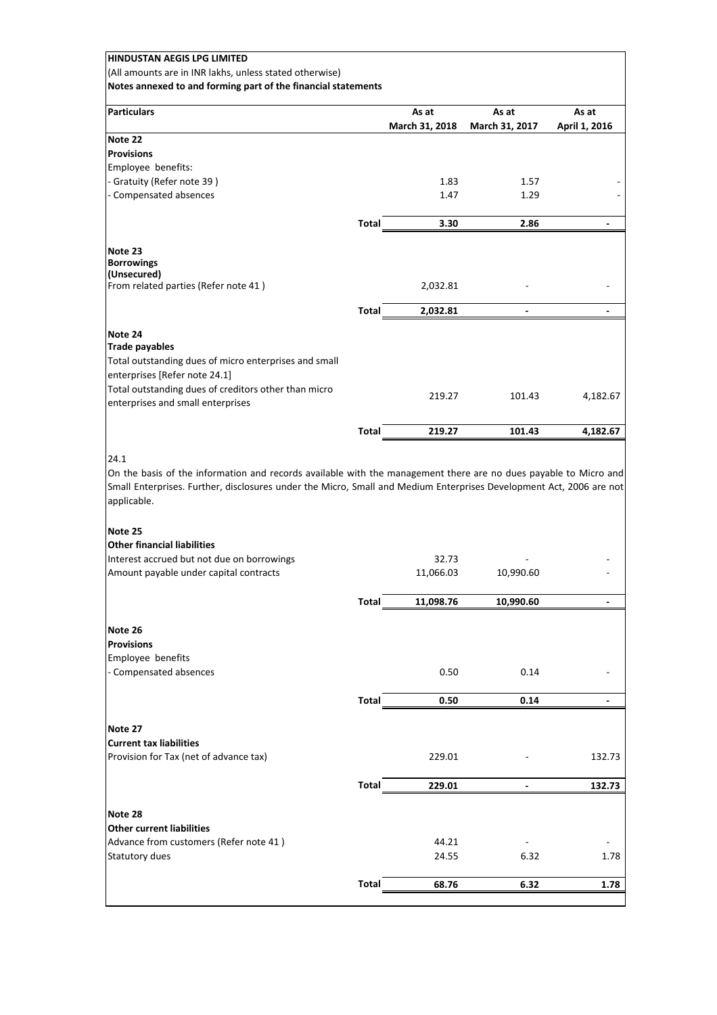| HINDUSTAN AEGIS LPG LIMITED                                                |              |                |                              |                |
|----------------------------------------------------------------------------|--------------|----------------|------------------------------|----------------|
| (All amounts are in INR lakhs, unless stated otherwise)                    |              |                |                              |                |
| Notes annexed to and forming part of the financial statements              |              |                |                              |                |
| <b>Particulars</b>                                                         |              | As at          | As at                        | As at          |
|                                                                            |              | March 31, 2018 | March 31, 2017               | April 1, 2016  |
| Note 22                                                                    |              |                |                              |                |
| <b>Provisions</b>                                                          |              |                |                              |                |
| Employee benefits:                                                         |              |                |                              |                |
| - Gratuity (Refer note 39)                                                 |              | 1.83           | 1.57                         |                |
| - Compensated absences                                                     |              | 1.47           | 1.29                         |                |
|                                                                            | <b>Total</b> | 3.30           | 2.86                         |                |
|                                                                            |              |                |                              |                |
| Note 23                                                                    |              |                |                              |                |
| <b>Borrowings</b>                                                          |              |                |                              |                |
| (Unsecured)<br>From related parties (Refer note 41)                        |              | 2,032.81       |                              |                |
|                                                                            |              |                |                              |                |
|                                                                            | Total        | 2,032.81       | $\qquad \qquad \blacksquare$ |                |
| Note 24                                                                    |              |                |                              |                |
| <b>Trade payables</b>                                                      |              |                |                              |                |
| Total outstanding dues of micro enterprises and small                      |              |                |                              |                |
| enterprises [Refer note 24.1]                                              |              |                |                              |                |
| Total outstanding dues of creditors other than micro                       |              | 219.27         | 101.43                       | 4,182.67       |
| enterprises and small enterprises                                          |              |                |                              |                |
|                                                                            | <b>Total</b> | 219.27         | 101.43                       | 4,182.67       |
|                                                                            |              |                |                              |                |
| applicable.<br>Note 25                                                     |              |                |                              |                |
| <b>Other financial liabilities</b>                                         |              |                |                              |                |
| Interest accrued but not due on borrowings                                 |              | 32.73          |                              |                |
| Amount payable under capital contracts                                     |              | 11,066.03      | 10,990.60                    |                |
|                                                                            |              |                |                              |                |
|                                                                            | <b>Total</b> | 11,098.76      | 10,990.60                    | $\blacksquare$ |
| Note 26                                                                    |              |                |                              |                |
| <b>Provisions</b>                                                          |              |                |                              |                |
| Employee benefits                                                          |              |                |                              |                |
| - Compensated absences                                                     |              | 0.50           | 0.14                         |                |
|                                                                            |              |                |                              |                |
|                                                                            | <b>Total</b> | 0.50           | 0.14                         |                |
| Note 27                                                                    |              |                |                              |                |
| <b>Current tax liabilities</b>                                             |              |                |                              |                |
| Provision for Tax (net of advance tax)                                     |              | 229.01         |                              | 132.73         |
|                                                                            |              |                |                              |                |
|                                                                            | <b>Total</b> | 229.01         |                              | 132.73         |
|                                                                            |              |                |                              |                |
| Note 28                                                                    |              |                |                              |                |
| <b>Other current liabilities</b><br>Advance from customers (Refer note 41) |              |                |                              |                |
| Statutory dues                                                             |              |                |                              |                |
|                                                                            |              | 44.21          |                              |                |
|                                                                            |              | 24.55          | 6.32                         | 1.78           |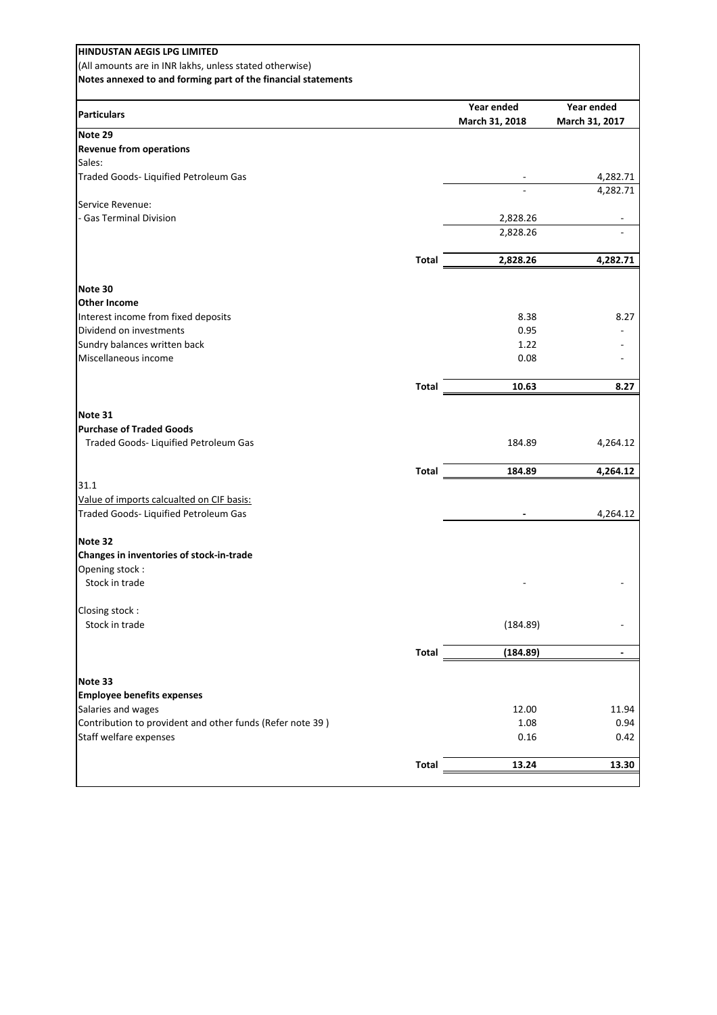| <b>HINDUSTAN AEGIS LPG LIMITED</b>                            |              |                |                          |
|---------------------------------------------------------------|--------------|----------------|--------------------------|
| (All amounts are in INR lakhs, unless stated otherwise)       |              |                |                          |
| Notes annexed to and forming part of the financial statements |              |                |                          |
|                                                               |              |                |                          |
|                                                               |              | Year ended     | Year ended               |
| <b>Particulars</b>                                            |              | March 31, 2018 | March 31, 2017           |
| Note 29                                                       |              |                |                          |
| <b>Revenue from operations</b>                                |              |                |                          |
| Sales:                                                        |              |                |                          |
| Traded Goods- Liquified Petroleum Gas                         |              |                | 4,282.71                 |
|                                                               |              |                | 4,282.71                 |
| Service Revenue:                                              |              |                |                          |
| - Gas Terminal Division                                       |              | 2,828.26       | $\overline{\phantom{a}}$ |
|                                                               |              | 2,828.26       |                          |
|                                                               |              |                |                          |
|                                                               | Total        | 2,828.26       | 4,282.71                 |
|                                                               |              |                |                          |
| Note 30                                                       |              |                |                          |
| <b>Other Income</b>                                           |              |                |                          |
| Interest income from fixed deposits                           |              | 8.38           | 8.27                     |
| Dividend on investments                                       |              | 0.95           |                          |
| Sundry balances written back                                  |              | 1.22           |                          |
| Miscellaneous income                                          |              | 0.08           |                          |
|                                                               |              |                |                          |
|                                                               | <b>Total</b> | 10.63          | 8.27                     |
|                                                               |              |                |                          |
| Note 31                                                       |              |                |                          |
| <b>Purchase of Traded Goods</b>                               |              |                |                          |
| Traded Goods- Liquified Petroleum Gas                         |              | 184.89         | 4,264.12                 |
|                                                               |              |                |                          |
|                                                               | Total        | 184.89         | 4,264.12                 |
| 31.1                                                          |              |                |                          |
| Value of imports calcualted on CIF basis:                     |              |                |                          |
| Traded Goods- Liquified Petroleum Gas                         |              |                | 4,264.12                 |
|                                                               |              |                |                          |
| Note 32                                                       |              |                |                          |
| Changes in inventories of stock-in-trade                      |              |                |                          |
| Opening stock:                                                |              |                |                          |
| Stock in trade                                                |              |                |                          |
|                                                               |              |                |                          |
| Closing stock:                                                |              |                |                          |
| Stock in trade                                                |              | (184.89)       |                          |
|                                                               |              |                |                          |
|                                                               | Total        | (184.89)       | $\overline{\phantom{a}}$ |
|                                                               |              |                |                          |
| Note 33                                                       |              |                |                          |
| <b>Employee benefits expenses</b>                             |              |                |                          |
| Salaries and wages                                            |              | 12.00          | 11.94                    |
| Contribution to provident and other funds (Refer note 39)     |              | 1.08           | 0.94                     |
| Staff welfare expenses                                        |              | 0.16           | 0.42                     |
|                                                               |              |                |                          |
|                                                               | <b>Total</b> | 13.24          | 13.30                    |
|                                                               |              |                |                          |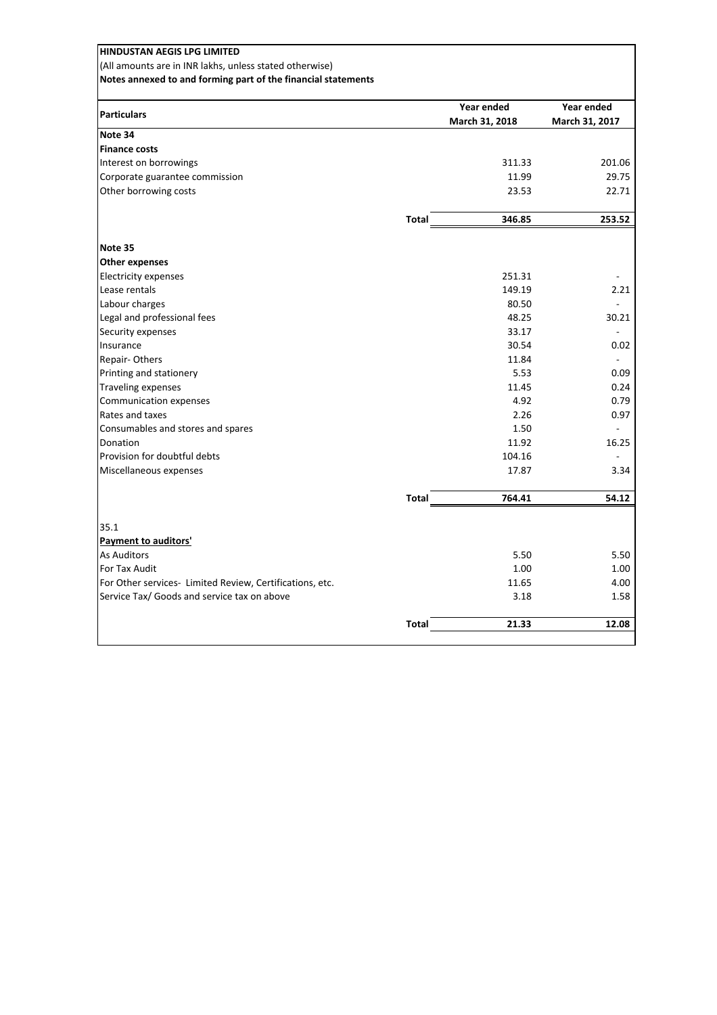| <b>HINDUSTAN AEGIS LPG LIMITED</b>                            |              |                |                |
|---------------------------------------------------------------|--------------|----------------|----------------|
| (All amounts are in INR lakhs, unless stated otherwise)       |              |                |                |
| Notes annexed to and forming part of the financial statements |              |                |                |
|                                                               |              | Year ended     | Year ended     |
| <b>Particulars</b>                                            |              | March 31, 2018 | March 31, 2017 |
| Note 34                                                       |              |                |                |
| <b>Finance costs</b>                                          |              |                |                |
| Interest on borrowings                                        |              | 311.33         | 201.06         |
| Corporate guarantee commission                                |              | 11.99          | 29.75          |
| Other borrowing costs                                         |              | 23.53          | 22.71          |
|                                                               | <b>Total</b> | 346.85         | 253.52         |
| Note 35                                                       |              |                |                |
| <b>Other expenses</b>                                         |              |                |                |
| <b>Electricity expenses</b>                                   |              | 251.31         |                |
| Lease rentals                                                 |              | 149.19         | 2.21           |
| Labour charges                                                |              | 80.50          |                |
| Legal and professional fees                                   |              | 48.25          | 30.21          |
| Security expenses                                             |              | 33.17          |                |
| Insurance                                                     |              | 30.54          | 0.02           |
| Repair-Others                                                 |              | 11.84          |                |
| Printing and stationery                                       |              | 5.53           | 0.09           |
| <b>Traveling expenses</b>                                     |              | 11.45          | 0.24           |
| Communication expenses                                        |              | 4.92           | 0.79           |
| Rates and taxes                                               |              | 2.26           | 0.97           |
| Consumables and stores and spares                             |              | 1.50           |                |
| Donation                                                      |              | 11.92          | 16.25          |
| Provision for doubtful debts                                  |              | 104.16         |                |
| Miscellaneous expenses                                        |              | 17.87          | 3.34           |
|                                                               | <b>Total</b> | 764.41         | 54.12          |
| 35.1                                                          |              |                |                |
| Payment to auditors'                                          |              |                |                |
| <b>As Auditors</b>                                            |              | 5.50           | 5.50           |
| For Tax Audit                                                 |              | 1.00           | 1.00           |
| For Other services- Limited Review, Certifications, etc.      |              | 11.65          | 4.00           |
| Service Tax/ Goods and service tax on above                   |              | 3.18           | 1.58           |
|                                                               | <b>Total</b> | 21.33          | 12.08          |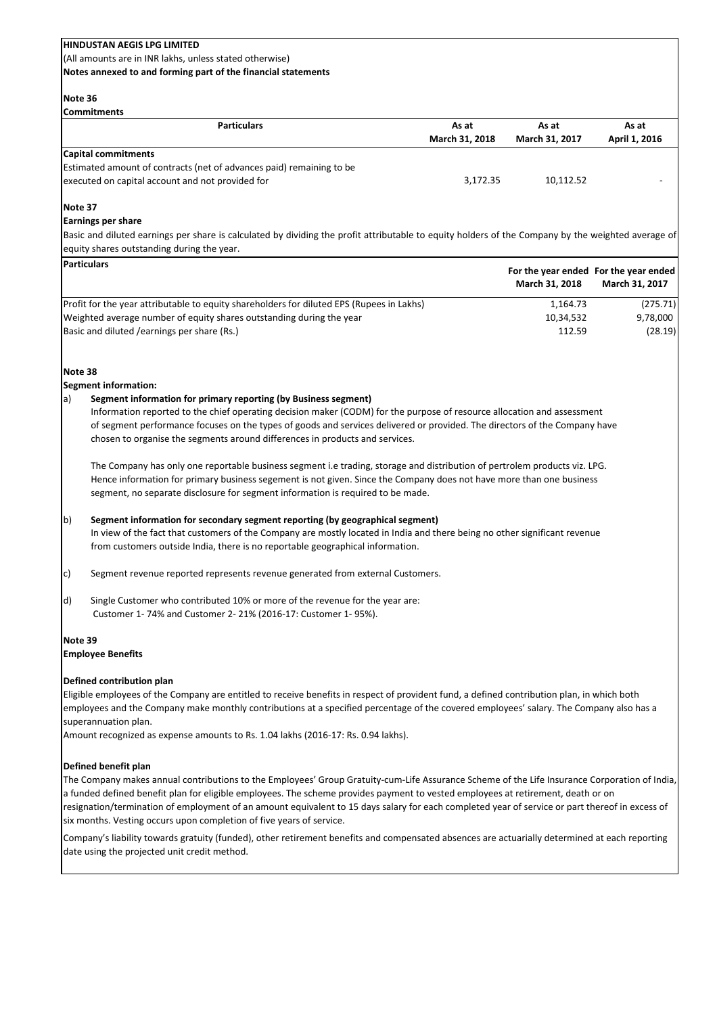(All amounts are in INR lakhs, unless stated otherwise)

**Notes annexed to and forming part of the financial statements**

### **Note 36**

**Commitments**

| ILUIIIIIIIIIIIEIILO                                                  |                |                |               |  |
|----------------------------------------------------------------------|----------------|----------------|---------------|--|
| <b>Particulars</b>                                                   | As at          | As at          | As at         |  |
|                                                                      | March 31, 2018 | March 31, 2017 | April 1, 2016 |  |
| Capital commitments                                                  |                |                |               |  |
| Estimated amount of contracts (net of advances paid) remaining to be |                |                |               |  |
| executed on capital account and not provided for                     | 3.172.35       | 10.112.52      |               |  |
|                                                                      |                |                |               |  |

## **Note 37**

### **Earnings per share**

Basic and diluted earnings per share is calculated by dividing the profit attributable to equity holders of the Company by the weighted average of equity shares outstanding during the year.

| <b>Particulars</b>                                                                         | March 31, 2018 | For the year ended For the year ended<br>March 31, 2017 |
|--------------------------------------------------------------------------------------------|----------------|---------------------------------------------------------|
| (Profit for the year attributable to equity shareholders for diluted EPS (Rupees in Lakhs) | 1,164.73       | (275.71)                                                |
| Weighted average number of equity shares outstanding during the year                       | 10.34.532      | 9,78,000                                                |
| Basic and diluted / earnings per share (Rs.)                                               | 112.59         | (28.19)                                                 |

## **Note 38**

### **Segment information:**

## a) **Segment information for primary reporting (by Business segment)**

Information reported to the chief operating decision maker (CODM) for the purpose of resource allocation and assessment of segment performance focuses on the types of goods and services delivered or provided. The directors of the Company have chosen to organise the segments around differences in products and services.

The Company has only one reportable business segment i.e trading, storage and distribution of pertrolem products viz. LPG. Hence information for primary business segement is not given. Since the Company does not have more than one business segment, no separate disclosure for segment information is required to be made.

## b) **Segment information for secondary segment reporting (by geographical segment)**

In view of the fact that customers of the Company are mostly located in India and there being no other significant revenue from customers outside India, there is no reportable geographical information.

- c) Segment revenue reported represents revenue generated from external Customers.
- d) Single Customer who contributed 10% or more of the revenue for the year are: Customer 1- 74% and Customer 2- 21% (2016-17: Customer 1- 95%).

### **Note 39**

### **Employee Benefits**

## **Defined contribution plan**

Eligible employees of the Company are entitled to receive benefits in respect of provident fund, a defined contribution plan, in which both employees and the Company make monthly contributions at a specified percentage of the covered employees' salary. The Company also has a superannuation plan.

Amount recognized as expense amounts to Rs. 1.04 lakhs (2016-17: Rs. 0.94 lakhs).

## **Defined benefit plan**

The Company makes annual contributions to the Employees' Group Gratuity-cum-Life Assurance Scheme of the Life Insurance Corporation of India, a funded defined benefit plan for eligible employees. The scheme provides payment to vested employees at retirement, death or on resignation/termination of employment of an amount equivalent to 15 days salary for each completed year of service or part thereof in excess of six months. Vesting occurs upon completion of five years of service.

Company's liability towards gratuity (funded), other retirement benefits and compensated absences are actuarially determined at each reporting date using the projected unit credit method.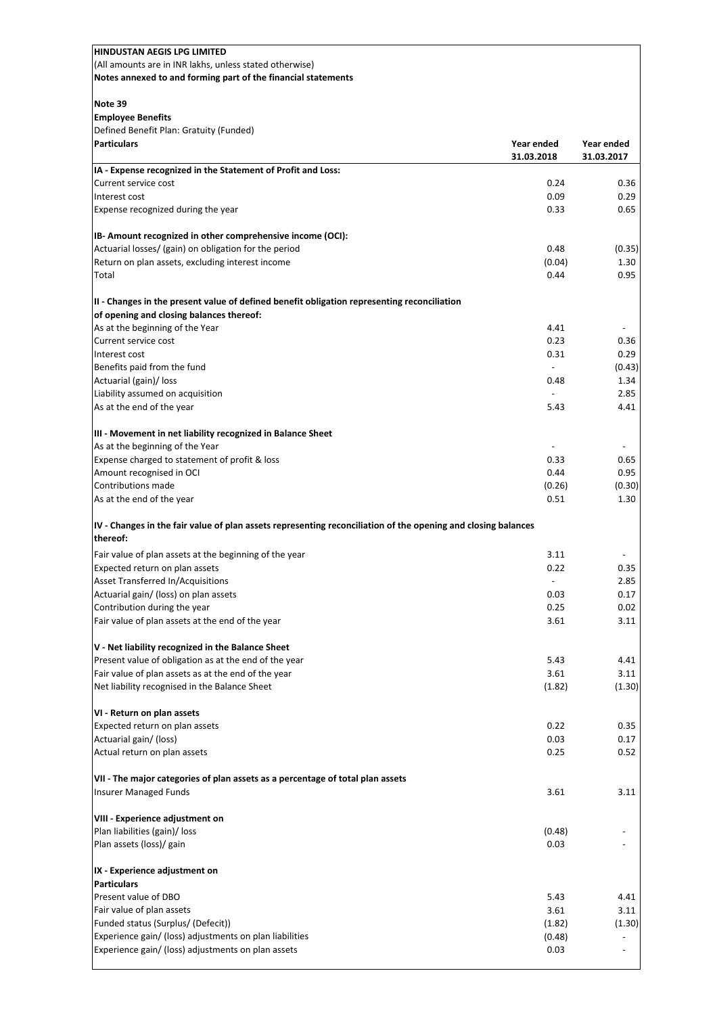| <b>HINDUSTAN AEGIS LPG LIMITED</b>                                                                                  |                          |                |
|---------------------------------------------------------------------------------------------------------------------|--------------------------|----------------|
| (All amounts are in INR lakhs, unless stated otherwise)                                                             |                          |                |
| Notes annexed to and forming part of the financial statements                                                       |                          |                |
|                                                                                                                     |                          |                |
| Note 39                                                                                                             |                          |                |
| <b>Employee Benefits</b>                                                                                            |                          |                |
| Defined Benefit Plan: Gratuity (Funded)                                                                             |                          |                |
| <b>Particulars</b>                                                                                                  | Year ended               | Year ended     |
|                                                                                                                     | 31.03.2018               | 31.03.2017     |
| IA - Expense recognized in the Statement of Profit and Loss:                                                        |                          |                |
| Current service cost                                                                                                | 0.24                     | 0.36           |
| Interest cost                                                                                                       | 0.09                     | 0.29           |
| Expense recognized during the year                                                                                  | 0.33                     | 0.65           |
|                                                                                                                     |                          |                |
| IB- Amount recognized in other comprehensive income (OCI):<br>Actuarial losses/ (gain) on obligation for the period | 0.48                     |                |
| Return on plan assets, excluding interest income                                                                    | (0.04)                   | (0.35)<br>1.30 |
| Total                                                                                                               | 0.44                     | 0.95           |
|                                                                                                                     |                          |                |
| II - Changes in the present value of defined benefit obligation representing reconciliation                         |                          |                |
| of opening and closing balances thereof:                                                                            |                          |                |
| As at the beginning of the Year                                                                                     | 4.41                     |                |
| Current service cost                                                                                                | 0.23                     | 0.36           |
| Interest cost                                                                                                       | 0.31                     | 0.29           |
| Benefits paid from the fund                                                                                         | $\overline{\phantom{a}}$ | (0.43)         |
| Actuarial (gain)/ loss                                                                                              | 0.48                     | 1.34           |
| Liability assumed on acquisition                                                                                    |                          | 2.85           |
| As at the end of the year                                                                                           | 5.43                     | 4.41           |
|                                                                                                                     |                          |                |
| III - Movement in net liability recognized in Balance Sheet                                                         |                          |                |
| As at the beginning of the Year                                                                                     |                          |                |
| Expense charged to statement of profit & loss                                                                       | 0.33                     | 0.65           |
| Amount recognised in OCI                                                                                            | 0.44                     | 0.95           |
| Contributions made                                                                                                  | (0.26)                   | (0.30)         |
| As at the end of the year                                                                                           | 0.51                     | 1.30           |
| IV - Changes in the fair value of plan assets representing reconciliation of the opening and closing balances       |                          |                |
| thereof:                                                                                                            |                          |                |
| Fair value of plan assets at the beginning of the year                                                              | 3.11                     |                |
| Expected return on plan assets                                                                                      | 0.22                     | 0.35           |
| Asset Transferred In/Acquisitions                                                                                   | $\overline{\phantom{a}}$ | 2.85           |
| Actuarial gain/ (loss) on plan assets                                                                               | 0.03                     | 0.17           |
| Contribution during the year                                                                                        | 0.25                     | 0.02           |
| Fair value of plan assets at the end of the year                                                                    | 3.61                     | 3.11           |
|                                                                                                                     |                          |                |
| V - Net liability recognized in the Balance Sheet                                                                   |                          |                |
| Present value of obligation as at the end of the year                                                               | 5.43                     | 4.41           |
| Fair value of plan assets as at the end of the year                                                                 | 3.61                     | 3.11           |
| Net liability recognised in the Balance Sheet                                                                       | (1.82)                   | (1.30)         |
| VI - Return on plan assets                                                                                          |                          |                |
| Expected return on plan assets                                                                                      | 0.22                     | 0.35           |
| Actuarial gain/ (loss)                                                                                              | 0.03                     | 0.17           |
| Actual return on plan assets                                                                                        | 0.25                     | 0.52           |
|                                                                                                                     |                          |                |
| VII - The major categories of plan assets as a percentage of total plan assets                                      |                          |                |
| <b>Insurer Managed Funds</b>                                                                                        | 3.61                     | 3.11           |
|                                                                                                                     |                          |                |
| VIII - Experience adjustment on                                                                                     |                          |                |
| Plan liabilities (gain)/ loss                                                                                       | (0.48)                   |                |
| Plan assets (loss)/ gain                                                                                            | 0.03                     |                |
|                                                                                                                     |                          |                |
| IX - Experience adjustment on                                                                                       |                          |                |
| <b>Particulars</b>                                                                                                  |                          |                |
| Present value of DBO                                                                                                | 5.43                     | 4.41           |
| Fair value of plan assets                                                                                           | 3.61                     | 3.11           |
| Funded status (Surplus/ (Defecit))                                                                                  | (1.82)                   | (1.30)         |
| Experience gain/ (loss) adjustments on plan liabilities                                                             | (0.48)                   |                |
| Experience gain/ (loss) adjustments on plan assets                                                                  | 0.03                     |                |
|                                                                                                                     |                          |                |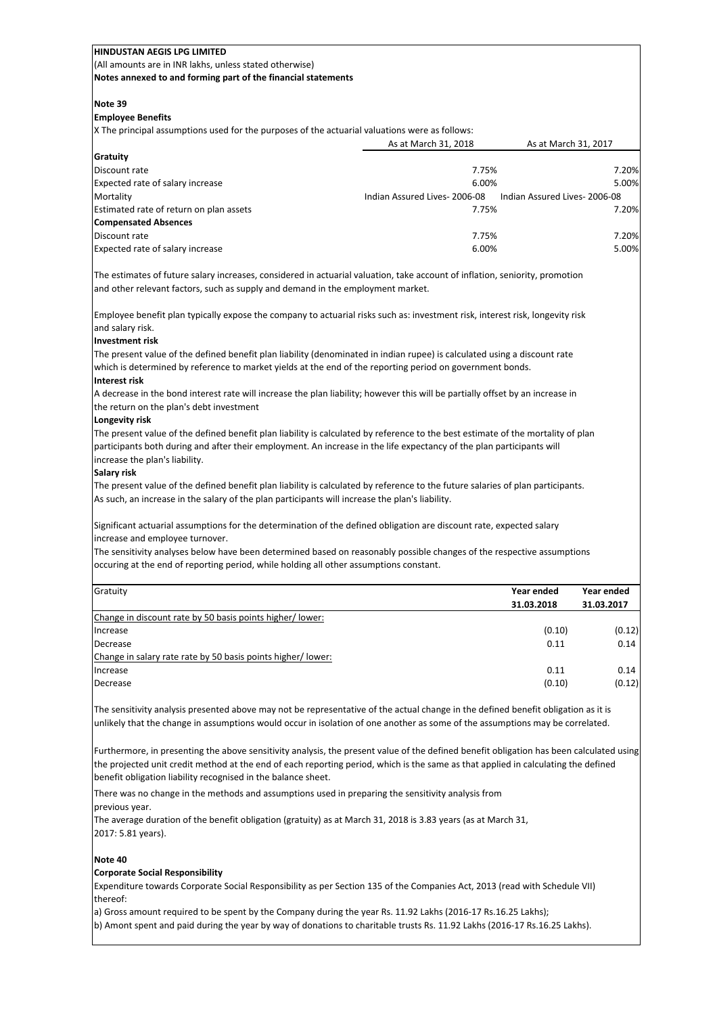(All amounts are in INR lakhs, unless stated otherwise)

**Notes annexed to and forming part of the financial statements**

### **Note 39**

### **Employee Benefits**

X The principal assumptions used for the purposes of the actuarial valuations were as follows:

|                                         | As at March 31, 2018         | As at March 31, 2017         |
|-----------------------------------------|------------------------------|------------------------------|
| Gratuity                                |                              |                              |
| Discount rate                           | 7.75%                        | 7.20%                        |
| Expected rate of salary increase        | 6.00%                        | 5.00%                        |
| Mortality                               | Indian Assured Lives-2006-08 | Indian Assured Lives-2006-08 |
| Estimated rate of return on plan assets | 7.75%                        | 7.20%                        |
| <b>Compensated Absences</b>             |                              |                              |
| Discount rate                           | 7.75%                        | 7.20%                        |
| Expected rate of salary increase        | 6.00%                        | 5.00%                        |

The estimates of future salary increases, considered in actuarial valuation, take account of inflation, seniority, promotion and other relevant factors, such as supply and demand in the employment market.

Employee benefit plan typically expose the company to actuarial risks such as: investment risk, interest risk, longevity risk and salary risk.

### **Investment risk**

The present value of the defined benefit plan liability (denominated in indian rupee) is calculated using a discount rate which is determined by reference to market yields at the end of the reporting period on government bonds.

### **Interest risk**

A decrease in the bond interest rate will increase the plan liability; however this will be partially offset by an increase in the return on the plan's debt investment

### **Longevity risk**

The present value of the defined benefit plan liability is calculated by reference to the best estimate of the mortality of plan participants both during and after their employment. An increase in the life expectancy of the plan participants will increase the plan's liability.

#### **Salary risk**

The present value of the defined benefit plan liability is calculated by reference to the future salaries of plan participants. As such, an increase in the salary of the plan participants will increase the plan's liability.

Significant actuarial assumptions for the determination of the defined obligation are discount rate, expected salary increase and employee turnover.

The sensitivity analyses below have been determined based on reasonably possible changes of the respective assumptions occuring at the end of reporting period, while holding all other assumptions constant.

| Gratuity                                                    | Year ended | Year ended |
|-------------------------------------------------------------|------------|------------|
|                                                             | 31.03.2018 | 31.03.2017 |
| Change in discount rate by 50 basis points higher/lower:    |            |            |
| Increase                                                    | (0.10)     | (0.12)     |
| Decrease                                                    | 0.11       | 0.14       |
| Change in salary rate rate by 50 basis points higher/lower: |            |            |
| Increase                                                    | 0.11       | 0.14       |
| Decrease                                                    | (0.10)     | (0.12)     |
|                                                             |            |            |

The sensitivity analysis presented above may not be representative of the actual change in the defined benefit obligation as it is unlikely that the change in assumptions would occur in isolation of one another as some of the assumptions may be correlated.

Furthermore, in presenting the above sensitivity analysis, the present value of the defined benefit obligation has been calculated using the projected unit credit method at the end of each reporting period, which is the same as that applied in calculating the defined benefit obligation liability recognised in the balance sheet.

There was no change in the methods and assumptions used in preparing the sensitivity analysis from previous year.

The average duration of the benefit obligation (gratuity) as at March 31, 2018 is 3.83 years (as at March 31, 2017: 5.81 years).

### **Note 40**

### **Corporate Social Responsibility**

Expenditure towards Corporate Social Responsibility as per Section 135 of the Companies Act, 2013 (read with Schedule VII) thereof:

a) Gross amount required to be spent by the Company during the year Rs. 11.92 Lakhs (2016-17 Rs.16.25 Lakhs);

b) Amont spent and paid during the year by way of donations to charitable trusts Rs. 11.92 Lakhs (2016-17 Rs.16.25 Lakhs).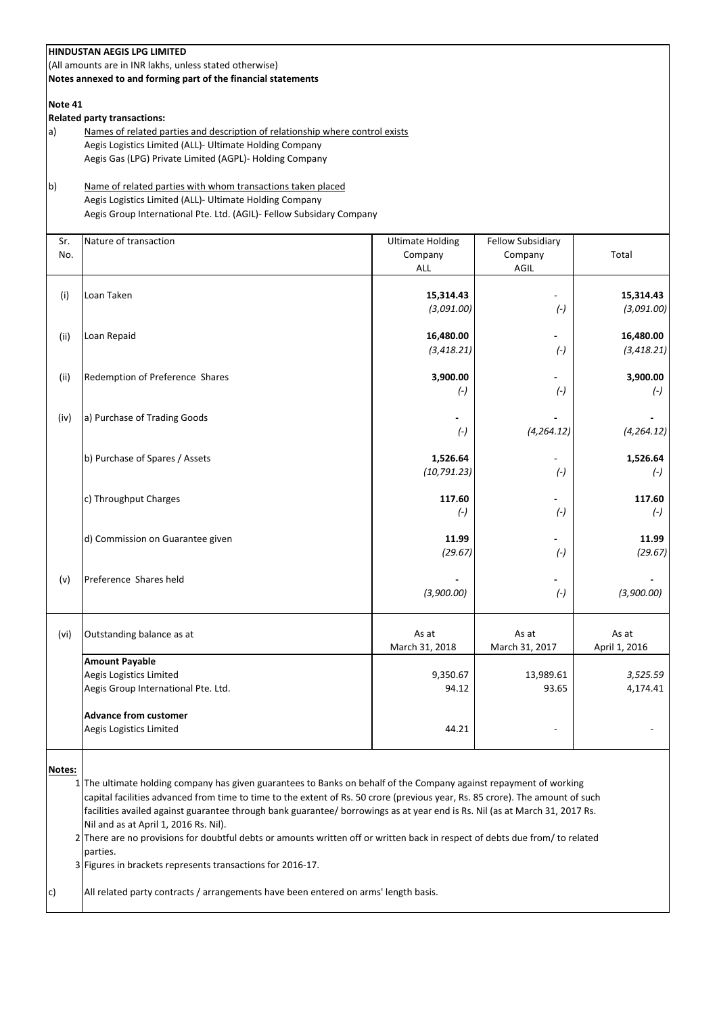|               | <b>HINDUSTAN AEGIS LPG LIMITED</b><br>(All amounts are in INR lakhs, unless stated otherwise)<br>Notes annexed to and forming part of the financial statements                                                                                                                                                                                                                                                                                                                                                                                                                                                                        |                                                  |                                             |                          |
|---------------|---------------------------------------------------------------------------------------------------------------------------------------------------------------------------------------------------------------------------------------------------------------------------------------------------------------------------------------------------------------------------------------------------------------------------------------------------------------------------------------------------------------------------------------------------------------------------------------------------------------------------------------|--------------------------------------------------|---------------------------------------------|--------------------------|
| Note 41<br>a) | <b>Related party transactions:</b><br>Names of related parties and description of relationship where control exists<br>Aegis Logistics Limited (ALL)- Ultimate Holding Company                                                                                                                                                                                                                                                                                                                                                                                                                                                        |                                                  |                                             |                          |
|               | Aegis Gas (LPG) Private Limited (AGPL)- Holding Company                                                                                                                                                                                                                                                                                                                                                                                                                                                                                                                                                                               |                                                  |                                             |                          |
| $\mathsf{b}$  | Name of related parties with whom transactions taken placed<br>Aegis Logistics Limited (ALL)- Ultimate Holding Company<br>Aegis Group International Pte. Ltd. (AGIL)- Fellow Subsidary Company                                                                                                                                                                                                                                                                                                                                                                                                                                        |                                                  |                                             |                          |
| Sr.<br>No.    | Nature of transaction                                                                                                                                                                                                                                                                                                                                                                                                                                                                                                                                                                                                                 | <b>Ultimate Holding</b><br>Company<br><b>ALL</b> | <b>Fellow Subsidiary</b><br>Company<br>AGIL | Total                    |
| (i)           | Loan Taken                                                                                                                                                                                                                                                                                                                                                                                                                                                                                                                                                                                                                            | 15,314.43<br>(3,091.00)                          | $(-)$                                       | 15,314.43<br>(3,091.00)  |
| (ii)          | Loan Repaid                                                                                                                                                                                                                                                                                                                                                                                                                                                                                                                                                                                                                           | 16,480.00<br>(3, 418.21)                         | $(-)$                                       | 16,480.00<br>(3, 418.21) |
| (ii)          | Redemption of Preference Shares                                                                                                                                                                                                                                                                                                                                                                                                                                                                                                                                                                                                       | 3,900.00<br>$(-)$                                | $(-)$                                       | 3,900.00<br>$(-)$        |
| (iv)          | a) Purchase of Trading Goods                                                                                                                                                                                                                                                                                                                                                                                                                                                                                                                                                                                                          | $(-)$                                            | (4, 264.12)                                 | (4, 264.12)              |
|               | b) Purchase of Spares / Assets                                                                                                                                                                                                                                                                                                                                                                                                                                                                                                                                                                                                        | 1,526.64<br>(10, 791.23)                         | $(-)$                                       | 1,526.64<br>$(-)$        |
|               | c) Throughput Charges                                                                                                                                                                                                                                                                                                                                                                                                                                                                                                                                                                                                                 | 117.60<br>$(-)$                                  | $(-)$                                       | 117.60<br>$(-)$          |
|               | d) Commission on Guarantee given                                                                                                                                                                                                                                                                                                                                                                                                                                                                                                                                                                                                      | 11.99<br>(29.67)                                 | $(-)$                                       | 11.99<br>(29.67)         |
| (v)           | Preference Shares held                                                                                                                                                                                                                                                                                                                                                                                                                                                                                                                                                                                                                | (3,900.00)                                       | $(-)$                                       | (3,900.00)               |
| (vi)          | Outstanding balance as at                                                                                                                                                                                                                                                                                                                                                                                                                                                                                                                                                                                                             | As at<br>March 31, 2018                          | As at<br>March 31, 2017                     | As at<br>April 1, 2016   |
|               | <b>Amount Payable</b><br>Aegis Logistics Limited<br>Aegis Group International Pte. Ltd.                                                                                                                                                                                                                                                                                                                                                                                                                                                                                                                                               | 9,350.67<br>94.12                                | 13,989.61<br>93.65                          | 3,525.59<br>4,174.41     |
|               | <b>Advance from customer</b><br>Aegis Logistics Limited                                                                                                                                                                                                                                                                                                                                                                                                                                                                                                                                                                               | 44.21                                            |                                             |                          |
| Notes:        | 1 The ultimate holding company has given guarantees to Banks on behalf of the Company against repayment of working<br>capital facilities advanced from time to time to the extent of Rs. 50 crore (previous year, Rs. 85 crore). The amount of such<br>facilities availed against guarantee through bank guarantee/ borrowings as at year end is Rs. Nil (as at March 31, 2017 Rs.<br>Nil and as at April 1, 2016 Rs. Nil).<br>2 There are no provisions for doubtful debts or amounts written off or written back in respect of debts due from/ to related<br>parties.<br>3 Figures in brackets represents transactions for 2016-17. |                                                  |                                             |                          |
| c)            | All related party contracts / arrangements have been entered on arms' length basis.                                                                                                                                                                                                                                                                                                                                                                                                                                                                                                                                                   |                                                  |                                             |                          |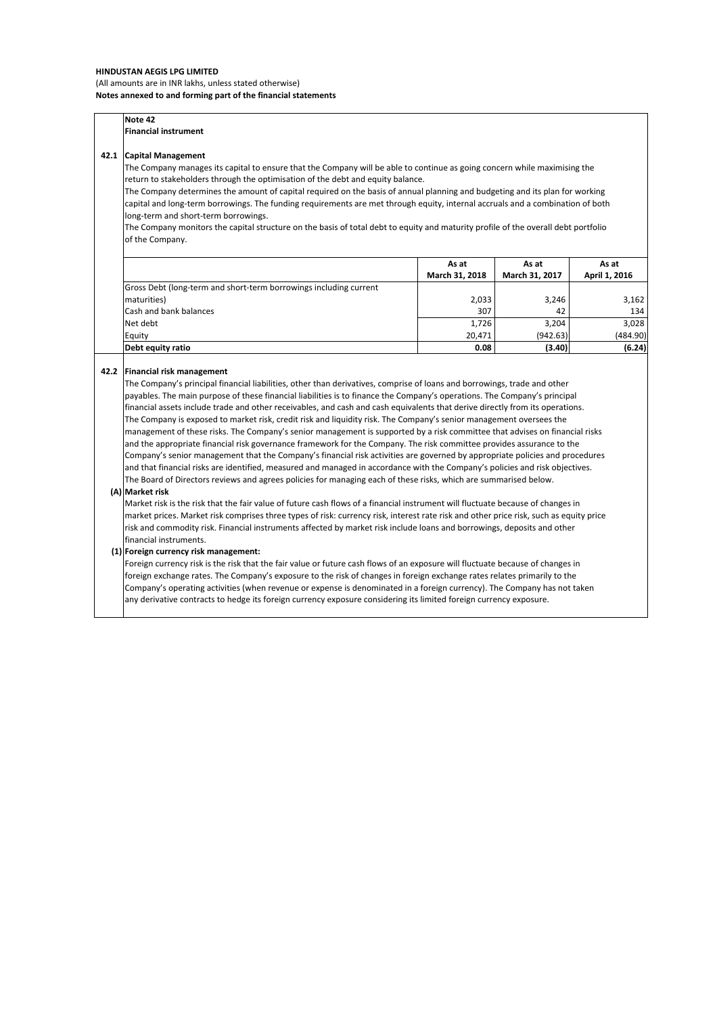#### **HINDUSTAN AEGIS LPG LIMITED** (All amounts are in INR lakhs, unless stated otherwise) **Notes annexed to and forming part of the financial statements**

|      | Note 42                                                                                                                            |                |                |               |
|------|------------------------------------------------------------------------------------------------------------------------------------|----------------|----------------|---------------|
|      | <b>Financial instrument</b>                                                                                                        |                |                |               |
| 42.1 | <b>Capital Management</b>                                                                                                          |                |                |               |
|      | The Company manages its capital to ensure that the Company will be able to continue as going concern while maximising the          |                |                |               |
|      | return to stakeholders through the optimisation of the debt and equity balance.                                                    |                |                |               |
|      | The Company determines the amount of capital required on the basis of annual planning and budgeting and its plan for working       |                |                |               |
|      | capital and long-term borrowings. The funding requirements are met through equity, internal accruals and a combination of both     |                |                |               |
|      | long-term and short-term borrowings.                                                                                               |                |                |               |
|      | The Company monitors the capital structure on the basis of total debt to equity and maturity profile of the overall debt portfolio |                |                |               |
|      |                                                                                                                                    |                |                |               |
|      | of the Company.                                                                                                                    |                |                |               |
|      |                                                                                                                                    | As at          | As at          | As at         |
|      |                                                                                                                                    | March 31, 2018 | March 31, 2017 | April 1, 2016 |
|      | Gross Debt (long-term and short-term borrowings including current                                                                  |                |                |               |
|      | maturities)                                                                                                                        | 2,033          | 3,246          | 3,162         |
|      | Cash and bank balances                                                                                                             | 307            | 42             | 134           |
|      | Net debt                                                                                                                           | 1,726          | 3,204          | 3,028         |
|      | Equity                                                                                                                             | 20,471         | (942.63)       | (484.90)      |

#### **42.2 Financial risk management**

The Company's principal financial liabilities, other than derivatives, comprise of loans and borrowings, trade and other payables. The main purpose of these financial liabilities is to finance the Company's operations. The Company's principal financial assets include trade and other receivables, and cash and cash equivalents that derive directly from its operations. The Company is exposed to market risk, credit risk and liquidity risk. The Company's senior management oversees the management of these risks. The Company's senior management is supported by a risk committee that advises on financial risks and the appropriate financial risk governance framework for the Company. The risk committee provides assurance to the Company's senior management that the Company's financial risk activities are governed by appropriate policies and procedures and that financial risks are identified, measured and managed in accordance with the Company's policies and risk objectives. The Board of Directors reviews and agrees policies for managing each of these risks, which are summarised below.

#### **(A) Market risk**

Market risk is the risk that the fair value of future cash flows of a financial instrument will fluctuate because of changes in market prices. Market risk comprises three types of risk: currency risk, interest rate risk and other price risk, such as equity price risk and commodity risk. Financial instruments affected by market risk include loans and borrowings, deposits and other financial instruments.

#### **(1) Foreign currency risk management:**

Foreign currency risk is the risk that the fair value or future cash flows of an exposure will fluctuate because of changes in foreign exchange rates. The Company's exposure to the risk of changes in foreign exchange rates relates primarily to the Company's operating activities (when revenue or expense is denominated in a foreign currency). The Company has not taken any derivative contracts to hedge its foreign currency exposure considering its limited foreign currency exposure.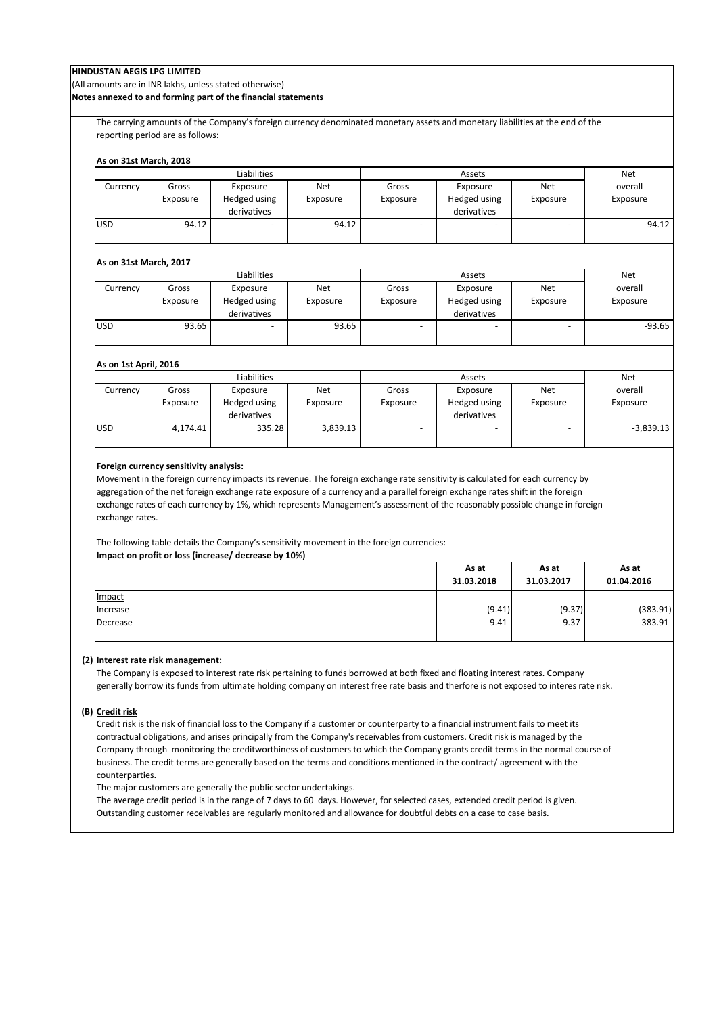(All amounts are in INR lakhs, unless stated otherwise)

**Notes annexed to and forming part of the financial statements**

The carrying amounts of the Company's foreign currency denominated monetary assets and monetary liabilities at the end of the reporting period are as follows:

| As on 31st March, 2018             |                                        | Liabilities                                                                                                                                       |          |                | Assets                                                                                                                                                                                                                                                                                                                                                                                           |                          | Net                 |
|------------------------------------|----------------------------------------|---------------------------------------------------------------------------------------------------------------------------------------------------|----------|----------------|--------------------------------------------------------------------------------------------------------------------------------------------------------------------------------------------------------------------------------------------------------------------------------------------------------------------------------------------------------------------------------------------------|--------------------------|---------------------|
| Currency                           | Gross                                  | Exposure                                                                                                                                          | Net      | Gross          | Exposure                                                                                                                                                                                                                                                                                                                                                                                         | Net                      | overall             |
|                                    | Exposure                               | Hedged using                                                                                                                                      | Exposure | Exposure       | Hedged using                                                                                                                                                                                                                                                                                                                                                                                     | Exposure                 | Exposure            |
|                                    |                                        | derivatives                                                                                                                                       |          |                | derivatives                                                                                                                                                                                                                                                                                                                                                                                      |                          |                     |
| <b>USD</b>                         | 94.12                                  |                                                                                                                                                   | 94.12    | $\blacksquare$ |                                                                                                                                                                                                                                                                                                                                                                                                  | $\overline{\phantom{a}}$ | $-94.12$            |
|                                    |                                        |                                                                                                                                                   |          |                |                                                                                                                                                                                                                                                                                                                                                                                                  |                          |                     |
| <b>As on 31st March, 2017</b>      |                                        | Liabilities                                                                                                                                       |          |                | Assets                                                                                                                                                                                                                                                                                                                                                                                           |                          | Net                 |
| Currency                           | Gross                                  | Exposure                                                                                                                                          | Net      | Gross          | Exposure                                                                                                                                                                                                                                                                                                                                                                                         | Net                      | overall             |
|                                    | Exposure                               | Hedged using                                                                                                                                      | Exposure | Exposure       | Hedged using                                                                                                                                                                                                                                                                                                                                                                                     | Exposure                 | Exposure            |
|                                    |                                        | derivatives                                                                                                                                       |          |                | derivatives                                                                                                                                                                                                                                                                                                                                                                                      |                          |                     |
| USD                                | 93.65                                  |                                                                                                                                                   | 93.65    |                |                                                                                                                                                                                                                                                                                                                                                                                                  |                          | $-93.65$            |
| As on 1st April, 2016              |                                        |                                                                                                                                                   |          |                |                                                                                                                                                                                                                                                                                                                                                                                                  |                          |                     |
|                                    |                                        | Liabilities                                                                                                                                       |          |                | Assets                                                                                                                                                                                                                                                                                                                                                                                           |                          | Net                 |
| Currency                           | Gross                                  | Exposure                                                                                                                                          | Net      | Gross          | Exposure                                                                                                                                                                                                                                                                                                                                                                                         | Net                      | overall             |
|                                    | Exposure                               | Hedged using                                                                                                                                      | Exposure | Exposure       | Hedged using                                                                                                                                                                                                                                                                                                                                                                                     | Exposure                 | Exposure            |
|                                    |                                        | derivatives                                                                                                                                       |          |                | derivatives                                                                                                                                                                                                                                                                                                                                                                                      |                          |                     |
| USD                                | 4,174.41                               | 335.28                                                                                                                                            | 3,839.13 |                |                                                                                                                                                                                                                                                                                                                                                                                                  |                          | $-3,839.13$         |
|                                    | Foreign currency sensitivity analysis: |                                                                                                                                                   |          |                | Movement in the foreign currency impacts its revenue. The foreign exchange rate sensitivity is calculated for each currency by<br>aggregation of the net foreign exchange rate exposure of a currency and a parallel foreign exchange rates shift in the foreign<br>exchange rates of each currency by 1%, which represents Management's assessment of the reasonably possible change in foreign |                          |                     |
| exchange rates.                    |                                        | The following table details the Company's sensitivity movement in the foreign currencies:<br>Impact on profit or loss (increase/ decrease by 10%) |          |                |                                                                                                                                                                                                                                                                                                                                                                                                  |                          |                     |
|                                    |                                        |                                                                                                                                                   |          |                | As at<br>31.03.2018                                                                                                                                                                                                                                                                                                                                                                              | As at<br>31.03.2017      | As at<br>01.04.2016 |
| Impact                             |                                        |                                                                                                                                                   |          |                |                                                                                                                                                                                                                                                                                                                                                                                                  |                          |                     |
| Increase                           |                                        |                                                                                                                                                   |          |                | (9.41)                                                                                                                                                                                                                                                                                                                                                                                           | (9.37)                   | (383.91)            |
|                                    |                                        |                                                                                                                                                   |          |                | 9.41                                                                                                                                                                                                                                                                                                                                                                                             | 9.37                     | 383.91              |
|                                    | (2) Interest rate risk management:     |                                                                                                                                                   |          |                |                                                                                                                                                                                                                                                                                                                                                                                                  |                          |                     |
|                                    |                                        |                                                                                                                                                   |          |                | The Company is exposed to interest rate risk pertaining to funds borrowed at both fixed and floating interest rates. Company                                                                                                                                                                                                                                                                     |                          |                     |
|                                    |                                        |                                                                                                                                                   |          |                | generally borrow its funds from ultimate holding company on interest free rate basis and therfore is not exposed to interes rate risk.                                                                                                                                                                                                                                                           |                          |                     |
|                                    |                                        |                                                                                                                                                   |          |                |                                                                                                                                                                                                                                                                                                                                                                                                  |                          |                     |
|                                    |                                        |                                                                                                                                                   |          |                | Credit risk is the risk of financial loss to the Company if a customer or counterparty to a financial instrument fails to meet its                                                                                                                                                                                                                                                               |                          |                     |
| Decrease                           |                                        |                                                                                                                                                   |          |                | contractual obligations, and arises principally from the Company's receivables from customers. Credit risk is managed by the                                                                                                                                                                                                                                                                     |                          |                     |
|                                    |                                        |                                                                                                                                                   |          |                | Company through monitoring the creditworthiness of customers to which the Company grants credit terms in the normal course of                                                                                                                                                                                                                                                                    |                          |                     |
|                                    |                                        |                                                                                                                                                   |          |                | business. The credit terms are generally based on the terms and conditions mentioned in the contract/agreement with the                                                                                                                                                                                                                                                                          |                          |                     |
| (B) Credit risk<br>counterparties. |                                        |                                                                                                                                                   |          |                |                                                                                                                                                                                                                                                                                                                                                                                                  |                          |                     |
|                                    |                                        | The major customers are generally the public sector undertakings.                                                                                 |          |                |                                                                                                                                                                                                                                                                                                                                                                                                  |                          |                     |
|                                    |                                        |                                                                                                                                                   |          |                | The average credit period is in the range of 7 days to 60 days. However, for selected cases, extended credit period is given.<br>Outstanding customer receivables are regularly monitored and allowance for doubtful debts on a case to case basis.                                                                                                                                              |                          |                     |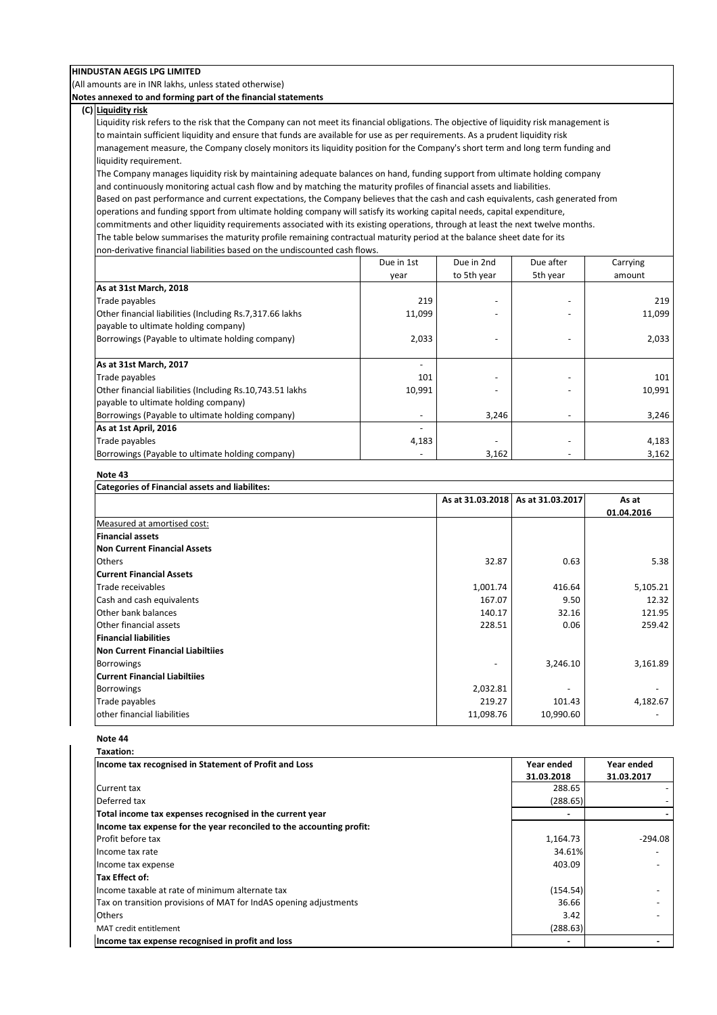(All amounts are in INR lakhs, unless stated otherwise)

**Notes annexed to and forming part of the financial statements**

## **(C) Liquidity risk**

Liquidity risk refers to the risk that the Company can not meet its financial obligations. The objective of liquidity risk management is to maintain sufficient liquidity and ensure that funds are available for use as per requirements. As a prudent liquidity risk management measure, the Company closely monitors its liquidity position for the Company's short term and long term funding and liquidity requirement.

The Company manages liquidity risk by maintaining adequate balances on hand, funding support from ultimate holding company and continuously monitoring actual cash flow and by matching the maturity profiles of financial assets and liabilities.

Based on past performance and current expectations, the Company believes that the cash and cash equivalents, cash generated from operations and funding spport from ultimate holding company will satisfy its working capital needs, capital expenditure, commitments and other liquidity requirements associated with its existing operations, through at least the next twelve months.

The table below summarises the maturity profile remaining contractual maturity period at the balance sheet date for its non-derivative financial liabilities based on the undiscounted cash flows.

|                                                            | Due in 1st                                                                                                                                                                                                                                                                                                                                                                                                                                                                 | Due in 2nd  | Due after                | Carrying |
|------------------------------------------------------------|----------------------------------------------------------------------------------------------------------------------------------------------------------------------------------------------------------------------------------------------------------------------------------------------------------------------------------------------------------------------------------------------------------------------------------------------------------------------------|-------------|--------------------------|----------|
|                                                            | year                                                                                                                                                                                                                                                                                                                                                                                                                                                                       | to 5th year | 5th year                 | amount   |
| As at 31st March, 2018                                     |                                                                                                                                                                                                                                                                                                                                                                                                                                                                            |             |                          |          |
| Trade payables                                             | 219                                                                                                                                                                                                                                                                                                                                                                                                                                                                        |             |                          | 219      |
| Other financial liabilities (Including Rs. 7, 317.66 lakhs | 11,099                                                                                                                                                                                                                                                                                                                                                                                                                                                                     |             |                          | 11,099   |
| payable to ultimate holding company)                       |                                                                                                                                                                                                                                                                                                                                                                                                                                                                            |             |                          |          |
| Borrowings (Payable to ultimate holding company)           | 2,033                                                                                                                                                                                                                                                                                                                                                                                                                                                                      |             |                          | 2,033    |
|                                                            |                                                                                                                                                                                                                                                                                                                                                                                                                                                                            |             |                          |          |
| As at 31st March, 2017                                     | $\frac{1}{2} \left( \frac{1}{2} \right) \left( \frac{1}{2} \right) \left( \frac{1}{2} \right) \left( \frac{1}{2} \right) \left( \frac{1}{2} \right) \left( \frac{1}{2} \right) \left( \frac{1}{2} \right) \left( \frac{1}{2} \right) \left( \frac{1}{2} \right) \left( \frac{1}{2} \right) \left( \frac{1}{2} \right) \left( \frac{1}{2} \right) \left( \frac{1}{2} \right) \left( \frac{1}{2} \right) \left( \frac{1}{2} \right) \left( \frac{1}{2} \right) \left( \frac$ |             |                          |          |
| Trade payables                                             | 101                                                                                                                                                                                                                                                                                                                                                                                                                                                                        |             |                          | 101      |
| Other financial liabilities (Including Rs.10,743.51 lakhs  | 10,991                                                                                                                                                                                                                                                                                                                                                                                                                                                                     |             |                          | 10,991   |
| payable to ultimate holding company)                       |                                                                                                                                                                                                                                                                                                                                                                                                                                                                            |             |                          |          |
| Borrowings (Payable to ultimate holding company)           | $\overline{\phantom{a}}$                                                                                                                                                                                                                                                                                                                                                                                                                                                   | 3,246       | $\overline{\phantom{m}}$ | 3,246    |
| As at 1st April, 2016                                      | $\overline{\phantom{0}}$                                                                                                                                                                                                                                                                                                                                                                                                                                                   |             |                          |          |
| Trade payables                                             | 4,183                                                                                                                                                                                                                                                                                                                                                                                                                                                                      |             |                          | 4,183    |
| Borrowings (Payable to ultimate holding company)           | ٠                                                                                                                                                                                                                                                                                                                                                                                                                                                                          | 3,162       | ٠                        | 3,162    |

#### **Note 43**

| Categories of Financial assets and liabilites: |  |                  |                  |            |  |
|------------------------------------------------|--|------------------|------------------|------------|--|
|                                                |  | As at 31.03.2018 | As at 31.03.2017 | As at      |  |
|                                                |  |                  |                  | 01.04.2016 |  |
| Measured at amortised cost:                    |  |                  |                  |            |  |
| <b>Financial assets</b>                        |  |                  |                  |            |  |
| Non Current Financial Assets                   |  |                  |                  |            |  |
| <b>Others</b>                                  |  | 32.87            | 0.63             | 5.38       |  |
| <b>Current Financial Assets</b>                |  |                  |                  |            |  |
| Trade receivables                              |  | 1,001.74         | 416.64           | 5,105.21   |  |
| Cash and cash equivalents                      |  | 167.07           | 9.50             | 12.32      |  |
| <b>Other bank balances</b>                     |  | 140.17           | 32.16            | 121.95     |  |
| <b>Other financial assets</b>                  |  | 228.51           | 0.06             | 259.42     |  |
| <b>Financial liabilities</b>                   |  |                  |                  |            |  |
| Non Current Financial Liabiltiies              |  |                  |                  |            |  |
| <b>Borrowings</b>                              |  |                  | 3,246.10         | 3,161.89   |  |
| Current Financial Liabiltiies                  |  |                  |                  |            |  |
| <b>Borrowings</b>                              |  | 2,032.81         |                  |            |  |
| Trade payables                                 |  | 219.27           | 101.43           | 4,182.67   |  |
| lother financial liabilities                   |  | 11,098.76        | 10,990.60        |            |  |
|                                                |  |                  |                  |            |  |

### **Note 44**

| Taxation:                                                            |            |            |
|----------------------------------------------------------------------|------------|------------|
| Income tax recognised in Statement of Profit and Loss                | Year ended | Year ended |
|                                                                      | 31.03.2018 | 31.03.2017 |
| <b>Current tax</b>                                                   | 288.65     |            |
| Deferred tax                                                         | (288.65)   |            |
| Total income tax expenses recognised in the current year             |            |            |
| Income tax expense for the year reconciled to the accounting profit: |            |            |
| Profit before tax                                                    | 1,164.73   | -294.08    |
| Income tax rate                                                      | 34.61%     |            |
| Income tax expense                                                   | 403.09     |            |
| Tax Effect of:                                                       |            |            |
| Income taxable at rate of minimum alternate tax                      | (154.54)   |            |
| Tax on transition provisions of MAT for IndAS opening adjustments    | 36.66      |            |
| <b>Others</b>                                                        | 3.42       |            |
| MAT credit entitlement                                               | (288.63)   |            |
| Income tax expense recognised in profit and loss                     |            |            |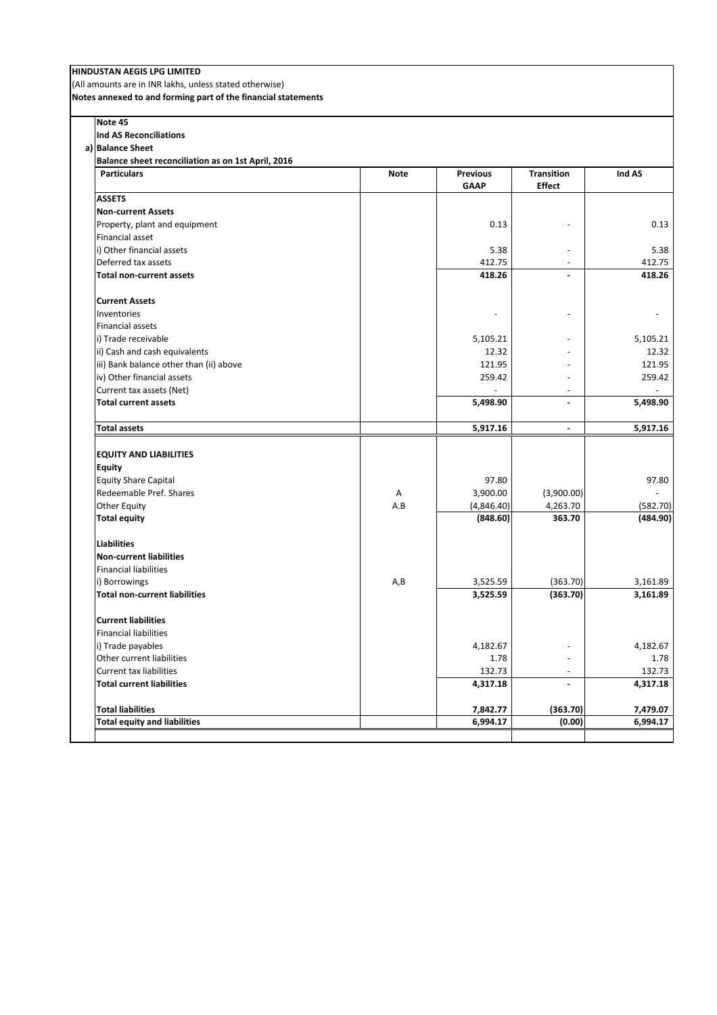(All amounts are in INR lakhs, unless stated otherwise)

**Notes annexed to and forming part of the financial statements**

| Note 45                                            |             |                 |                   |          |
|----------------------------------------------------|-------------|-----------------|-------------------|----------|
| <b>Ind AS Reconciliations</b>                      |             |                 |                   |          |
| a) Balance Sheet                                   |             |                 |                   |          |
| Balance sheet reconciliation as on 1st April, 2016 |             |                 |                   |          |
| <b>Particulars</b>                                 | <b>Note</b> | <b>Previous</b> | <b>Transition</b> | Ind AS   |
|                                                    |             | <b>GAAP</b>     | <b>Effect</b>     |          |
| <b>ASSETS</b>                                      |             |                 |                   |          |
| <b>Non-current Assets</b>                          |             |                 |                   |          |
| Property, plant and equipment                      |             | 0.13            |                   | 0.13     |
| Financial asset                                    |             |                 |                   |          |
| i) Other financial assets                          |             | 5.38            |                   | 5.38     |
| Deferred tax assets                                |             | 412.75          |                   | 412.75   |
| <b>Total non-current assets</b>                    |             | 418.26          |                   | 418.26   |
| <b>Current Assets</b>                              |             |                 |                   |          |
| Inventories                                        |             |                 |                   |          |
| Financial assets                                   |             |                 |                   |          |
| i) Trade receivable                                |             | 5,105.21        |                   | 5,105.21 |
| ii) Cash and cash equivalents                      |             | 12.32           |                   | 12.32    |
| iii) Bank balance other than (ii) above            |             | 121.95          |                   | 121.95   |
| iv) Other financial assets                         |             | 259.42          | $\overline{a}$    | 259.42   |
| Current tax assets (Net)                           |             |                 | $\overline{a}$    |          |
| <b>Total current assets</b>                        |             | 5,498.90        | $\overline{a}$    | 5,498.90 |
| <b>Total assets</b>                                |             | 5,917.16        | ÷.                | 5,917.16 |
|                                                    |             |                 |                   |          |
| <b>EQUITY AND LIABILITIES</b>                      |             |                 |                   |          |
| <b>Equity</b>                                      |             |                 |                   |          |
| <b>Equity Share Capital</b>                        |             | 97.80           |                   | 97.80    |
| Redeemable Pref. Shares                            | A           | 3,900.00        | (3,900.00)        |          |
| Other Equity                                       | A.B         | (4,846.40)      | 4,263.70          | (582.70) |
| <b>Total equity</b>                                |             | (848.60)        | 363.70            | (484.90) |
| <b>Liabilities</b>                                 |             |                 |                   |          |
| <b>Non-current liabilities</b>                     |             |                 |                   |          |
| <b>Financial liabilities</b>                       |             |                 |                   |          |
| i) Borrowings                                      | A, B        | 3,525.59        | (363.70)          | 3,161.89 |
| <b>Total non-current liabilities</b>               |             | 3,525.59        | (363.70)          | 3,161.89 |
| <b>Current liabilities</b>                         |             |                 |                   |          |
| <b>Financial liabilities</b>                       |             |                 |                   |          |
| i) Trade payables                                  |             | 4,182.67        |                   | 4,182.67 |
| Other current liabilities                          |             | 1.78            |                   | 1.78     |
| <b>Current tax liabilities</b>                     |             | 132.73          |                   | 132.73   |
| <b>Total current liabilities</b>                   |             | 4,317.18        | $\blacksquare$    | 4,317.18 |
|                                                    |             |                 |                   |          |
| <b>Total liabilities</b>                           |             | 7,842.77        | (363.70)          | 7,479.07 |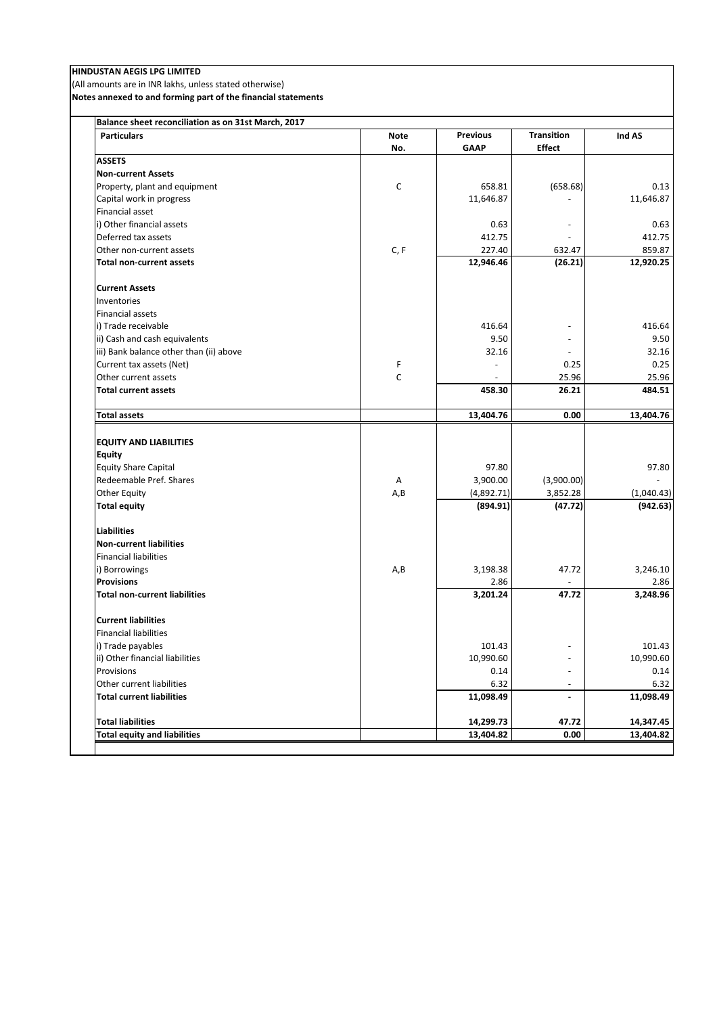(All amounts are in INR lakhs, unless stated otherwise)

**Notes annexed to and forming part of the financial statements**

| <b>Particulars</b>                      | <b>Note</b>  | <b>Previous</b> | <b>Transition</b>        | Ind AS     |
|-----------------------------------------|--------------|-----------------|--------------------------|------------|
|                                         | No.          | <b>GAAP</b>     | <b>Effect</b>            |            |
| <b>ASSETS</b>                           |              |                 |                          |            |
| <b>Non-current Assets</b>               |              |                 |                          |            |
| Property, plant and equipment           | C            | 658.81          | (658.68)                 | 0.13       |
| Capital work in progress                |              | 11,646.87       |                          | 11,646.87  |
| Financial asset                         |              |                 |                          |            |
| i) Other financial assets               |              | 0.63            | $\blacksquare$           | 0.63       |
| Deferred tax assets                     |              | 412.75          |                          | 412.75     |
| Other non-current assets                | C, F         | 227.40          | 632.47                   | 859.87     |
| <b>Total non-current assets</b>         |              | 12,946.46       | (26.21)                  | 12,920.25  |
| <b>Current Assets</b>                   |              |                 |                          |            |
| Inventories                             |              |                 |                          |            |
| <b>Financial assets</b>                 |              |                 |                          |            |
| i) Trade receivable                     |              | 416.64          |                          | 416.64     |
| ii) Cash and cash equivalents           |              | 9.50            |                          | 9.50       |
| iii) Bank balance other than (ii) above |              | 32.16           | $\sim$                   | 32.16      |
| Current tax assets (Net)                | F            | $\overline{a}$  | 0.25                     | 0.25       |
| Other current assets                    | $\mathsf{C}$ |                 | 25.96                    | 25.96      |
| <b>Total current assets</b>             |              | 458.30          | 26.21                    | 484.51     |
| <b>Total assets</b>                     |              | 13,404.76       | 0.00                     | 13,404.76  |
|                                         |              |                 |                          |            |
| <b>EQUITY AND LIABILITIES</b>           |              |                 |                          |            |
| <b>Equity</b>                           |              |                 |                          |            |
| <b>Equity Share Capital</b>             |              | 97.80           |                          | 97.80      |
| Redeemable Pref. Shares                 | A            | 3,900.00        | (3,900.00)               |            |
| <b>Other Equity</b>                     | A, B         | (4,892.71)      | 3,852.28                 | (1,040.43) |
| <b>Total equity</b>                     |              | (894.91)        | (47.72)                  | (942.63)   |
| <b>Liabilities</b>                      |              |                 |                          |            |
| <b>Non-current liabilities</b>          |              |                 |                          |            |
| <b>Financial liabilities</b>            |              |                 |                          |            |
| i) Borrowings                           | A, B         | 3,198.38        | 47.72                    | 3,246.10   |
| <b>Provisions</b>                       |              | 2.86            |                          | 2.86       |
| <b>Total non-current liabilities</b>    |              | 3,201.24        | 47.72                    | 3,248.96   |
| <b>Current liabilities</b>              |              |                 |                          |            |
| <b>Financial liabilities</b>            |              |                 |                          |            |
| i) Trade payables                       |              | 101.43          |                          | 101.43     |
| ii) Other financial liabilities         |              | 10,990.60       |                          | 10,990.60  |
| Provisions                              |              | 0.14            | $\sim$                   | 0.14       |
| Other current liabilities               |              | 6.32            | $\overline{\phantom{a}}$ | 6.32       |
| <b>Total current liabilities</b>        |              | 11,098.49       | $\blacksquare$           | 11,098.49  |
| <b>Total liabilities</b>                |              | 14,299.73       | 47.72                    | 14,347.45  |
| <b>Total equity and liabilities</b>     |              | 13,404.82       | 0.00                     | 13,404.82  |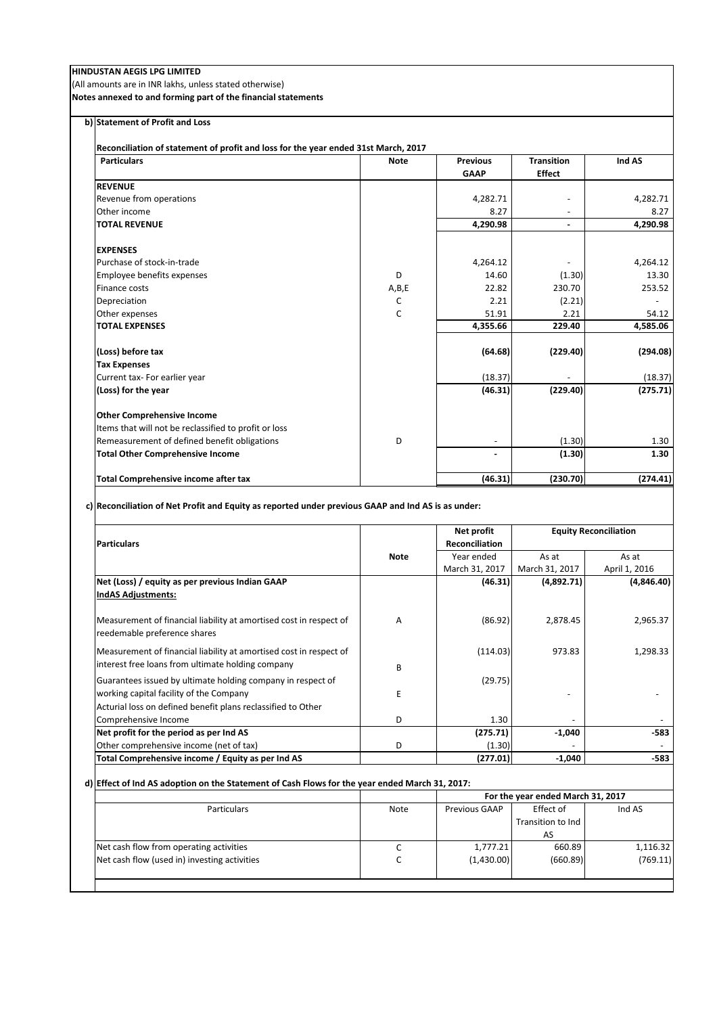(All amounts are in INR lakhs, unless stated otherwise)

**Notes annexed to and forming part of the financial statements**

**b) Statement of Profit and Loss**

**Reconciliation of statement of profit and loss for the year ended 31st March, 2017**

| <b>Particulars</b>                                    | <b>Note</b>  | <b>Previous</b>          | <b>Transition</b> | Ind AS   |
|-------------------------------------------------------|--------------|--------------------------|-------------------|----------|
|                                                       |              | <b>GAAP</b>              | <b>Effect</b>     |          |
| <b>REVENUE</b>                                        |              |                          |                   |          |
| Revenue from operations                               |              | 4,282.71                 |                   | 4,282.71 |
| Other income                                          |              | 8.27                     |                   | 8.27     |
| <b>TOTAL REVENUE</b>                                  |              | 4,290.98                 | $\blacksquare$    | 4,290.98 |
| <b>EXPENSES</b>                                       |              |                          |                   |          |
| Purchase of stock-in-trade                            |              | 4,264.12                 |                   | 4,264.12 |
| Employee benefits expenses                            | D            | 14.60                    | (1.30)            | 13.30    |
| Finance costs                                         | A,B,E        | 22.82                    | 230.70            | 253.52   |
| Depreciation                                          | C            | 2.21                     | (2.21)            |          |
| Other expenses                                        | $\mathsf{C}$ | 51.91                    | 2.21              | 54.12    |
| <b>TOTAL EXPENSES</b>                                 |              | 4,355.66                 | 229.40            | 4,585.06 |
| (Loss) before tax                                     |              | (64.68)                  | (229.40)          | (294.08) |
| <b>Tax Expenses</b>                                   |              |                          |                   |          |
| Current tax- For earlier year                         |              | (18.37)                  |                   | (18.37)  |
| (Loss) for the year                                   |              | (46.31)                  | (229.40)          | (275.71) |
| <b>Other Comprehensive Income</b>                     |              |                          |                   |          |
| Items that will not be reclassified to profit or loss |              |                          |                   |          |
| Remeasurement of defined benefit obligations          | D            | $\overline{\phantom{a}}$ | (1.30)            | 1.30     |
| <b>Total Other Comprehensive Income</b>               |              | ٠                        | (1.30)            | 1.30     |
| <b>Total Comprehensive income after tax</b>           |              | (46.31)                  | (230.70)          | (274.41) |

**c) Reconciliation of Net Profit and Equity as reported under previous GAAP and Ind AS is as under:**

|                                                                                                                         |             | Net profit            | <b>Equity Reconciliation</b> |               |
|-------------------------------------------------------------------------------------------------------------------------|-------------|-----------------------|------------------------------|---------------|
| <b>Particulars</b>                                                                                                      |             | <b>Reconciliation</b> |                              |               |
|                                                                                                                         | <b>Note</b> | Year ended            | As at                        | As at         |
|                                                                                                                         |             | March 31, 2017        | March 31, 2017               | April 1, 2016 |
| Net (Loss) / equity as per previous Indian GAAP                                                                         |             | (46.31)               | (4,892.71)                   | (4,846.40)    |
| <b>IndAS Adjustments:</b>                                                                                               |             |                       |                              |               |
| Measurement of financial liability at amortised cost in respect of<br>reedemable preference shares                      | A           | (86.92)               | 2,878.45                     | 2,965.37      |
| Measurement of financial liability at amortised cost in respect of<br>interest free loans from ultimate holding company | R           | (114.03)              | 973.83                       | 1,298.33      |
| Guarantees issued by ultimate holding company in respect of                                                             |             | (29.75)               |                              |               |
| working capital facility of the Company                                                                                 | E           |                       |                              |               |
| Acturial loss on defined benefit plans reclassified to Other                                                            |             |                       |                              |               |
| Comprehensive Income                                                                                                    | D.          | 1.30                  |                              |               |
| Net profit for the period as per Ind AS                                                                                 |             | (275.71)              | $-1,040$                     | -583          |
| Other comprehensive income (net of tax)                                                                                 | D           | (1.30)                |                              |               |
| Total Comprehensive income / Equity as per Ind AS                                                                       |             | (277.01)              | $-1,040$                     | -583          |

## **d) Effect of Ind AS adoption on the Statement of Cash Flows for the year ended March 31, 2017:**

| Note | For the year ended March 31, 2017 |                   |            |
|------|-----------------------------------|-------------------|------------|
|      | Previous GAAP                     | Effect of         | Ind AS     |
|      |                                   | Transition to Ind |            |
|      |                                   | AS                |            |
| c    | 1,777.21                          | 660.89            | 1,116.32   |
| C    |                                   | (660.89)          | (769.11)   |
|      |                                   |                   |            |
|      |                                   |                   | (1,430.00) |